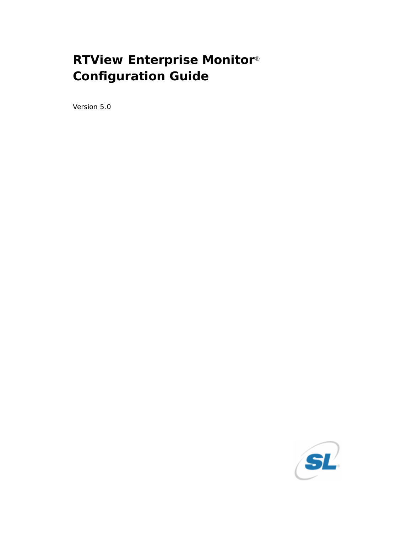# **RTView Enterprise Monitor**® **Configuration Guide**

Version 5.0

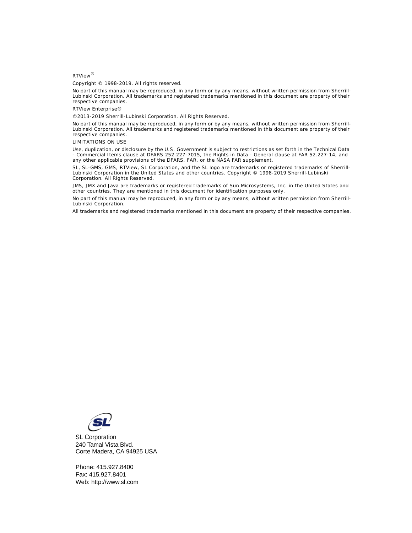#### RTView®

Copyright © 1998-2019. All rights reserved.

No part of this manual may be reproduced, in any form or by any means, without written permission from Sherrill-Lubinski Corporation. All trademarks and registered trademarks mentioned in this document are property of their respective companies.

RTView Enterprise®

©2013-2019 Sherrill-Lubinski Corporation. All Rights Reserved.

No part of this manual may be reproduced, in any form or by any means, without written permission from Sherrill-Lubinski Corporation. All trademarks and registered trademarks mentioned in this document are property of their respective companies.

LIMITATIONS ON USE

Use, duplication, or disclosure by the U.S. Government is subject to restrictions as set forth in the Technical Data - Commercial Items clause at DFARS 252.227-7015, the Rights in Data - General clause at FAR 52.227-14, and any other applicable provisions of the DFARS, FAR, or the NASA FAR supplement.

SL, SL-GMS, GMS, RTView, SL Corporation, and the SL logo are trademarks or registered trademarks of Sherrill-Lubinski Corporation in the United States and other countries. Copyright © 1998-2019 Sherrill-Lubinski Corporation. All Rights Reserved.

JMS, JMX and Java are trademarks or registered trademarks of Sun Microsystems, Inc. in the United States and other countries. They are mentioned in this document for identification purposes only.

No part of this manual may be reproduced, in any form or by any means, without written permission from Sherrill-Lubinski Corporation.

All trademarks and registered trademarks mentioned in this document are property of their respective companies.



SL Corporation 240 Tamal Vista Blvd. Corte Madera, CA 94925 USA

Fax: 415.927.8401 Web: http://www.sl.com Phone: 415.927.8400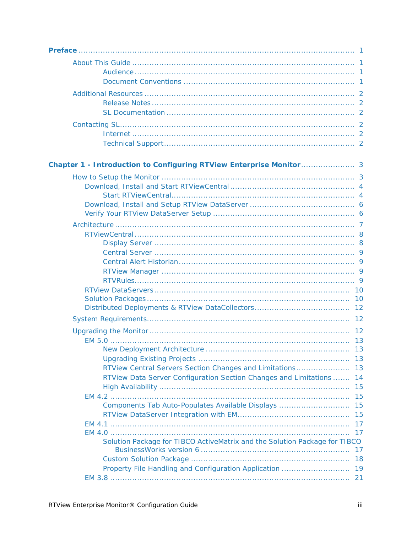| RTView Data Server Configuration Section Changes and Limitations<br>Components Tab Auto-Populates Available Displays  15<br>Solution Package for TIBCO ActiveMatrix and the Solution Package for TIBCO | 14<br>15<br>17<br>17 |
|--------------------------------------------------------------------------------------------------------------------------------------------------------------------------------------------------------|----------------------|
|                                                                                                                                                                                                        |                      |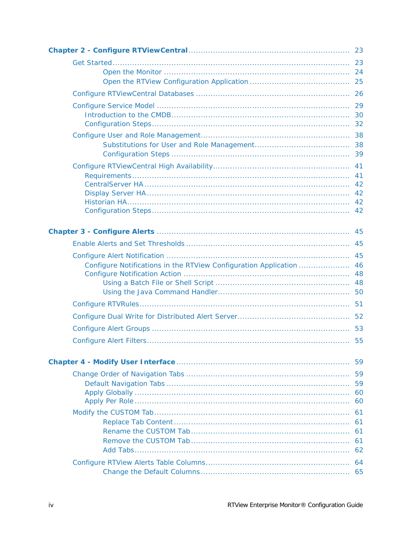| Configure Notifications in the RTView Configuration Application | 46       |
|-----------------------------------------------------------------|----------|
|                                                                 |          |
|                                                                 |          |
|                                                                 |          |
|                                                                 |          |
|                                                                 |          |
|                                                                 |          |
|                                                                 |          |
|                                                                 |          |
|                                                                 | 59       |
|                                                                 | 59       |
|                                                                 | 59       |
|                                                                 | 60<br>60 |
|                                                                 |          |
|                                                                 | 61<br>61 |
|                                                                 | 61       |
|                                                                 | 61       |
|                                                                 | 62       |
|                                                                 | 64       |
|                                                                 | 65       |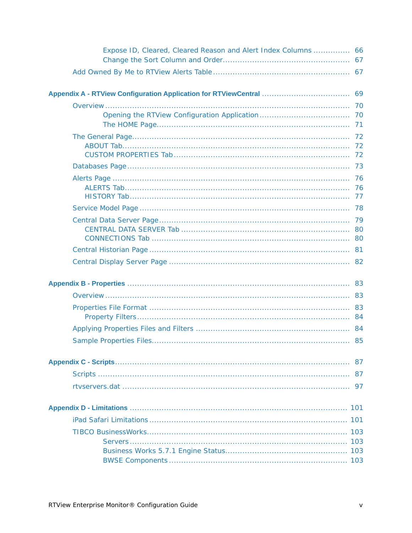| Expose ID, Cleared, Cleared Reason and Alert Index Columns  66 |     |
|----------------------------------------------------------------|-----|
|                                                                |     |
|                                                                |     |
|                                                                |     |
|                                                                | 70  |
|                                                                |     |
|                                                                |     |
|                                                                |     |
|                                                                |     |
|                                                                |     |
|                                                                |     |
|                                                                |     |
|                                                                |     |
|                                                                |     |
|                                                                |     |
|                                                                |     |
|                                                                |     |
|                                                                |     |
|                                                                | 87  |
|                                                                |     |
|                                                                | 97  |
|                                                                |     |
|                                                                |     |
|                                                                |     |
|                                                                | 103 |
|                                                                |     |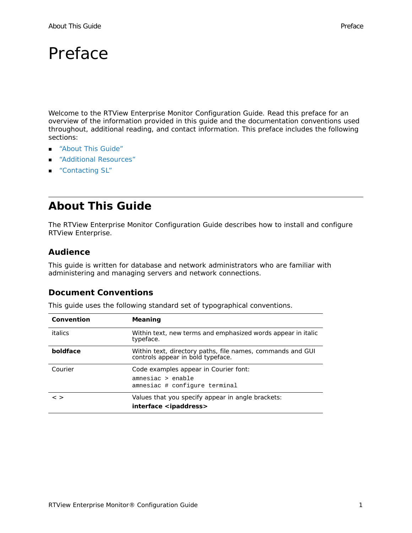# <span id="page-6-0"></span>Preface

Welcome to the *RTView Enterprise Monitor Configuration Guide*. Read this preface for an overview of the information provided in this guide and the documentation conventions used throughout, additional reading, and contact information. This preface includes the following sections:

- **About This Guide"**
- **Additional Resources**"
- ["Contacting SL"](#page-7-3)

# <span id="page-6-1"></span>**About This Guide**

The *RTView Enterprise Monitor Configuration Guide* describes how to install and configure RTView Enterprise.

### <span id="page-6-2"></span>**Audience**

This guide is written for database and network administrators who are familiar with administering and managing servers and network connections.

### <span id="page-6-3"></span>**Document Conventions**

This guide uses the following standard set of typographical conventions.

| Convention    | Meaning                                                                                         |
|---------------|-------------------------------------------------------------------------------------------------|
| italics       | Within text, new terms and emphasized words appear in italic<br>typeface.                       |
| boldface      | Within text, directory paths, file names, commands and GUI<br>controls appear in bold typeface. |
| Courier       | Code examples appear in Courier font:<br>amnesiac > enable<br>amnesiac # configure terminal     |
| $\langle$ $>$ | Values that you specify appear in angle brackets:<br>interface <ipaddress></ipaddress>          |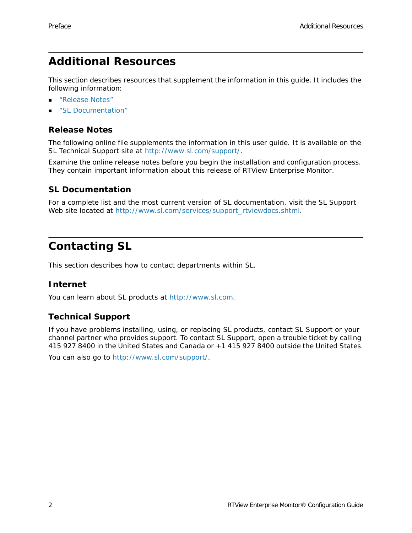# <span id="page-7-0"></span>**Additional Resources**

This section describes resources that supplement the information in this guide. It includes the following information:

- ["Release Notes"](#page-7-1)
- **SL Documentation**"

## <span id="page-7-1"></span>**Release Notes**

The following online file supplements the information in this user guide. It is available on the SL Technical Support site at [http://www.sl.com/support/](http://www.sl.com/services/techsupport.shtml).

Examine the online release notes before you begin the installation and configuration process. They contain important information about this release of RTView Enterprise Monitor.

## <span id="page-7-2"></span>**SL Documentation**

For a complete list and the most current version of SL documentation, visit the SL Support Web site located a[t](http://www.sl.com/services/docs.shtml) [http://www.sl.com/services/support\\_rtviewdocs.shtml.](http://www.sl.com/services/support_rtviewdocs.shtml)

# <span id="page-7-3"></span>**Contacting SL**

This section describes how to contact departments within SL.

## <span id="page-7-4"></span>**Internet**

You can learn about SL products at <http://www.sl.com>.

## <span id="page-7-5"></span>**Technical Support**

If you have problems installing, using, or replacing SL products, contact SL Support or your channel partner who provides support. To contact SL Support, open a trouble ticket by calling 415 927 8400 in the United States and Canada or +1 415 927 8400 outside the United States.

You can also go to [http://www.sl.com/support/](http://www.sl.com/services/techsupport.shtml).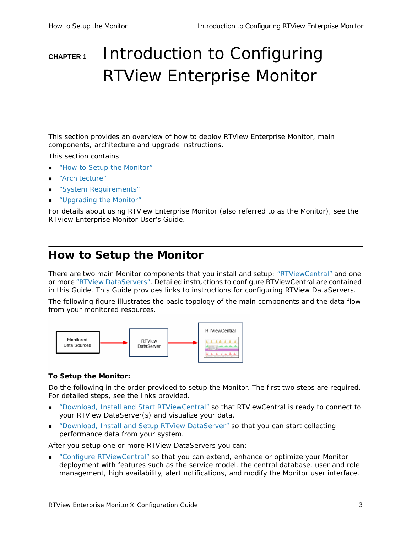# <span id="page-8-0"></span>**CHAPTER 1** Introduction to Configuring RTView Enterprise Monitor

This section provides an overview of how to deploy RTView Enterprise Monitor, main components, architecture and upgrade instructions.

This section contains:

- ["How to Setup the Monitor"](#page-8-1)
- ["Architecture"](#page-12-0)
- ["System Requirements"](#page-17-1)
- ["Upgrading the Monitor"](#page-17-2)

For details about using RTView Enterprise Monitor (also referred to as the *Monitor*), see the *RTView Enterprise Monitor User's Guide*.

# <span id="page-8-1"></span>**How to Setup the Monitor**

There are two main Monitor components that you install and setup: ["RTViewCentral"](#page-13-0) and one or more ["RTView DataServers"](#page-15-0). Detailed instructions to configure RTViewCentral are contained in this Guide. This Guide provides links to instructions for configuring RTView DataServers.

The following figure illustrates the basic topology of the main components and the data flow from your monitored resources.



#### **To Setup the Monitor:**

Do the following in the order provided to setup the Monitor. The first two steps are required. For detailed steps, see the links provided.

- ["Download, Install and Start RTViewCentral"](#page-9-0) so that RTViewCentral is ready to connect to your RTView DataServer(s) and visualize your data.
- ["Download, Install and Setup RTView DataServer"](#page-11-0) so that you can start collecting performance data from your system.

After you setup one or more RTView DataServers you can:

 ["Configure RTViewCentral"](#page-28-2) so that you can extend, enhance or optimize your Monitor deployment with features such as the service model, the central database, user and role management, high availability, alert notifications, and modify the Monitor user interface.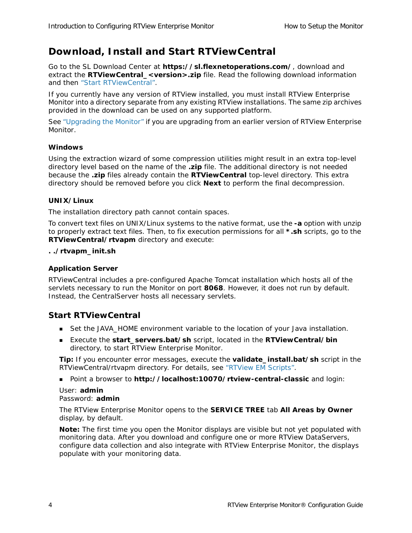# <span id="page-9-2"></span><span id="page-9-0"></span>**Download, Install and Start RTViewCentral**

Go to the SL Download Center at **https://sl.flexnetoperations.com/**, download and extract the **RTViewCentral\_<version>.zip** file. Read the following download information and then ["Start RTViewCentral"](#page-9-1).

If you currently have any version of RTView installed, you must install RTView Enterprise Monitor into a directory separate from any existing RTView installations. The same zip archives provided in the download can be used on any supported platform.

See ["Upgrading the Monitor"](#page-17-2) if you are upgrading from an earlier version of RTView Enterprise Monitor.

#### **Windows**

Using the extraction wizard of some compression utilities might result in an extra top-level directory level based on the name of the **.zip** file. The additional directory is not needed because the **.zip** files already contain the **RTViewCentral** top-level directory. This extra directory should be removed before you click **Next** to perform the final decompression.

#### **UNIX/Linux**

The installation directory path cannot contain spaces.

To convert text files on UNIX/Linux systems to the native format, use the **-a** option with unzip to properly extract text files. Then, to fix execution permissions for all **\*.sh** scripts, go to the **RTViewCentral/rtvapm** directory and execute:

#### **. ./rtvapm\_init.sh**

#### **Application Server**

RTViewCentral includes a pre-configured Apache Tomcat installation which hosts all of the servlets necessary to run the Monitor on port **8068**. However, it does not run by default. Instead, the CentralServer hosts all necessary servlets.

### <span id="page-9-1"></span>**Start RTViewCentral**

- Set the JAVA\_HOME environment variable to the location of your Java installation.
- Execute the **start\_servers.bat/sh** script, located in the **RTViewCentral/bin** directory, to start RTView Enterprise Monitor.

**Tip:** If you encounter error messages, execute the **validate\_install.bat/sh** script in the RTViewCentral/rtvapm directory. For details, see "RTView EM Scripts".

Point a browser to **http://localhost:10070/rtview-central-classic** and login:

#### User: **admin** Password: **admin**

The RTView Enterprise Monitor opens to the **SERVICE TREE** tab **All Areas by Owner**  display, by default.

**Note:** The first time you open the Monitor displays are visible but not yet populated with monitoring data. After you download and configure one or more RTView DataServers, configure data collection *and also* integrate with RTView Enterprise Monitor, the displays populate with your monitoring data.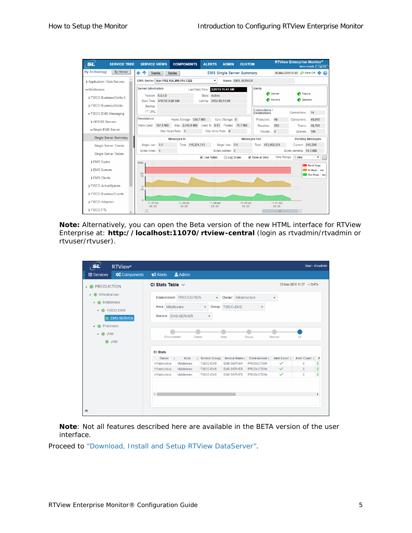| <b>SL</b><br><b>SERVICE TREE</b>  | <b>COMPONENTS</b><br><b>SERVICE VIEWS</b>       | <b>ALERTS</b><br><b>ADMIN</b><br><b>CUSTOM</b>                     |                                      | <b>RTView Enterprise Monitor®</b><br>demo (read) Log Out |
|-----------------------------------|-------------------------------------------------|--------------------------------------------------------------------|--------------------------------------|----------------------------------------------------------|
| <b>By Technology</b><br>By Vendor | ←↑<br><b>Trends</b><br><b>Tables</b>            | <b>EMS Single Server Summary</b>                                   |                                      | 20-Mar-2019 11:41 3 Data OK .<br>Q                       |
| > Application / Web Servers       | EMS Server: tcp://192.168.200.115:7222          | Name: EMS-SERVER<br>۰.                                             |                                      |                                                          |
| $\sim$ Middleware                 | <b>Server Information</b>                       | Last Data Time: 3/20/19 11:41 AM                                   | <b>Alerts</b>                        |                                                          |
| > TIBCO BusinessWorks 5           | Version: 6.0.0.8<br>Start Time: 4/11/18 9:26 AM | State: Active<br>Uptime: 343d 02:14:56                             | Server<br>Routes                     | <b>C</b> Topics<br><b>Queues</b>                         |
| > TIBCO BusinessWorks             | Backup:                                         |                                                                    |                                      |                                                          |
| ▽ TIBCO EMS Messaging             | FT URL:                                         |                                                                    | Connections /<br><b>Destinations</b> | Connections 14                                           |
| > All EMS Servers                 | Persistence<br>Async Storage: 124.7 MB          | Sync Storage: 0                                                    | Producers 46                         | Consumers 49,018                                         |
| ► Single EMS Server               | Mem Used: 167.0 MB<br>Disk Read Rate: 0         | Max: 2,048.0 MB Used %: 8.15 Pooled: 79.7 MB<br>Disk Write Rate: 0 | Durables 253<br>Routes 0             | Topics 48,764<br>Queues 186                              |
| Single Server Summary             | <b>Messages In</b>                              |                                                                    | <b>Messages Out</b>                  | <b>Pending Messages</b>                                  |
| <b>Single Server Trends</b>       | Total: 115,221,315<br>Msgs / sec: 0.0           | Msgs / sec: 0.0                                                    | Total: 193,452,251                   | Current: 242,320                                         |
| <b>Single Server Tables</b>       | Bytes in/sec: 0                                 | Bytes out/sec: 0                                                   |                                      | Bytes pending: 99.5 MB                                   |
| > EMS Topics                      | 400k                                            | ■ Use Rates<br>Log Scale                                           | ● Base at Zero                       | Time Range: 5 Mins<br>▼.<br>$\sim$                       |
| > EMS Queues                      |                                                 |                                                                    |                                      | Pend Msgs<br>In Msgs / sec                               |
| > EMS Clients                     | 0k<br>10                                        |                                                                    |                                      | Out Msgs / sec                                           |
| > TIBCO ActiveSpaces              | $\Omega$                                        |                                                                    |                                      |                                                          |
| > TIBCO BusinessFvents            | 20                                              |                                                                    |                                      |                                                          |
| > TIBCO Adapters                  | $\Omega$<br>11:37:00<br>11:38:00                | 11:39:00<br>11:40:00                                               | 11:41:00                             |                                                          |
| > TIBCO FTL                       | 03/20<br>03/20<br>$\overline{4}$                | 03/20<br>03/20                                                     | 03/20<br>Ш                           | $\rightarrow$                                            |

**Note:** Alternatively, you can open the Beta version of the new HTML interface for RTView Enterprise at: **http://localhost:11070/rtview-central** (login as rtvadmin/rtvadmin or rtvuser/rtvuser).

| sľ                               | <b>RTView</b> <sup>o</sup>                          |                                         |                         |                                              |                                           |                         |                           |                         | User: rtvadmin |
|----------------------------------|-----------------------------------------------------|-----------------------------------------|-------------------------|----------------------------------------------|-------------------------------------------|-------------------------|---------------------------|-------------------------|----------------|
| <b>E</b> Services                | <b>Components</b>                                   | $\bigtriangleup$ Alerts                 | <b>Admin</b>            |                                              |                                           |                         |                           |                         |                |
| <b>PRODUCTION</b>                |                                                     | CI Stats Table $\sim$                   |                         |                                              |                                           |                         |                           | 20-Mar-2019 11:27 VDATA |                |
| Infrastructure<br>$\overline{a}$ | Middleware<br><b>TIBCO-EMS</b><br><b>EMS-SERVER</b> | Area: Middleware<br>Service: EMS-SERVER | Environment: PRODUCTION | $\mathbf{v}$<br>$\overline{\mathbf{v}}$<br>۳ | Owner: Infrastructure<br>Group: TIBCO-EMS | $\overline{\mathbf{v}}$ | $\boldsymbol{\mathrm{v}}$ |                         |                |
| <b>JVM</b>                       | <b>Processes</b><br><b>O</b> JVM                    | Environment<br><b>CI Stats</b>          | Owner                   |                                              | Area                                      | Group                   | Service                   | СI                      |                |
|                                  |                                                     | Owner<br>$\equiv$                       | Area                    | <b>Service Group</b>                         | Service Name                              | Environment #           | Alert Level #             | Alert Count             | Α              |
|                                  |                                                     | Infrastructure                          | Middleware              | <b>TIBCO-EMS</b>                             | <b>EMS-SERVER</b>                         | <b>PRODUCTION</b>       | $\checkmark$              | Ō                       |                |
|                                  |                                                     | Infrastructure                          | Middleware              | <b>TIBCO-EMS</b>                             | <b>EMS-SERVER</b>                         | <b>PRODUCTION</b>       | ✓                         | $\overline{0}$          |                |
|                                  |                                                     | Infrastructure                          | Middleware              | <b>TIBCO-EMS</b>                             | <b>EMS-SERVER</b>                         | <b>PRODUCTION</b>       | $\checkmark$              | 0                       |                |
| $\alpha$                         |                                                     |                                         |                         |                                              |                                           |                         |                           |                         |                |

**Note**: Not all features described here are available in the BETA version of the user interface.

Proceed to ["Download, Install and Setup RTView DataServer"](#page-11-0).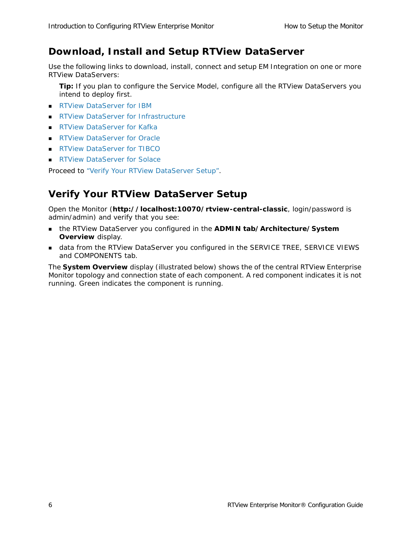## <span id="page-11-3"></span><span id="page-11-0"></span>**Download, Install and Setup RTView DataServer**

Use the following links to download, install, connect and setup EM Integration on one or more RTView DataServers:

**Tip:** If you plan to configure the Service Model, configure all the RTView DataServers you intend to deploy first.

- **[RTView DataServer for IBM](https://slcorp.atlassian.net/wiki/spaces/RCS/pages/654082092/RTView+DataServer+for+IBM+Quick+Start+Guide+Version+5.0+On-Premise)**
- [RTView DataServer for Infrastructure](https://slcorp.atlassian.net/wiki/spaces/RCS/pages/653885460/RTView+DataServer+for+Infrastructure+Quick+Start+Guide+Version+5.0+On-Premise)
- **[RTView DataServer for Kafka](https://slcorp.atlassian.net/wiki/spaces/RCS/pages/654016535/RTView+DataServer+for+Kafka+Quick+Start+Guide+Version+5.0+On-Premise)**
- **[RTView DataServer for Oracle](https://slcorp.atlassian.net/wiki/spaces/RCS/pages/654082236/RTView+DataServer+for+Oracle+Quick+Start+Guide+Version+5.0+On-Premise)**
- **[RTView DataServer for TIBCO](https://slcorp.atlassian.net/wiki/spaces/RCS/pages/647954433/RTView+DataServer+for+TIBCO+Quick+Start+Guide+Version+5.0+On-Premise)**
- **RTView DataServer for Solace**

Proceed to ["Verify Your RTView DataServer Setup".](#page-11-1)

## <span id="page-11-2"></span><span id="page-11-1"></span>**Verify Your RTView DataServer Setup**

Open the Monitor (**http://localhost:10070/rtview-central-classic**, login/password is admin/admin) and verify that you see:

- the RTView DataServer you configured in the **ADMIN tab/Architecture/System Overview** display.
- data from the RTView DataServer you configured in the SERVICE TREE, SERVICE VIEWS and COMPONENTS tab.

The **System Overview** display (illustrated below) shows the of the central RTView Enterprise Monitor topology and connection state of each component. A red component indicates it is not running. Green indicates the component is running.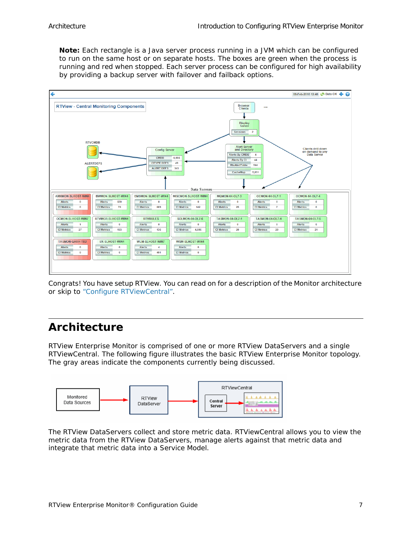**Note:** Each rectangle is a Java server process running in a JVM which can be configured to run on the same host or on separate hosts. The boxes are green when the process is running and red when stopped. Each server process can be configured for high availability by providing a backup server with failover and failback options.



Congrats! You have setup RTView. You can read on for a description of the Monitor architecture or skip to ["Configure RTViewCentral".](#page-28-2)

# <span id="page-12-0"></span>**Architecture**

RTView Enterprise Monitor is comprised of one or more RTView DataServers and a single RTViewCentral. The following figure illustrates the basic RTView Enterprise Monitor topology. The gray areas indicate the components currently being discussed.



The RTView DataServers collect and store metric data. RTViewCentral allows you to view the metric data from the RTView DataServers, manage alerts against that metric data and integrate that metric data into a Service Model.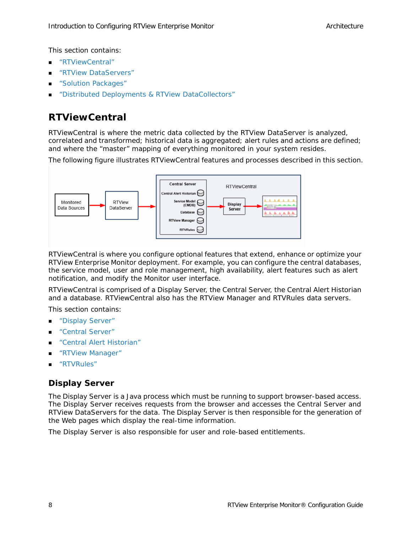This section contains:

- ["RTViewCentral"](#page-13-0)
- ["RTView DataServers"](#page-15-0)
- ["Solution Packages"](#page-15-1)
- ["Distributed Deployments & RTView DataCollectors"](#page-17-0)

## <span id="page-13-0"></span>**RTViewCentral**

RTViewCentral is where the metric data collected by the RTView DataServer is analyzed, correlated and transformed; historical data is aggregated; alert rules and actions are defined; and where the "master" mapping of everything monitored in your system resides.

The following figure illustrates RTViewCentral features and processes described in this section.



RTViewCentral is where you configure optional features that extend, enhance or optimize your RTView Enterprise Monitor deployment. For example, you can configure the central databases, the service model, user and role management, high availability, alert features such as alert notification, and modify the Monitor user interface.

RTViewCentral is comprised of a Display Server, the Central Server, the Central Alert Historian and a database. RTViewCentral also has the RTView Manager and RTVRules data servers.

This section contains:

- ["Display Server"](#page-13-1)
- ["Central Server"](#page-14-0)
- ["Central Alert Historian"](#page-14-1)
- ["RTView Manager"](#page-14-2)
- ["RTVRules"](#page-14-3)

## <span id="page-13-1"></span>**Display Server**

The Display Server is a Java process which must be running to support browser-based access. The Display Server receives requests from the browser and accesses the Central Server and RTView DataServers for the data. The Display Server is then responsible for the generation of the Web pages which display the real-time information.

The Display Server is also responsible for user and role-based entitlements.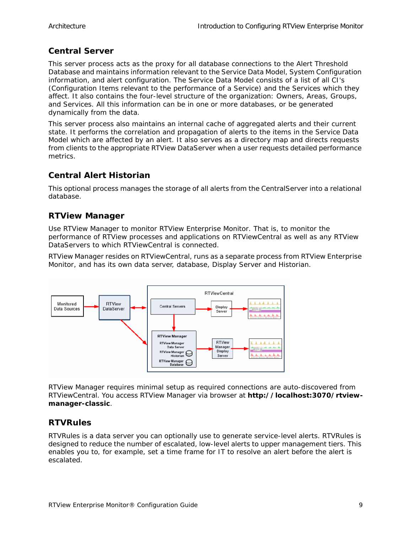## <span id="page-14-0"></span>**Central Server**

This server process acts as the proxy for all database connections to the Alert Threshold Database and maintains information relevant to the *Service Data Model*, System Configuration information, and alert configuration. The Service Data Model consists of a list of all CI's (Configuration Items relevant to the performance of a Service) and the Services which they affect. It also contains the four-level structure of the organization: Owners, Areas, Groups, and Services. All this information can be in one or more databases, or be generated dynamically from the data.

This server process also maintains an internal cache of aggregated alerts and their current state. It performs the correlation and propagation of alerts to the items in the Service Data Model which are affected by an alert. It also serves as a directory map and directs requests from clients to the appropriate RTView DataServer when a user requests detailed performance metrics.

## <span id="page-14-1"></span>**Central Alert Historian**

This optional process manages the storage of all alerts from the CentralServer into a relational database.

### <span id="page-14-2"></span>**RTView Manager**

Use RTView Manager to monitor RTView Enterprise Monitor. That is, to monitor the performance of RTView processes and applications on RTViewCentral as well as any RTView DataServers to which RTViewCentral is connected.

RTView Manager resides on RTViewCentral, runs as a separate process from RTView Enterprise Monitor, and has its own data server, database, Display Server and Historian.



RTView Manager requires minimal setup as required connections are auto-discovered from RTViewCentral. You access RTView Manager via browser at **http://localhost:3070/rtviewmanager-classic**.

### <span id="page-14-3"></span>**RTVRules**

RTVRules is a data server you can optionally use to generate service-level alerts. RTVRules is designed to reduce the number of escalated, low-level alerts to upper management tiers. This enables you to, for example, set a time frame for IT to resolve an alert before the alert is escalated.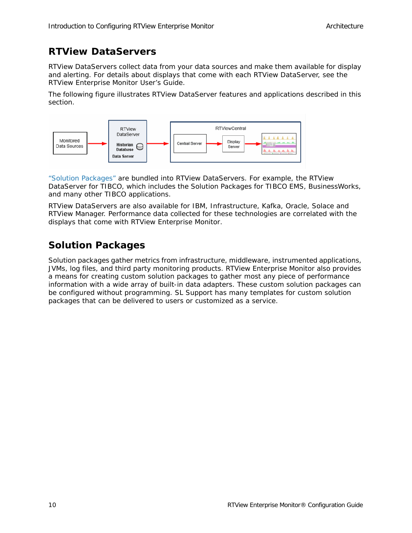# <span id="page-15-0"></span>**RTView DataServers**

RTView DataServers collect data from your data sources and make them available for display and alerting. For details about displays that come with each RTView DataServer, see the *RTView Enterprise Monitor User's Guide*.

The following figure illustrates RTView DataServer features and applications described in this section.



["Solution Packages"](#page-15-1) are bundled into RTView DataServers. For example, the RTView DataServer for TIBCO, which includes the Solution Packages for TIBCO EMS, BusinessWorks, and many other TIBCO applications.

RTView DataServers are also available for IBM, Infrastructure, Kafka, Oracle, Solace and RTView Manager. Performance data collected for these technologies are correlated with the displays that come with RTView Enterprise Monitor.

# <span id="page-15-1"></span>**Solution Packages**

Solution packages gather metrics from infrastructure, middleware, instrumented applications, JVMs, log files, and third party monitoring products. RTView Enterprise Monitor also provides a means for creating custom solution packages to gather most any piece of performance information with a wide array of built-in data adapters. These custom solution packages can be configured without programming. SL Support has many templates for custom solution packages that can be delivered to users or customized as a service.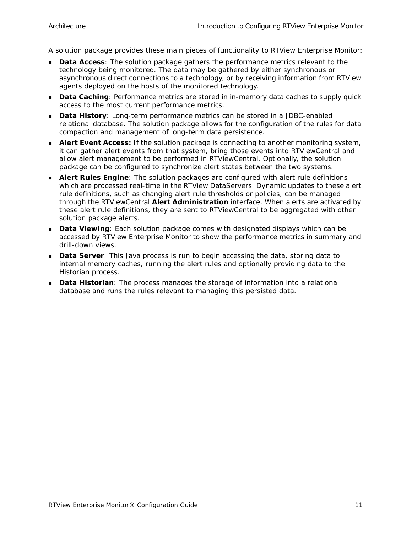A solution package provides these main pieces of functionality to RTView Enterprise Monitor:

- **Data Access:** The solution package gathers the performance metrics relevant to the technology being monitored. The data may be gathered by either synchronous or asynchronous direct connections to a technology, or by receiving information from RTView agents deployed on the hosts of the monitored technology.
- **Data Caching**: Performance metrics are stored in in-memory data caches to supply quick access to the most current performance metrics.
- **Data History**: Long-term performance metrics can be stored in a JDBC-enabled relational database. The solution package allows for the configuration of the rules for data compaction and management of long-term data persistence.
- **Alert Event Access:** If the solution package is connecting to another monitoring system, it can gather alert events from that system, bring those events into RTViewCentral and allow alert management to be performed in RTViewCentral. Optionally, the solution package can be configured to synchronize alert states between the two systems.
- **Alert Rules Engine**: The solution packages are configured with alert rule definitions which are processed real-time in the RTView DataServers. Dynamic updates to these alert rule definitions, such as changing alert rule thresholds or policies, can be managed through the RTViewCentral **Alert Administration** interface. When alerts are activated by these alert rule definitions, they are sent to RTViewCentral to be aggregated with other solution package alerts.
- **Data Viewing**: Each solution package comes with designated displays which can be accessed by RTView Enterprise Monitor to show the performance metrics in summary and drill-down views.
- **Data Server**: This Java process is run to begin accessing the data, storing data to internal memory caches, running the alert rules and optionally providing data to the Historian process.
- **Data Historian**: The process manages the storage of information into a relational database and runs the rules relevant to managing this persisted data.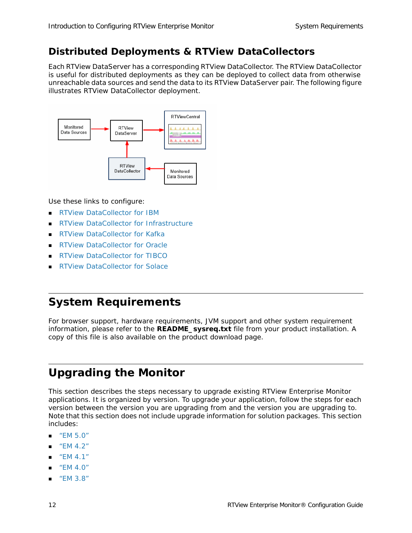## <span id="page-17-0"></span>**Distributed Deployments & RTView DataCollectors**

Each RTView DataServer has a corresponding *RTView DataCollector*. The RTView DataCollector is useful for distributed deployments as they can be deployed to collect data from otherwise unreachable data sources and send the data to its RTView DataServer pair. The following figure illustrates RTView DataCollector deployment.



Use these links to configure:

- **[RTView DataCollector for IBM](https://slcorp.atlassian.net/wiki/spaces/RCS/pages/655589418/RTView+DataCollector+for+IBM+Quick+Start+Guide+Version+5.0+On-Premise)**
- [RTView DataCollector for Infrastructure](https://slcorp.atlassian.net/wiki/spaces/RCS/pages/655294465/RTView+DataCollector+for+Infrastructure+Quick+Start+Guide+Version+5.0+On-Premise)
- [RTView DataCollector for Kafka](https://slcorp.atlassian.net/wiki/spaces/RCS/pages/653852673/RTView+DataCollector+for+Kafka+Quick+Start+Guide+Version+5.0+On-Premise)
- [RTView DataCollector for Oracle](https://slcorp.atlassian.net/wiki/spaces/RCS/pages/655523883/RTView+DataCollector+for+Oracle+Quick+Start+Guide+Version+5.0+On-Premise)
- [RTView DataCollector for TIBCO](https://slcorp.atlassian.net/wiki/spaces/RCS/pages/652345345/RTView+DataCollector+for+TIBCO+Quick+Start+Guide+Version+5.0+On-Premise)
- [RTView DataCollector for Solace](https://slcorp.atlassian.net/wiki/spaces/RCS/pages/655360050/RTView+DataCollector+for+Solace+Quick+Start+Guide+Version+5.0+On-Premise)

# <span id="page-17-1"></span>**System Requirements**

For browser support, hardware requirements, JVM support and other system requirement information, please refer to the **README\_sysreq.txt** file from your product installation. A copy of this file is also available on the product download page.

# <span id="page-17-2"></span>**Upgrading the Monitor**

This section describes the steps necessary to upgrade existing RTView Enterprise Monitor applications. It is organized by version. To upgrade your application, follow the steps for each version between the version you are upgrading from and the version you are upgrading to. Note that this section does not include upgrade information for solution packages. This section includes:

- ["EM 5.0"](#page-18-0)
- ["EM 4.2"](#page-20-1)
- ["EM 4.1"](#page-22-0)
- ["EM 4.0"](#page-22-1)
- ["EM 3.8"](#page-26-0)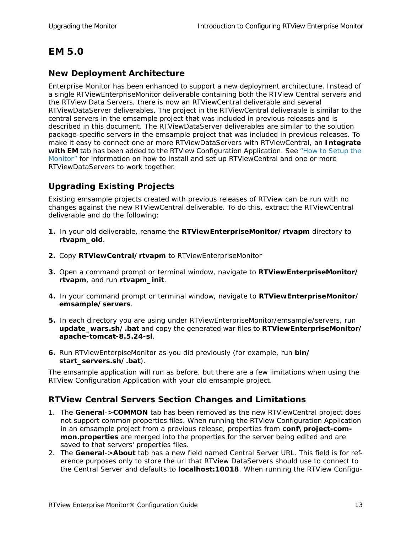# <span id="page-18-0"></span>**EM 5.0**

## <span id="page-18-1"></span>**New Deployment Architecture**

Enterprise Monitor has been enhanced to support a new deployment architecture. Instead of a single RTViewEnterpriseMonitor deliverable containing both the RTView Central servers and the RTView Data Servers, there is now an RTViewCentral deliverable and several RTViewDataServer deliverables. The project in the RTViewCentral deliverable is similar to the central servers in the emsample project that was included in previous releases and is described in this document. The RTViewDataServer deliverables are similar to the solution package-specific servers in the emsample project that was included in previous releases. To make it easy to connect one or more RTViewDataServers with RTViewCentral, an **Integrate with EM** tab has been added to the RTView Configuration Application. See "How to Setup the [Monitor"](#page-8-1) for information on how to install and set up RTViewCentral and one or more RTViewDataServers to work together.

## <span id="page-18-2"></span>**Upgrading Existing Projects**

Existing emsample projects created with previous releases of RTView can be run with no changes against the new RTViewCentral deliverable. To do this, extract the RTViewCentral deliverable and do the following:

- **1.** In your old deliverable, rename the **RTViewEnterpriseMonitor/rtvapm** directory to **rtvapm\_old**.
- **2.** Copy **RTViewCentral/rtvapm** to RTViewEnterpriseMonitor
- **3.** Open a command prompt or terminal window, navigate to **RTViewEnterpriseMonitor/ rtvapm**, and run **rtvapm\_init**.
- **4.** In your command prompt or terminal window, navigate to **RTViewEnterpriseMonitor/ emsample/servers**.
- **5.** In each directory you are using under RTViewEnterpriseMonitor/emsample/servers, run **update\_wars.sh/.bat** and copy the generated war files to **RTViewEnterpriseMonitor/ apache-tomcat-8.5.24-sl**.
- **6.** Run RTViewEnterpiseMonitor as you did previously (for example, run **bin/ start\_servers.sh/.bat**).

The emsample application will run as before, but there are a few limitations when using the RTView Configuration Application with your old emsample project.

## <span id="page-18-3"></span>**RTView Central Servers Section Changes and Limitations**

- 1. The **General**->**COMMON** tab has been removed as the new RTViewCentral project does not support common properties files. When running the RTView Configuration Application in an emsample project from a previous release, properties from **conf\project-common.properties** are merged into the properties for the server being edited and are saved to that servers' properties files.
- 2. The **General**->**About** tab has a new field named Central Server URL. This field is for reference purposes only to store the url that RTView DataServers should use to connect to the Central Server and defaults to **localhost:10018**. When running the RTView Configu-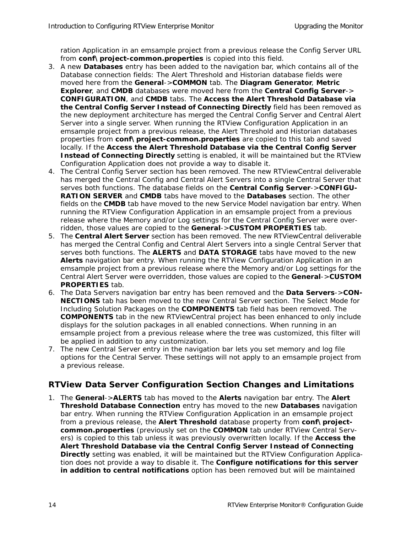ration Application in an emsample project from a previous release the Config Server URL from **conf\project-common.properties** is copied into this field.

- 3. A new **Databases** entry has been added to the navigation bar, which contains all of the Database connection fields: The Alert Threshold and Historian database fields were moved here from the **General**->**COMMON** tab. The **Diagram Generator**, **Metric Explorer**, and **CMDB** databases were moved here from the **Central Config Server**-> **CONFIGURATION**, and **CMDB** tabs. The **Access the Alert Threshold Database via the Central Config Server Instead of Connecting Directly** field has been removed as the new deployment architecture has merged the Central Config Server and Central Alert Server into a single server. When running the RTView Configuration Application in an emsample project from a previous release, the Alert Threshold and Historian databases properties from **conf\project-common.properties** are copied to this tab and saved locally. If the **Access the Alert Threshold Database via the Central Config Server Instead of Connecting Directly** setting is enabled, it will be maintained but the RTView Configuration Application does not provide a way to disable it.
- 4. The Central Config Server section has been removed. The new RTViewCentral deliverable has merged the Central Config and Central Alert Servers into a single Central Server that serves both functions. The database fields on the **Central Config Server**->**CONFIGU-RATION SERVER** and **CMDB** tabs have moved to the **Databases** section. The other fields on the **CMDB** tab have moved to the new Service Model navigation bar entry. When running the RTView Configuration Application in an emsample project from a previous release where the Memory and/or Log settings for the Central Config Server were overridden, those values are copied to the **General**->**CUSTOM PROPERTIES** tab.
- 5. The **Central Alert Server** section has been removed. The new RTViewCentral deliverable has merged the Central Config and Central Alert Servers into a single Central Server that serves both functions. The **ALERTS** and **DATA STORAGE** tabs have moved to the new **Alerts** navigation bar entry. When running the RTView Configuration Application in an emsample project from a previous release where the Memory and/or Log settings for the Central Alert Server were overridden, those values are copied to the **General**->**CUSTOM PROPERTIES** tab.
- 6. The Data Servers navigation bar entry has been removed and the **Data Servers**->**CON-NECTIONS** tab has been moved to the new Central Server section. The Select Mode for Including Solution Packages on the **COMPONENTS** tab field has been removed. The **COMPONENTS** tab in the new RTViewCentral project has been enhanced to only include displays for the solution packages in all enabled connections. When running in an emsample project from a previous release where the tree was customized, this filter will be applied in addition to any customization.
- 7. The new Central Server entry in the navigation bar lets you set memory and log file options for the Central Server. These settings will not apply to an emsample project from a previous release.

### <span id="page-19-0"></span>**RTView Data Server Configuration Section Changes and Limitations**

1. The **General**->**ALERTS** tab has moved to the **Alerts** navigation bar entry. The **Alert Threshold Database Connection** entry has moved to the new **Databases** navigation bar entry. When running the RTView Configuration Application in an emsample project from a previous release, the **Alert Threshold** database property from **conf\projectcommon.properties** (previously set on the **COMMON** tab under RTView Central Servers) is copied to this tab unless it was previously overwritten locally. If the **Access the Alert Threshold Database via the Central Config Server Instead of Connecting Directly** setting was enabled, it will be maintained but the RTView Configuration Application does not provide a way to disable it. The **Configure notifications for this server in addition to central notifications** option has been removed but will be maintained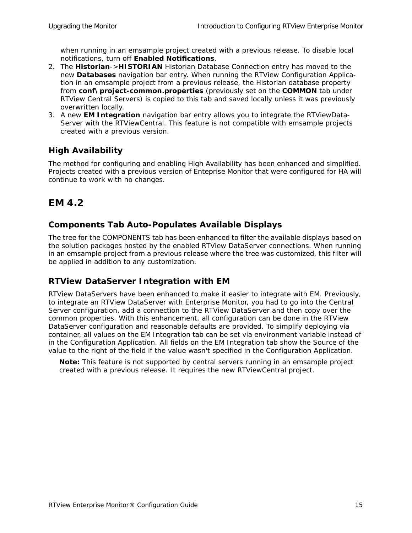when running in an emsample project created with a previous release. To disable local notifications, turn off **Enabled Notifications**.

- 2. The **Historian**->**HISTORIAN** Historian Database Connection entry has moved to the new **Databases** navigation bar entry. When running the RTView Configuration Application in an emsample project from a previous release, the Historian database property from **conf\project-common.properties** (previously set on the **COMMON** tab under RTView Central Servers) is copied to this tab and saved locally unless it was previously overwritten locally.
- 3. A new **EM Integration** navigation bar entry allows you to integrate the RTViewData-Server with the RTViewCentral. This feature is not compatible with emsample projects created with a previous version.

## <span id="page-20-0"></span>**High Availability**

The method for configuring and enabling High Availability has been enhanced and simplified. Projects created with a previous version of Enteprise Monitor that were configured for HA will continue to work with no changes.

# <span id="page-20-1"></span>**EM 4.2**

## <span id="page-20-2"></span>**Components Tab Auto-Populates Available Displays**

The tree for the COMPONENTS tab has been enhanced to filter the available displays based on the solution packages hosted by the enabled RTView DataServer connections. When running in an emsample project from a previous release where the tree was customized, this filter will be applied in addition to any customization.

## <span id="page-20-3"></span>**RTView DataServer Integration with EM**

RTView DataServers have been enhanced to make it easier to integrate with EM. Previously, to integrate an RTView DataServer with Enterprise Monitor, you had to go into the Central Server configuration, add a connection to the RTView DataServer and then copy over the common properties. With this enhancement, all configuration can be done in the RTView DataServer configuration and reasonable defaults are provided. To simplify deploying via container, all values on the EM Integration tab can be set via environment variable instead of in the Configuration Application. All fields on the EM Integration tab show the Source of the value to the right of the field if the value wasn't specified in the Configuration Application.

**Note:** This feature is not supported by central servers running in an emsample project created with a previous release. It requires the new RTViewCentral project.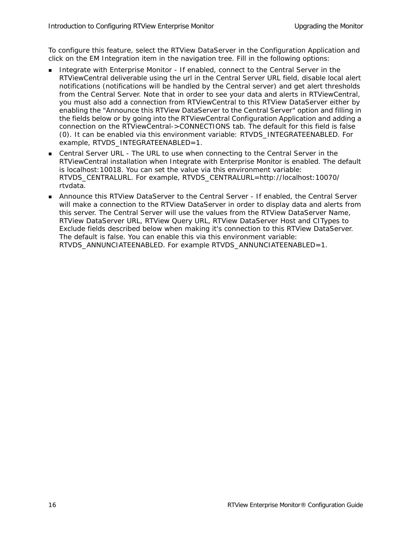To configure this feature, select the RTView DataServer in the Configuration Application and click on the EM Integration item in the navigation tree. Fill in the following options:

- Integrate with Enterprise Monitor If enabled, connect to the Central Server in the RTViewCentral deliverable using the url in the Central Server URL field, disable local alert notifications (notifications will be handled by the Central server) and get alert thresholds from the Central Server. Note that in order to see your data and alerts in RTViewCentral, you must also add a connection from RTViewCentral to this RTView DataServer either by enabling the "Announce this RTView DataServer to the Central Server" option and filling in the fields below or by going into the RTViewCentral Configuration Application and adding a connection on the RTViewCentral->CONNECTIONS tab. The default for this field is false (0). It can be enabled via this environment variable: RTVDS\_INTEGRATEENABLED. For example, RTVDS\_INTEGRATEENABLED=1.
- Central Server URL The URL to use when connecting to the Central Server in the RTViewCentral installation when Integrate with Enterprise Monitor is enabled. The default is localhost:10018. You can set the value via this environment variable: RTVDS\_CENTRALURL. For example, RTVDS\_CENTRALURL=http://localhost:10070/ rtvdata.
- Announce this RTView DataServer to the Central Server If enabled, the Central Server will make a connection to the RTView DataServer in order to display data and alerts from this server. The Central Server will use the values from the RTView DataServer Name, RTView DataServer URL, RTView Query URL, RTView DataServer Host and CITypes to Exclude fields described below when making it's connection to this RTView DataServer. The default is false. You can enable this via this environment variable: RTVDS\_ANNUNCIATEENABLED. For example RTVDS\_ANNUNCIATEENABLED=1.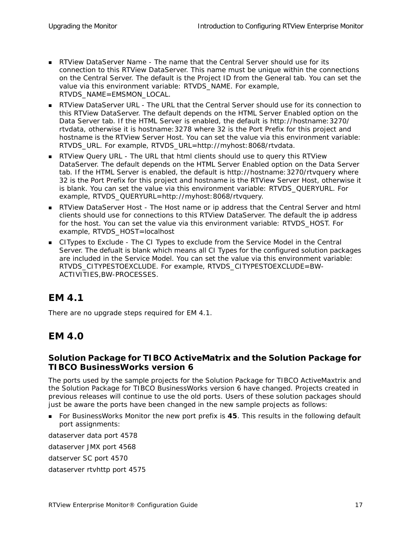- RTView DataServer Name The name that the Central Server should use for its connection to this RTView DataServer. This name must be unique within the connections on the Central Server. The default is the Project ID from the General tab. You can set the value via this environment variable: RTVDS\_NAME. For example, RTVDS\_NAME=EMSMON\_LOCAL.
- RTView DataServer URL The URL that the Central Server should use for its connection to this RTView DataServer. The default depends on the HTML Server Enabled option on the Data Server tab. If the HTML Server is enabled, the default is http://hostname:3270/ rtvdata, otherwise it is hostname:3278 where 32 is the Port Prefix for this project and hostname is the RTView Server Host. You can set the value via this environment variable: RTVDS\_URL. For example, RTVDS\_URL=http://myhost:8068/rtvdata.
- **RTView Query URL The URL that html clients should use to query this RTView** DataServer. The default depends on the HTML Server Enabled option on the Data Server tab. If the HTML Server is enabled, the default is http://hostname:3270/rtvquery where 32 is the Port Prefix for this project and hostname is the RTView Server Host, otherwise it is blank. You can set the value via this environment variable: RTVDS\_QUERYURL. For example, RTVDS\_QUERYURL=http://myhost:8068/rtvquery.
- **RTView DataServer Host The Host name or ip address that the Central Server and html** clients should use for connections to this RTView DataServer. The default the ip address for the host. You can set the value via this environment variable: RTVDS\_HOST. For example, RTVDS\_HOST=localhost
- CITypes to Exclude The CI Types to exclude from the Service Model in the Central Server. The defualt is blank which means all CI Types for the configured solution packages are included in the Service Model. You can set the value via this environment variable: RTVDS\_CITYPESTOEXCLUDE. For example, RTVDS\_CITYPESTOEXCLUDE=BW-ACTIVITIES,BW-PROCESSES.

# <span id="page-22-0"></span>**EM 4.1**

There are no upgrade steps required for EM 4.1.

# <span id="page-22-1"></span>**EM 4.0**

### <span id="page-22-2"></span>**Solution Package for TIBCO ActiveMatrix and the Solution Package for TIBCO BusinessWorks version 6**

The ports used by the sample projects for the Solution Package for TIBCO ActiveMaxtrix and the Solution Package for TIBCO BusinessWorks version 6 have changed. Projects created in previous releases will continue to use the old ports. Users of these solution packages should just be aware the ports have been changed in the new sample projects as follows:

 For BusinessWorks Monitor the new port prefix is **45**. This results in the following default port assignments:

dataserver data port 4578

dataserver JMX port 4568

datserver SC port 4570

dataserver rtvhttp port 4575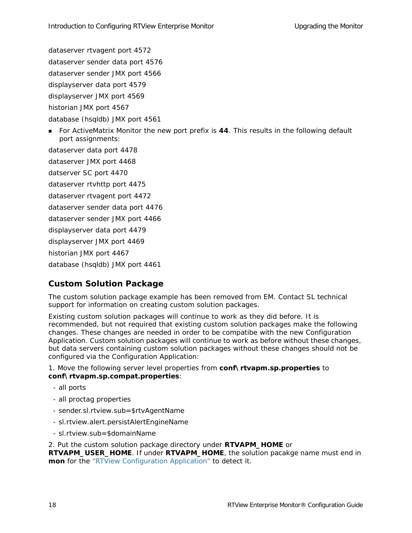dataserver rtvagent port 4572

dataserver sender data port 4576

dataserver sender JMX port 4566

displayserver data port 4579

displayserver JMX port 4569

historian JMX port 4567

database (hsqldb) JMX port 4561

**For ActiveMatrix Monitor the new port prefix is 44. This results in the following default** port assignments:

dataserver data port 4478

dataserver JMX port 4468

datserver SC port 4470

dataserver rtvhttp port 4475

dataserver rtvagent port 4472

dataserver sender data port 4476

dataserver sender JMX port 4466

displayserver data port 4479

displayserver JMX port 4469

historian JMX port 4467

database (hsqldb) JMX port 4461

## <span id="page-23-0"></span>**Custom Solution Package**

The custom solution package example has been removed from EM. Contact SL technical support for information on creating custom solution packages.

Existing custom solution packages will continue to work as they did before. It is recommended, but not required that existing custom solution packages make the following changes. These changes are needed in order to be compatibe with the new Configuration Application. Custom solution packages will continue to work as before without these changes, but data servers containing custom solution packages without these changes should not be configured via the Configuration Application:

1. Move the following server level properties from **conf\rtvapm.sp.properties** to **conf\rtvapm.sp.compat.properties**:

- all ports
- all proctag properties
- sender.sl.rtview.sub=\$rtvAgentName
- sl.rtview.alert.persistAlertEngineName
- sl.rtview.sub=\$domainName

#### 2. Put the custom solution package directory under **RTVAPM\_HOME** or

**RTVAPM\_USER\_HOME.** If under **RTVAPM\_HOME**, the solution pacakge name must end in **mon** for the "RTView Configuration Application" to detect it.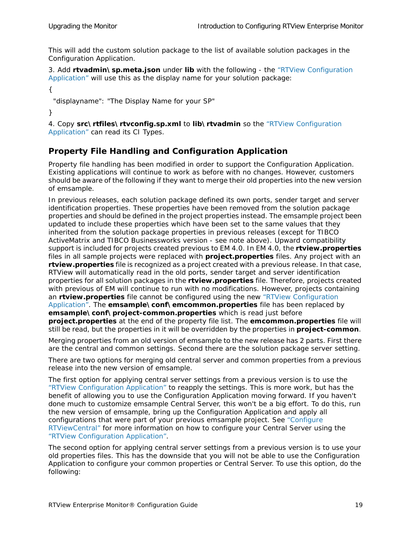This will add the custom solution package to the list of available solution packages in the Configuration Application.

3. Add **rtvadmin\sp.meta.json** under **lib** with the following - the "RTView Configuration Application" will use this as the display name for your solution package:

{

```
 "displayname": "The Display Name for your SP"
```
}

4. Copy **src\rtfiles\rtvconfig.sp.xml** to **lib\rtvadmin** so the "RTView Configuration Application" can read its CI Types.

## <span id="page-24-0"></span>**Property File Handling and Configuration Application**

Property file handling has been modified in order to support the Configuration Application. Existing applications will continue to work as before with no changes. However, customers should be aware of the following if they want to merge their old properties into the new version of emsample.

In previous releases, each solution package defined its own ports, sender target and server identification properties. These properties have been removed from the solution package properties and should be defined in the project properties instead. The emsample project been updated to include these properties which have been set to the same values that they inherited from the solution package properties in previous releases (except for TIBCO ActiveMatrix and TIBCO Businessworks version - see note above). Upward compatibility support is included for projects created previous to EM 4.0. In EM 4.0, the **rtview.properties** files in all sample projects were replaced with **project.properties** files. Any project with an **rtview.properties** file is recognized as a project created with a previous release. In that case, RTView will automatically read in the old ports, sender target and server identification properties for all solution packages in the **rtview.properties** file. Therefore, projects created with previous of EM will continue to run with no modifications. However, projects containing an **rtview.properties** file cannot be configured using the new "RTView Configuration Application". The **emsample\conf\emcommon.properties** file has been replaced by **emsample\conf\project-common.properties** which is read just before **project.properties** at the end of the property file list. The **emcommon.properties** file will still be read, but the properties in it will be overridden by the properties in **project-common**.

Merging properties from an old version of emsample to the new release has 2 parts. First there are the central and common settings. Second there are the solution package server setting.

There are two options for merging old central server and common properties from a previous release into the new version of emsample.

The first option for applying central server settings from a previous version is to use the "RTView Configuration Application" to reapply the settings. This is more work, but has the benefit of allowing you to use the Configuration Application moving forward. If you haven't done much to customize emsample Central Server, this won't be a big effort. To do this, run the new version of emsample, bring up the Configuration Application and apply all configurations that were part of your previous emsample project. See ["Configure](#page-28-2)  [RTViewCentral"](#page-28-2) for more information on how to configure your Central Server using the "RTView Configuration Application".

The second option for applying central server settings from a previous version is to use your old properties files. This has the downside that you will not be able to use the Configuration Application to configure your common properties or Central Server. To use this option, do the following: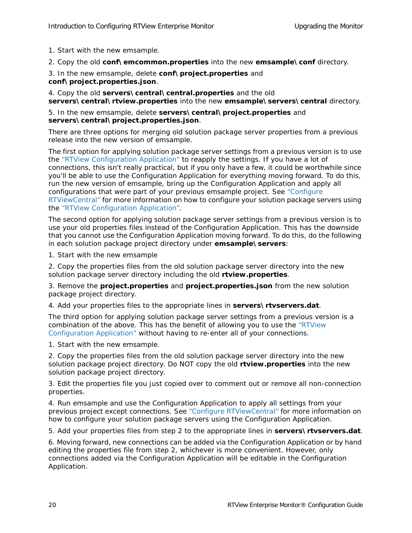1. Start with the new emsample.

2. Copy the old **conf\emcommon.properties** into the new **emsample\conf** directory.

3. In the new emsample, delete **conf\project.properties** and **conf\project.properties.json**.

4. Copy the old **servers\central\central.properties** and the old **servers\central\rtview.properties** into the new **emsample\servers\central** directory.

#### 5. In the new emsample, delete **servers\central\project.properties** and **servers\central\project.properties.json**.

There are three options for merging old solution package server properties from a previous release into the new version of emsample.

The first option for applying solution package server settings from a previous version is to use the "RTView Configuration Application" to reapply the settings. If you have a lot of connections, this isn't really practical, but if you only have a few, it could be worthwhile since you'll be able to use the Configuration Application for everything moving forward. To do this, run the new version of emsample, bring up the Configuration Application and apply all configurations that were part of your previous emsample project. See ["Configure](#page-28-2)  [RTViewCentral"](#page-28-2) for more information on how to configure your solution package servers using the "RTView Configuration Application".

The second option for applying solution package server settings from a previous version is to use your old properties files instead of the Configuration Application. This has the downside that you cannot use the Configuration Application moving forward. To do this, do the following in each solution package project directory under **emsample\servers**:

1. Start with the new emsample

2. Copy the properties files from the old solution package server directory into the new solution package server directory including the old **rtview.properties**.

3. Remove the **project.properties** and **project.properties.json** from the new solution package project directory.

4. Add your properties files to the appropriate lines in **servers\rtvservers.dat**.

The third option for applying solution package server settings from a previous version is a combination of the above. This has the benefit of allowing you to use the "RTView Configuration Application" without having to re-enter all of your connections.

1. Start with the new emsample.

2. Copy the properties files from the old solution package server directory into the new solution package project directory. Do NOT copy the old **rtview.properties** into the new solution package project directory.

3. Edit the properties file you just copied over to comment out or remove all non-connection properties.

4. Run emsample and use the Configuration Application to apply all settings from your previous project except connections. See ["Configure RTViewCentral"](#page-28-2) for more information on how to configure your solution package servers using the Configuration Application.

5. Add your properties files from step 2 to the appropriate lines in **servers\rtvservers.dat**.

6. Moving forward, new connections can be added via the Configuration Application or by hand editing the properties file from step 2, whichever is more convenient. However, only connections added via the Configuration Application will be editable in the Configuration Application.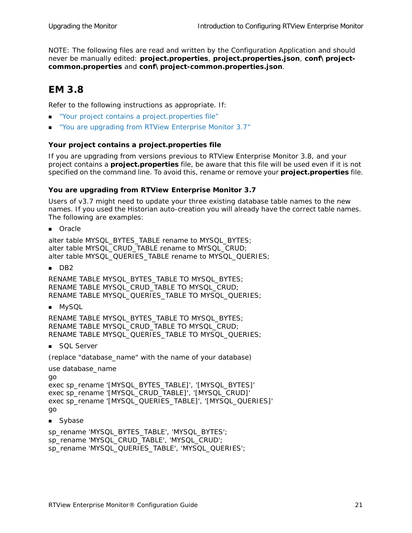NOTE: The following files are read and written by the Configuration Application and should never be manually edited: **project.properties**, **project.properties.json**, **conf\projectcommon.properties** and **conf\project-common.properties.json**.

## <span id="page-26-0"></span>**EM 3.8**

Refer to the following instructions as appropriate. If:

- ["Your project contains a project.properties file"](#page-26-1)
- ["You are upgrading from RTView Enterprise Monitor 3.7"](#page-26-2)

#### <span id="page-26-1"></span>**Your project contains a project.properties file**

If you are upgrading from versions previous to RTView Enterprise Monitor 3.8, and your project contains a **project.properties** file, be aware that this file will be used even if it is not specified on the command line. To avoid this, rename or remove your **project.properties** file.

#### <span id="page-26-2"></span>**You are upgrading from RTView Enterprise Monitor 3.7**

Users of v3.7 might need to update your three existing database table names to the new names. If you used the Historian auto-creation you will already have the correct table names. The following are examples:

**Oracle** 

alter table MYSQL\_BYTES\_TABLE rename to MYSQL\_BYTES; alter table MYSQL\_CRUD\_TABLE rename to MYSQL\_CRUD; alter table MYSQL\_QUERIES\_TABLE rename to MYSQL\_QUERIES;

 $\blacksquare$  DB2

RENAME TABLE MYSQL\_BYTES\_TABLE TO MYSQL\_BYTES; RENAME TABLE MYSQL\_CRUD\_TABLE TO MYSQL\_CRUD; RENAME TABLE MYSQL\_QUERIES\_TABLE TO MYSQL\_QUERIES;

**MySQL** 

RENAME TABLE MYSQL\_BYTES\_TABLE TO MYSQL\_BYTES; RENAME TABLE MYSQL\_CRUD\_TABLE TO MYSQL\_CRUD; RENAME TABLE MYSQL\_QUERIES\_TABLE TO MYSQL\_QUERIES;

SQL Server

(replace "database\_name" with the name of your database)

```
use database_name
```

```
go 
exec sp_rename '[MYSQL_BYTES_TABLE]', '[MYSQL_BYTES]' 
exec sp_rename '[MYSQL_CRUD_TABLE]', '[MYSQL_CRUD]' 
exec sp_rename '[MYSQL_QUERIES_TABLE]', '[MYSQL_QUERIES]' 
go
```
**Sybase** 

sp\_rename 'MYSQL\_BYTES\_TABLE', 'MYSQL\_BYTES'; sp\_rename 'MYSQL\_CRUD\_TABLE', 'MYSQL\_CRUD'; sp\_rename 'MYSQL\_QUERIES\_TABLE', 'MYSQL\_QUERIES';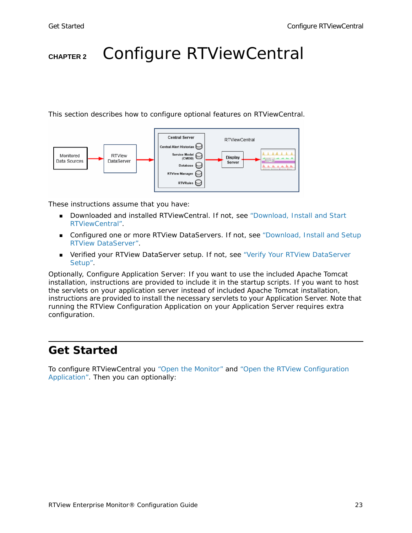# <span id="page-28-2"></span><span id="page-28-0"></span>**CHAPTER 2** Configure RTViewCentral

This section describes how to configure optional features on RTViewCentral.



These instructions assume that you have:

- **Downloaded and installed RTViewCentral. If not, see "Download, Install and Start** [RTViewCentral"](#page-9-2).
- **Configured one or more RTView DataServers. If not, see** "Download, Install and Setup [RTView DataServer".](#page-11-3)
- Verified your RTView DataServer setup. If not, see ["Verify Your RTView DataServer](#page-11-2)  [Setup"](#page-11-2).

Optionally, Configure Application Server: If you want to use the included Apache Tomcat installation, instructions are provided to include it in the startup scripts. If you want to host the servlets on your application server instead of included Apache Tomcat installation, instructions are provided to install the necessary servlets to your Application Server. Note that running the RTView Configuration Application on your Application Server requires extra configuration.

# <span id="page-28-1"></span>**Get Started**

To configure RTViewCentral you ["Open the Monitor"](#page-29-0) and ["Open the RTView Configuration](#page-30-0)  [Application".](#page-30-0) Then you can optionally: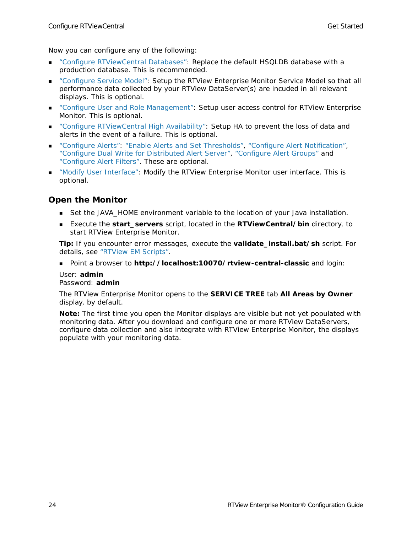Now you can configure any of the following:

- ["Configure RTViewCentral Databases":](#page-31-0) Replace the default HSQLDB database with a production database. This is recommended.
- ["Configure Service Model":](#page-34-0) Setup the RTView Enterprise Monitor Service Model so that all performance data collected by your RTView DataServer(s) are incuded in all relevant displays. This is optional.
- ["Configure User and Role Management":](#page-43-0) Setup user access control for RTView Enterprise Monitor. This is optional.
- ["Configure RTViewCentral High Availability":](#page-46-0) Setup HA to prevent the loss of data and alerts in the event of a failure. This is optional.
- ["Configure Alerts"](#page-50-3): ["Enable Alerts and Set Thresholds",](#page-50-4) ["Configure Alert Notification"](#page-50-5), ["Configure Dual Write for Distributed Alert Server"](#page-57-1), ["Configure Alert Groups"](#page-58-1) and ["Configure Alert Filters"](#page-60-1). These are optional.
- ["Modify User Interface"](#page-64-3): Modify the RTView Enterprise Monitor user interface. This is optional.

### <span id="page-29-0"></span>**Open the Monitor**

- Set the JAVA\_HOME environment variable to the location of your Java installation.
- Execute the **start\_servers** script, located in the **RTViewCentral/bin** directory, to start RTView Enterprise Monitor.

**Tip:** If you encounter error messages, execute the **validate\_install.bat/sh** script. For details, see "RTView EM Scripts".

Point a browser to **http://localhost:10070/rtview-central-classic** and login:

#### User: **admin** Password: **admin**

The RTView Enterprise Monitor opens to the **SERVICE TREE** tab **All Areas by Owner**  display, by default.

**Note:** The first time you open the Monitor displays are visible but not yet populated with monitoring data. After you download and configure one or more RTView DataServers, configure data collection *and also* integrate with RTView Enterprise Monitor, the displays populate with your monitoring data.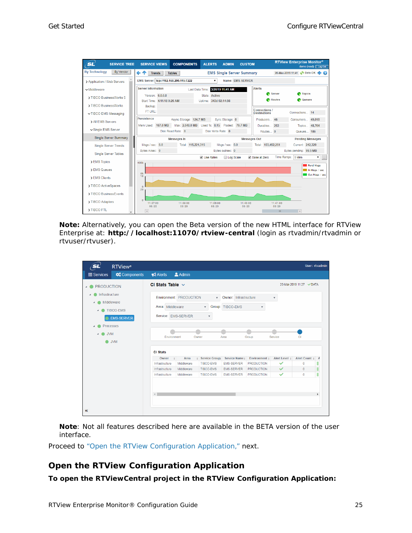| <b>SL</b><br><b>SERVICE TREE</b>  | <b>COMPONENTS</b><br><b>SERVICE VIEWS</b>                | <b>ALERTS</b><br><b>ADMIN</b><br><b>CUSTOM</b>                     |                                      | <b>RTView Enterprise Monitor®</b><br>demo (read) $\sqrt{\log 0}$ ut |
|-----------------------------------|----------------------------------------------------------|--------------------------------------------------------------------|--------------------------------------|---------------------------------------------------------------------|
| <b>By Technology</b><br>By Vendor | ←↑<br><b>Trends</b><br><b>Tables</b>                     | <b>EMS Single Server Summary</b>                                   |                                      | 20-Mar-2019 11:41 CO Data OK + 2                                    |
| > Application / Web Servers       | EMS Server: tcp://192.168.200.115:7222                   | Name: EMS-SERVER<br>$\mathbf{v}$                                   |                                      |                                                                     |
| $\vee$ Middleware                 | <b>Server Information</b>                                | Last Data Time: 3/20/19 11:41 AM                                   | <b>Alerts</b>                        |                                                                     |
| > TIBCO BusinessWorks 5           | Version: 6.0.0.8<br>Start Time: 4/11/18 9:26 AM          | State: Active<br>Uptime: 343d 02:14:56                             | Server<br>Routes <sup></sup>         | <b>Topics</b><br>≏<br><b>Queues</b>                                 |
| > TIBCO BusinessWorks             | Backup:                                                  |                                                                    |                                      |                                                                     |
| <b>▽ TIBCO EMS Messaging</b>      | FT URL:                                                  |                                                                    | Connections /<br><b>Destinations</b> | Connections 14                                                      |
| > All FMS Servers                 | <b>Persistence</b><br>Async Storage: 124.7 MB            | Sync Storage: 0                                                    | Producers 46                         | Consumers 49,018                                                    |
| <b>√Single EMS Server</b>         | Mem Used: 167.0 MB<br>Disk Read Rate: 0                  | Max: 2,048.0 MB Used %: 8.15 Pooled: 79.7 MB<br>Disk Write Rate: 0 | Durables 253                         | Topics 48,764                                                       |
| <b>Single Server Summary</b>      |                                                          |                                                                    | Routes 0                             | Queues 186                                                          |
|                                   | <b>Messages In</b>                                       |                                                                    | <b>Messages Out</b>                  | <b>Pending Messages</b>                                             |
| <b>Single Server Trends</b>       | Msas / sec: 0.0<br>Total: 115,221,315<br>Bytes in/sec: 0 | Msas / sec: 0.0<br>Bytes out/sec: 0                                | Total: 193,452,251                   | Current: 242,320                                                    |
| <b>Single Server Tables</b>       |                                                          | ■ Use Rates<br>Log Scale                                           | ✔ Base at Zero                       | Bytes pending: 99.5 MB<br>Time Range: 5 Mins<br>$\mathbf{v}$        |
| > EMS Topics                      | 400k                                                     |                                                                    |                                      | $\sim$                                                              |
| > EMS Queues                      |                                                          |                                                                    |                                      | Pend Msgs<br>In Msgs / sec                                          |
| > EMS Clients                     | 0 <sub>k</sub><br>10                                     |                                                                    |                                      | Out Msgs / sec                                                      |
| > TIBCO ActiveSpaces              | $\Omega$                                                 |                                                                    |                                      |                                                                     |
| > TIBCO BusinessFvents            | 20                                                       |                                                                    |                                      |                                                                     |
| > TIBCO Adapters                  | $\Omega$<br>11:37:00<br>11:38:00                         | 11:39:00<br>11:40:00                                               | 11:41:00                             |                                                                     |
| > TIBCO FTL                       | 03/20<br>03/20<br>$\overline{4}$                         | 03/20<br>03/20                                                     | 03/20<br>Ш                           | $\rightarrow$                                                       |

**Note:** Alternatively, you can open the Beta version of the new HTML interface for RTView Enterprise at: **http://localhost:11070/rtview-central** (login as rtvadmin/rtvadmin or rtvuser/rtvuser).

| sl                                  | <b>RTView®</b>                                      |                                         |                         |                                                                    |                                           |                           |               |                         | User: rtvadmin |
|-------------------------------------|-----------------------------------------------------|-----------------------------------------|-------------------------|--------------------------------------------------------------------|-------------------------------------------|---------------------------|---------------|-------------------------|----------------|
| <b>E</b> Services                   | <b>Components</b>                                   | $\blacktriangle$ Alerts                 | <b>2</b> Admin          |                                                                    |                                           |                           |               |                         |                |
| <b>PRODUCTION</b><br>$\overline{a}$ |                                                     | CI Stats Table $\sim$                   |                         |                                                                    |                                           |                           |               | 20-Mar-2019 11:27 VDATA |                |
| Infrastructure<br>$\boldsymbol{A}$  | Middleware<br><b>TIBCO-EMS</b><br><b>EMS-SERVER</b> | Area: Middleware<br>Service: EMS-SERVER | Environment: PRODUCTION | $\mathbf{v}$<br>$\overline{\mathbf{v}}$<br>$\overline{\mathbf{v}}$ | Owner: Infrastructure<br>Group: TIBCO-EMS | $\boldsymbol{\mathrm{v}}$ | $\mathbf{v}$  |                         |                |
| <b>JVM</b>                          | Processes<br><b>JVM</b>                             | Environment<br><b>CI Stats</b>          | Owner                   |                                                                    | Area                                      | Group                     | Service       | <b>CI</b>               |                |
|                                     |                                                     | Owner<br>$\bar{z}$                      | Area                    | <b>Service Group</b>                                               | Service Name                              | Environment #             | Alert Level # | Alert Count             | A              |
|                                     |                                                     | Infrastructure                          | Middleware              | <b>TIBCO-EMS</b>                                                   | <b>EMS-SERVER</b>                         | <b>PRODUCTION</b>         | ✓             | Ō                       |                |
|                                     |                                                     | Infrastructure                          | Middleware              | <b>TIBCO-EMS</b>                                                   | <b>EMS-SERVER</b>                         | <b>PRODUCTION</b>         | $\checkmark$  | $\overline{0}$          |                |
|                                     |                                                     | Infrastructure                          | Middleware              | <b>TIBCO-EMS</b>                                                   | <b>EMS-SERVER</b>                         | <b>PRODUCTION</b>         | ✓             | 0                       |                |
| $\ll$                               |                                                     | $\leftarrow$                            |                         |                                                                    |                                           |                           |               |                         |                |

**Note**: Not all features described here are available in the BETA version of the user interface.

Proceed to ["Open the RTView Configuration Application," next.](#page-30-0)

### <span id="page-30-0"></span>**Open the RTView Configuration Application**

**To open the RTViewCentral project in the RTView Configuration Application:**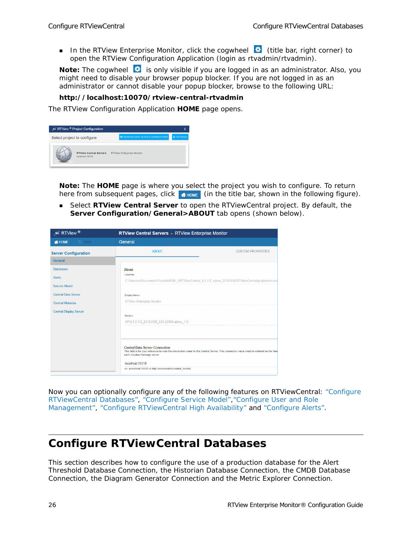In the RTView Enterprise Monitor, click the cogwheel  $\ddot{\bullet}$  (title bar, right corner) to open the RTView Configuration Application (login as rtvadmin/rtvadmin).

Note: The cogwheel **is** is only visible if you are logged in as an administrator. Also, you might need to disable your browser popup blocker. If you are not logged in as an administrator or cannot disable your popup blocker, browse to the following URL:

#### **http://localhost:10070/rtview-central-rtvadmin**

The RTView Configuration Application **HOME** page opens.



**Note:** The **HOME** page is where you select the project you wish to configure. To return here from subsequent pages, click  $\bullet$  howe (in the title bar, shown in the following figure).

 Select **RTView Central Server** to open the RTViewCentral project. By default, the **Server Configuration/General>ABOUT** tab opens (shown below).

| $\mathscr{F}$ RTView $^{\circledR}$ | <b>RTView Central Servers - RTView Enterprise Monitor</b>                                                                                                                                                        |                          |
|-------------------------------------|------------------------------------------------------------------------------------------------------------------------------------------------------------------------------------------------------------------|--------------------------|
| <b>N</b> HOME<br>$P$ SAVE           | General                                                                                                                                                                                                          |                          |
| <b>Server Configuration</b>         | <b>ABOUT</b>                                                                                                                                                                                                     | <b>CUSTOM PROPERTIES</b> |
| <b>General</b>                      |                                                                                                                                                                                                                  |                          |
| <b>Databases</b>                    | <b>About</b>                                                                                                                                                                                                     |                          |
| <b>Alerts</b>                       | Location<br>C:\Users\m\Documents\Projects\EM5_0\RTViewCentral_5.0.0.0_alpha_20181008\RTViewCentral\projects\rtview                                                                                               |                          |
| Service Model                       |                                                                                                                                                                                                                  |                          |
| <b>Central Data Server</b>          | Display Name                                                                                                                                                                                                     |                          |
| <b>Central Historian</b>            | RTView Enterprise Monitor                                                                                                                                                                                        |                          |
| <b>Central Display Server</b>       |                                                                                                                                                                                                                  |                          |
|                                     | Version<br>APM.5.0.0.0_20181008_000.28960-alpha_115                                                                                                                                                              |                          |
|                                     |                                                                                                                                                                                                                  |                          |
|                                     |                                                                                                                                                                                                                  |                          |
|                                     | <b>Central Data Server Connection</b><br>This field is for your reference to note the connection value for the Central Server. This connection value must be entered on the Gen<br>each Solution Package server. |                          |
|                                     | localhost: 10018                                                                                                                                                                                                 |                          |
|                                     | ex. somehost:10018 or http://somehost/rtvcentral_rtvdata                                                                                                                                                         |                          |

Now you can optionally configure any of the following features on RTViewCentral: ["Configure](#page-31-0)  [RTViewCentral Databases",](#page-31-0) ["Configure Service Model"](#page-34-0),["Configure User and Role](#page-43-0)  [Management",](#page-43-0) ["Configure RTViewCentral High Availability"](#page-46-0) and ["Configure Alerts"](#page-50-3).

# <span id="page-31-0"></span>**Configure RTViewCentral Databases**

This section describes how to configure the use of a production database for the Alert Threshold Database Connection, the Historian Database Connection, the CMDB Database Connection, the Diagram Generator Connection and the Metric Explorer Connection.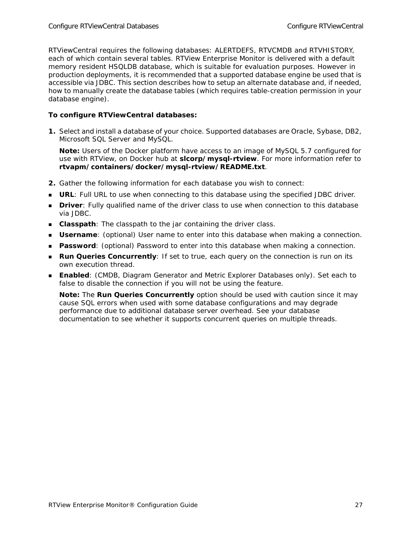RTViewCentral requires the following databases: ALERTDEFS, RTVCMDB and RTVHISTORY, each of which contain several tables. RTView Enterprise Monitor is delivered with a default memory resident HSQLDB database, which is suitable for evaluation purposes. However in production deployments, it is recommended that a supported database engine be used that is accessible via JDBC. This section describes how to setup an alternate database and, if needed, how to manually create the database tables (which requires table-creation permission in your database engine).

#### **To configure RTViewCentral databases:**

**1.** Select and install a database of your choice. Supported databases are Oracle, Sybase, DB2, Microsoft SQL Server and MySQL.

**Note:** Users of the Docker platform have access to an image of MySQL 5.7 configured for use with RTView, on Docker hub at **slcorp/mysql-rtview**. For more information refer to **rtvapm/containers/docker/mysql-rtview/README.txt**.

- **2.** Gather the following information for each database you wish to connect:
- **URL:** Full URL to use when connecting to this database using the specified JDBC driver.
- **Driver**: Fully qualified name of the driver class to use when connection to this database via JDBC.
- **Classpath**: The classpath to the jar containing the driver class.
- **Username**: (optional) User name to enter into this database when making a connection.
- **Password**: (optional) Password to enter into this database when making a connection.
- **Run Queries Concurrently**: If set to true, each query on the connection is run on its own execution thread.
- **Enabled**: (CMDB, Diagram Generator and Metric Explorer Databases only). Set each to false to disable the connection if you will not be using the feature.

**Note:** The **Run Queries Concurrently** option should be used with caution since it may cause SQL errors when used with some database configurations and may degrade performance due to additional database server overhead. See your database documentation to see whether it supports concurrent queries on multiple threads.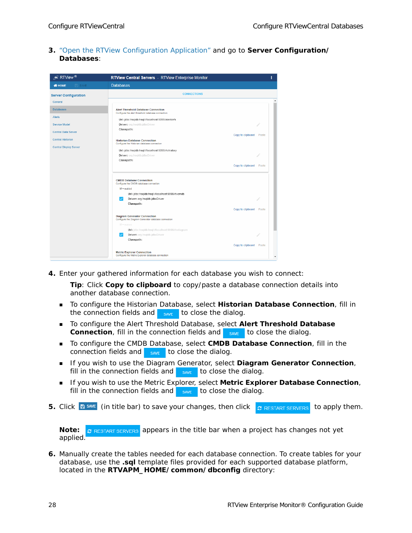**3.** ["Open the RTView Configuration Application"](#page-30-0) and go to **Server Configuration/ Databases**:

| $\overline{\mathcal{L}}$ RTView ®                                                                                                      | RTView Central Servers - RTView Enterprise Monitor                                                                                                                                                                                                                                                                                                                                                                                                                                                                 | ı              |  |
|----------------------------------------------------------------------------------------------------------------------------------------|--------------------------------------------------------------------------------------------------------------------------------------------------------------------------------------------------------------------------------------------------------------------------------------------------------------------------------------------------------------------------------------------------------------------------------------------------------------------------------------------------------------------|----------------|--|
| <b>N</b> HOME<br><b>E</b> SAVE                                                                                                         | <b>Databases</b>                                                                                                                                                                                                                                                                                                                                                                                                                                                                                                   |                |  |
| <b>Server Configuration</b><br>General                                                                                                 | <b>CONNECTIONS</b>                                                                                                                                                                                                                                                                                                                                                                                                                                                                                                 |                |  |
| <b>Databases</b><br>Alerts<br>Service Model<br><b>Central Data Server</b><br><b>Central Historian</b><br><b>Central Display Server</b> | <b>Alert Threshold Database Connection</b><br>Configure the alert threshold database connection<br>Url: jdbc:hsqldb:hsql://localhost:9099/alertdefs<br><b>Driver:</b> org.hsqldb.jdbcDriver<br>Classpath:<br>Copy to clipboard<br><b>Historian Database Connection</b><br>Configure the Historian database connection<br>Url: jdbc:hsqldb:hsql://localhost:9099/rtvhistory<br><b>Driver:</b> org.hsqldb.jdbcDriver<br>Classpath:<br>Copy to clipboard Paste                                                        | Paste          |  |
|                                                                                                                                        | <b>CMDB Database Connection</b><br>Configure the CMDB database connection<br>$\mathbf{F}$ = enabled<br>Url: jdbc:hsqldb:hsql://localhost:9099/rtvcmdb<br>Driver: org.hsqldb.jdbcDriver<br>$\checkmark$<br>Classpath:<br>Copy to clipboard<br><b>Diagram Generator Connection</b><br>Configure the Diagram Generator database connection<br>$\mathcal{A} =$ enabled<br>Url: jdbc:hsqldb:hsql://localhost:9099/rtvdiagram<br><b>Driver:</b> org.hsgldb.jdbcDriver<br>$\checkmark$<br>Classpath:<br>Copy to clipboard | Paste<br>Paste |  |
|                                                                                                                                        | <b>Metric Explorer Connection</b><br>Configure the Metric Explorer database connection                                                                                                                                                                                                                                                                                                                                                                                                                             |                |  |

**4.** Enter your gathered information for each database you wish to connect:

**Tip**: Click **Copy to clipboard** to copy/paste a database connection details into another database connection.

- To configure the Historian Database, select **Historian Database Connection**, fill in the connection fields and  $\frac{1}{\sqrt{2}}$  to close the dialog.
- To configure the Alert Threshold Database, select **Alert Threshold Database Connection**, fill in the connection fields and save to close the dialog.
- To configure the CMDB Database, select **CMDB Database Connection**, fill in the connection fields and  $\frac{1}{\sqrt{2}}$  to close the dialog.
- **If you wish to use the Diagram Generator, select Diagram Generator Connection,** fill in the connection fields and  $\frac{1}{\sqrt{2}}$  to close the dialog.
- **If you wish to use the Metric Explorer, select Metric Explorer Database Connection,** fill in the connection fields and  $\frac{1}{\sqrt{2}}$  to close the dialog.
- **5.** Click  $\mathbb{B}^{\text{SAVE}}$  (in title bar) to save your changes, then click  $\mathcal{C}^{\text{RESTART SERVERS}}$  to apply them.

**Note: c** RESTART SERVERS appears in the title bar when a project has changes not yet applied.

**6.** Manually create the tables needed for each database connection. To create tables for your database, use the **.sql** template files provided for each supported database platform, located in the **RTVAPM\_HOME/common/dbconfig** directory: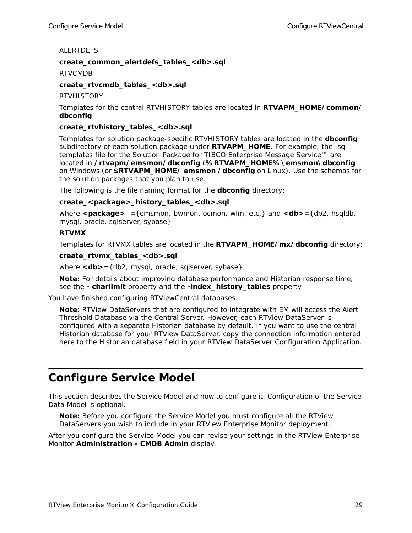ALERTDEFS

#### **create\_common\_alertdefs\_tables\_<db>.sql**

**RTVCMDB** 

**create\_rtvcmdb\_tables\_<db>.sql** 

**RTVHISTORY** 

Templates for the central RTVHISTORY tables are located in **RTVAPM\_HOME/common/ dbconfig**:

#### **create\_rtvhistory\_tables\_<db>.sql**

Templates for solution package-specific RTVHISTORY tables are located in the **dbconfig** subdirectory of each solution package under **RTVAPM\_HOME**. For example, the .sql templates file for the Solution Package for TIBCO Enterprise Message Service™ are located in **/rtvapm/emsmon/dbconfig** (**%RTVAPM\_HOME%\emsmon\dbconfig** on Windows (or **\$RTVAPM\_HOME/ emsmon /dbconfig** on Linux). Use the schemas for the solution packages that you plan to use.

The following is the file naming format for the **dbconfig** directory:

#### **create\_<package>\_history\_tables\_<db>.sql**

where **<package>** ={emsmon, bwmon, ocmon, wlm, etc.} and **<db>**={db2, hsqldb, mysql, oracle, sqlserver, sybase}

#### **RTVMX**

Templates for RTVMX tables are located in the **RTVAPM\_HOME/mx/dbconfig** directory:

#### **create\_rtvmx\_tables\_<db>.sql**

where <db> = {db2, mysql, oracle, sqlserver, sybase}

**Note:** For details about improving database performance and Historian response time, see the **- charlimit** property and the **-index\_history\_tables** property.

You have finished configuring RTViewCentral databases.

**Note:** RTView DataServers that are configured to integrate with EM will access the Alert Threshold Database via the Central Server. However, each RTView DataServer is configured with a separate Historian database by default. If you want to use the central Historian database for your RTView DataServer, copy the connection information entered here to the Historian database field in your RTView DataServer Configuration Application.

# <span id="page-34-0"></span>**Configure Service Model**

This section describes the Service Model and how to configure it. Configuration of the Service Data Model is optional.

**Note:** Before you configure the Service Model you must configure all the RTView DataServers you wish to include in your RTView Enterprise Monitor deployment.

After you configure the Service Model you can revise your settings in the RTView Enterprise Monitor **Administration - CMDB Admin** display.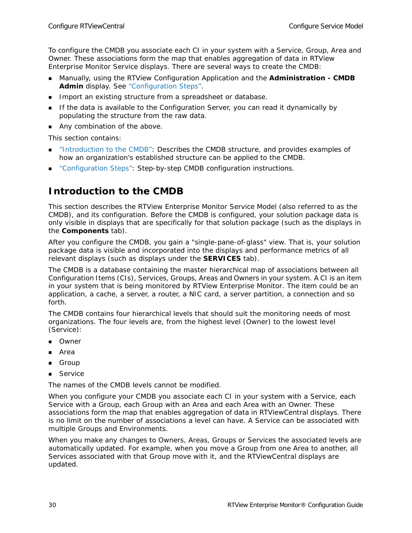To configure the CMDB you associate each CI in your system with a Service, Group, Area and Owner. These associations form the map that enables aggregation of data in RTView Enterprise Monitor Service displays. There are several ways to create the CMDB:

- Manually, using the RTView Configuration Application and the **Administration CMDB Admin** display. See ["Configuration Steps"](#page-37-0).
- **IMPORTED 10 IMPORT And EXISTING STATE IMPORT AT A SPEADER FILM IN A SPEADER IN A SPEADER IN A SPEADER SPEADER I**
- If the data is available to the Configuration Server, you can read it dynamically by populating the structure from the raw data.
- Any combination of the above.

This section contains:

- ["Introduction to the CMDB":](#page-35-0) Describes the CMDB structure, and provides examples of how an organization's established structure can be applied to the CMDB.
- ["Configuration Steps"](#page-37-0): Step-by-step CMDB configuration instructions.

## <span id="page-35-0"></span>**Introduction to the CMDB**

This section describes the RTView Enterprise Monitor Service Model (also referred to as the CMDB), and its configuration. Before the CMDB is configured, your solution package data is only visible in displays that are specifically for that solution package (such as the displays in the **Components** tab).

After you configure the CMDB, you gain a "single-pane-of-glass" view. That is, your solution package data is visible and incorporated into the displays and performance metrics of all relevant displays (such as displays under the **SERVICES** tab).

The CMDB is a database containing the master hierarchical map of associations between all *Configuration Items* (CIs), Services, Groups, Areas and Owners in your system. A CI is an item in your system that is being monitored by RTView Enterprise Monitor. The item could be an application, a cache, a server, a router, a NIC card, a server partition, a connection and so forth.

The CMDB contains four hierarchical levels that should suit the monitoring needs of most organizations. The four levels are, from the highest level (Owner) to the lowest level (Service):

- Owner
- Area
- Group
- **Service**

The names of the CMDB levels cannot be modified.

When you configure your CMDB you associate each CI in your system with a Service, each Service with a Group, each Group with an Area and each Area with an Owner. These associations form the map that enables aggregation of data in RTViewCentral displays. There is no limit on the number of associations a level can have. A Service can be associated with multiple Groups and Environments.

When you make any changes to Owners, Areas, Groups or Services the associated levels are automatically updated. For example, when you move a Group from one Area to another, all Services associated with that Group move with it, and the RTViewCentral displays are updated.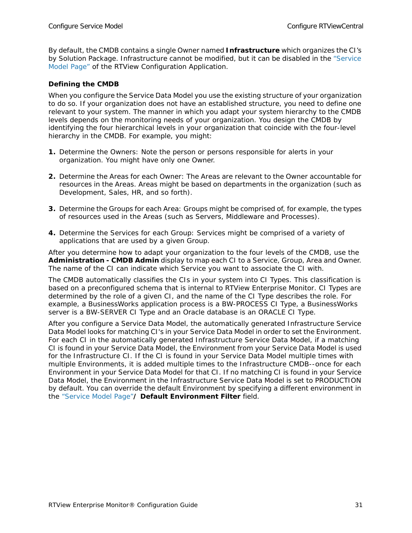By default, the CMDB contains a single Owner named **Infrastructure** which organizes the CI's by Solution Package. Infrastructure cannot be modified, but it can be disabled in the ["Service](#page-83-0)  [Model Page"](#page-83-0) of the RTView Configuration Application.

#### **Defining the CMDB**

When you configure the Service Data Model you use the existing structure of your organization to do so. If your organization does not have an established structure, you need to define one relevant to your system. The manner in which you adapt your system hierarchy to the CMDB levels depends on the monitoring needs of your organization. You design the CMDB by identifying the four hierarchical levels in your organization that coincide with the four-level hierarchy in the CMDB. For example, you might:

- **1.** Determine the Owners: Note the person or persons responsible for alerts in your organization. You might have only one Owner.
- **2.** Determine the Areas for each Owner: The Areas are relevant to the Owner accountable for resources in the Areas. Areas might be based on departments in the organization (such as Development, Sales, HR, and so forth).
- **3.** Determine the Groups for each Area: Groups might be comprised of, for example, the types of resources used in the Areas (such as Servers, Middleware and Processes).
- **4.** Determine the Services for each Group: Services might be comprised of a variety of applications that are used by a given Group.

After you determine how to adapt your organization to the four levels of the CMDB, use the **Administration - CMDB Admin** display to map each CI to a Service, Group, Area and Owner. The name of the CI can indicate which Service you want to associate the CI with.

The CMDB automatically classifies the CIs in your system into CI Types. This classification is based on a preconfigured schema that is internal to RTView Enterprise Monitor. CI Types are determined by the role of a given CI, and the name of the CI Type describes the role. For example, a BusinessWorks application process is a BW-PROCESS CI Type, a BusinessWorks server is a BW-SERVER CI Type and an Oracle database is an ORACLE CI Type.

After you configure a Service Data Model, the automatically generated Infrastructure Service Data Model looks for matching CI's in your Service Data Model in order to set the Environment. For each CI in the automatically generated Infrastructure Service Data Model, if a matching CI is found in your Service Data Model, the Environment from your Service Data Model is used for the Infrastructure CI. If the CI is found in your Service Data Model multiple times with multiple Environments, it is added multiple times to the Infrastructure CMDB--once for each Environment in your Service Data Model for that CI. If no matching CI is found in your Service Data Model, the Environment in the Infrastructure Service Data Model is set to PRODUCTION by default. You can override the default Environment by specifying a different environment in the ["Service Model Page"](#page-83-0)**/ Default Environment Filter** field.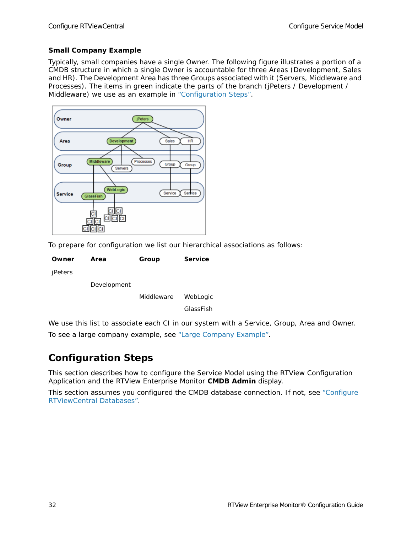#### <span id="page-37-1"></span>**Small Company Example**

Typically, small companies have a single Owner. The following figure illustrates a portion of a CMDB structure in which a single Owner is accountable for three Areas (Development, Sales and HR). The Development Area has three Groups associated with it (Servers, Middleware and Processes). The items in green indicate the parts of the branch (jPeters / Development / Middleware) we use as an example in ["Configuration Steps".](#page-37-0)



To prepare for configuration we list our hierarchical associations as follows:

| Owner   | Area        | Group      | <b>Service</b> |
|---------|-------------|------------|----------------|
| jPeters |             |            |                |
|         | Development |            |                |
|         |             | Middleware | WebLogic       |

GlassFish

We use this list to associate each CI in our system with a Service, Group, Area and Owner. To see a large company example, see ["Large Company Example"](#page-42-0).

### <span id="page-37-0"></span>**Configuration Steps**

This section describes how to configure the Service Model using the RTView Configuration Application and the RTView Enterprise Monitor **CMDB Admin** display.

This section assumes you configured the CMDB database connection. If not, see ["Configure](#page-31-0)  [RTViewCentral Databases".](#page-31-0)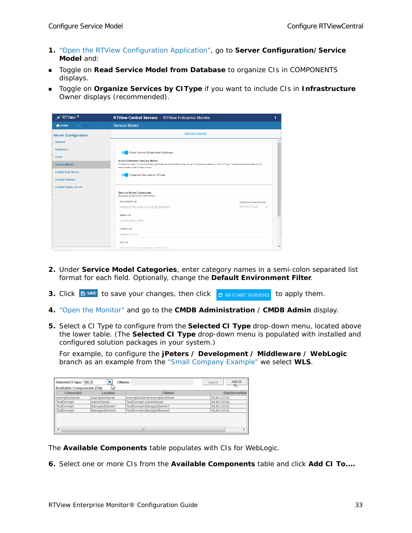- **1.** ["Open the RTView Configuration Application"](#page-30-0), go to **Server Configuration/Service Model** and:
- **Toggle on Read Service Model from Database** to organize CIs in COMPONENTS displays.
- Toggle on **Organize Services by CIType** if you want to include CIs in **Infrastructure** Owner displays (recommended).

| $\overline{\mathcal{L}}$ RTView $^{\circledR}$                                                                                                                                          | RTView Central Servers - RTView Enterprise Monitor                                                                                                                                                                                                                                                                                                                                                                                                                                                                                                        | I |
|-----------------------------------------------------------------------------------------------------------------------------------------------------------------------------------------|-----------------------------------------------------------------------------------------------------------------------------------------------------------------------------------------------------------------------------------------------------------------------------------------------------------------------------------------------------------------------------------------------------------------------------------------------------------------------------------------------------------------------------------------------------------|---|
| <b>WHOME</b><br>$\Rightarrow$ SAVE                                                                                                                                                      | Service Model                                                                                                                                                                                                                                                                                                                                                                                                                                                                                                                                             |   |
| <b>Server Configuration</b><br>General<br><b>Databases</b><br>Alerts<br><b>Service Model</b><br><b>Central Data Server</b><br><b>Central Historian</b><br><b>Central Display Server</b> | <b>SERVICE MODEL</b><br>Read Service Model from Database<br><b>Auto-Generated Service Model</b><br>Enable this option to automatically generate Service Model entries for all components based on their CIType. These entries are listed in the<br>service tree under Infrastructure.<br>Organize Services by CIType<br><b>Service Model Categories</b><br>Separate list items with semi-colons<br>Environment List<br>Default Environment Filter<br>PRODUCTION<br>PRODUCTION;DR;UAT;DEVELOPMENT<br>$\;$<br>Region List<br>AMER:EMEA:APAC<br>Country List |   |
|                                                                                                                                                                                         | Japan:UK:USA<br>City List                                                                                                                                                                                                                                                                                                                                                                                                                                                                                                                                 |   |
|                                                                                                                                                                                         | Chinann:Dallas: London:New York:Tokyo                                                                                                                                                                                                                                                                                                                                                                                                                                                                                                                     |   |

- **2.** Under **Service Model Categories**, enter category names in a semi-colon separated list format for each field. Optionally, change the **Default Environment Filter**.
- **3.** Click **B** SAVE to save your changes, then click *C* RESTART SERVERS to apply them.
- **4.** ["Open the Monitor"](#page-29-0) and go to the **CMDB Administration** / **CMDB Admin** display.
- **5.** Select a CI Type to configure from the **Selected CI Type** drop-down menu, located above the lower table. (The **Selected CI Type** drop-down menu is populated with installed and configured solution packages in your system.)

For example, to configure the **jPeters / Development / Middleware / WebLogic** branch as an example from the ["Small Company Example"](#page-37-1) we select **WLS**.

| Connection     | Location       | CIName                        | Data ServerNam |
|----------------|----------------|-------------------------------|----------------|
| examplesServer | examplesServer | examplesServer;examplesServer | WLM-LOCAL      |
| TestDomain     | AdminServer    | TestDomain:AdminServer        | WLM-LOCAL      |
| TestDomain     | ManagedServer1 | TestDomain:ManagedServer1     | WLM-LOCAL      |
| TestDomain     | ManagedServer2 | TestDomain:ManagedServer2     | WLM-LOCAL      |
|                |                |                               |                |

The **Available Components** table populates with CIs for WebLogic.

**6.** Select one or more CIs from the **Available Components** table and click **Add CI To....**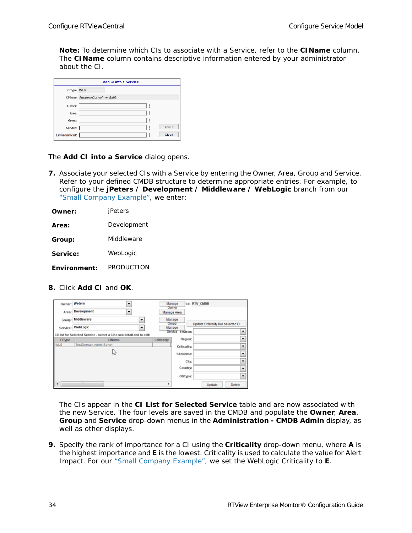**Note:** To determine which CIs to associate with a Service, refer to the **CIName** column. The **CIName** column contains descriptive information entered by your administrator about the CI.

|              | <b>Add Cl into a Service</b>    |
|--------------|---------------------------------|
| CIType: WLS  |                                 |
|              | CIName: Amazon;e2crtvofmwlbkr02 |
| Owner:       |                                 |
| Area:        |                                 |
| Group:       |                                 |
| Service:     | Add CI                          |
| Environment: | <b>Close</b>                    |

The **Add CI into a Service** dialog opens.

**7.** Associate your selected CIs with a Service by entering the Owner, Area, Group and Service. Refer to your defined CMDB structure to determine appropriate entries. For example, to configure the **jPeters / Development / Middleware / WebLogic** branch from our ["Small Company Example"](#page-37-1), we enter:

| Owner:       | jPeters     |
|--------------|-------------|
| Area:        | Development |
| Group:       | Middleware  |
| Service:     | WebLogic    |
| Environment: | PRODUCTION  |

**8.** Click **Add CI** and **OK**.

| Owner:     | <b>iPeters</b><br>۰                                                   |             | Manage<br>Owner                      | ce: RTV_CMDB                        |                          |
|------------|-----------------------------------------------------------------------|-------------|--------------------------------------|-------------------------------------|--------------------------|
| Area:      | Development<br>$\overline{\phantom{a}}$                               |             | Manage Area                          |                                     |                          |
| Group:     | Middleware<br>۰                                                       |             | Manage<br>Group                      |                                     |                          |
| Service:   | WebLogic<br>۰                                                         |             | Manage<br>Service<br><b>Emviron:</b> | Update Criticality like selected CI |                          |
|            | CI List for Selected Service - select a CI to see detail and to edit: |             |                                      |                                     |                          |
| CIType     | <b>CIName</b>                                                         | Criticality | <b>Region:</b>                       |                                     |                          |
| <b>WLS</b> | TestDomain:AdminServer                                                |             | <b>Criticality:</b>                  |                                     | ۰                        |
|            |                                                                       |             |                                      |                                     |                          |
|            | w                                                                     |             | SiteName:                            |                                     | $\overline{\phantom{0}}$ |
|            |                                                                       |             | City:                                |                                     | ۰                        |
|            |                                                                       |             | Country:                             |                                     | ۰                        |
|            |                                                                       |             | OSType:                              |                                     |                          |
| $\epsilon$ | m                                                                     | ь           |                                      | Update                              | Delete                   |

The CIs appear in the **CI List for Selected Service** table and are now associated with the new Service. The four levels are saved in the CMDB and populate the **Owner**, **Area**, **Group** and **Service** drop-down menus in the **Administration - CMDB Admin** display, as well as other displays.

**9.** Specify the rank of importance for a CI using the **Criticality** drop-down menu, where **A** is the highest importance and **E** is the lowest. Criticality is used to calculate the value for Alert Impact. For our ["Small Company Example",](#page-37-1) we set the WebLogic Criticality to **E**.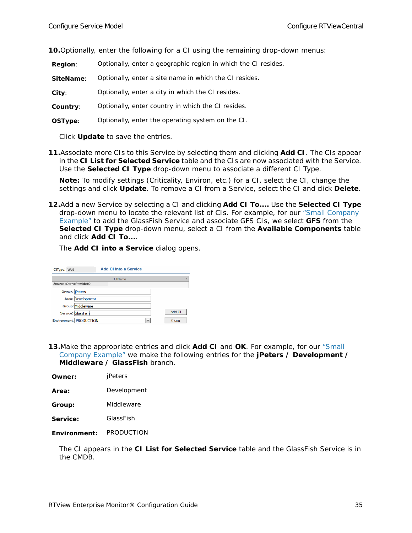**10.**Optionally, enter the following for a CI using the remaining drop-down menus:

- **Region**: Optionally, enter a geographic region in which the CI resides.
- **SiteName**: Optionally, enter a site name in which the CI resides.

**City**: Optionally, enter a city in which the CI resides.

- **Country**: Optionally, enter country in which the CI resides.
- **OSType**: Optionally, enter the operating system on the CI.

Click **Update** to save the entries.

**11.**Associate more CIs to this Service by selecting them and clicking **Add CI**. The CIs appear in the **CI List for Selected Service** table and the CIs are now associated with the Service. Use the **Selected CI Type** drop-down menu to associate a different CI Type.

**Note:** To modify settings (Criticality, Environ, etc.) for a CI, select the CI, change the settings and click **Update**. To remove a CI from a Service, select the CI and click **Delete**.

**12.**Add a new Service by selecting a CI and clicking **Add CI To....** Use the **Selected CI Type** drop-down menu to locate the relevant list of CIs. For example, for our ["Small Company](#page-37-1)  [Example"](#page-37-1) to add the GlassFish Service and associate GFS CIs, we select **GFS** from the **Selected CI Type** drop-down menu, select a CI from the **Available Components** table and click **Add CI To...**.

The **Add CI into a Service** dialog opens.

| CIType: WLS             |                                | <b>Add Cl into a Service</b> |        |
|-------------------------|--------------------------------|------------------------------|--------|
|                         |                                | <b>CIName</b>                |        |
| Amazon:e2crtvofmwlbkr02 |                                |                              |        |
| Owner: jPeters          |                                |                              |        |
|                         | Area: Development              |                              |        |
|                         | <b>Group: Middleware</b>       |                              |        |
|                         | Service: GlassFish             |                              | Add CI |
|                         | <b>Environment: PRODUCTION</b> | $\overline{\phantom{a}}$     | Close  |

**13.**Make the appropriate entries and click **Add CI** and **OK**. For example, for our ["Small](#page-37-1)  [Company Example"](#page-37-1) we make the following entries for the **jPeters / Development / Middleware / GlassFish** branch.

| Area: | Development |
|-------|-------------|
|       |             |

**Group:** Middleware

**Service:** GlassFish

**Environment:** PRODUCTION

The CI appears in the **CI List for Selected Service** table and the GlassFish Service is in the CMDB.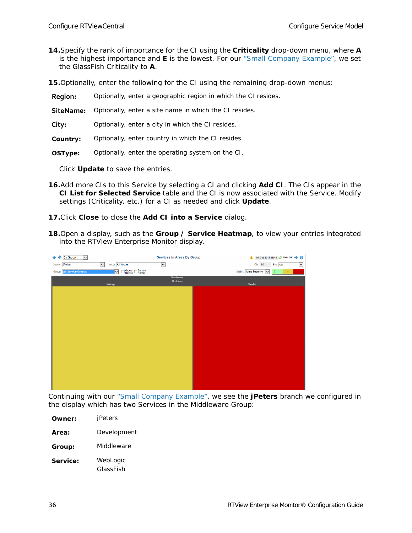- **14.**Specify the rank of importance for the CI using the **Criticality** drop-down menu, where **A** is the highest importance and **E** is the lowest. For our ["Small Company Example"](#page-37-1), we set the GlassFish Criticality to **A**.
- **15.**Optionally, enter the following for the CI using the remaining drop-down menus:
- **Region:** Optionally, enter a geographic region in which the CI resides.
- **SiteName:** Optionally, enter a site name in which the CI resides.
- **City:** Optionally, enter a city in which the CI resides.
- **Country:** Optionally, enter country in which the CI resides.
- **OSType:** Optionally, enter the operating system on the CI.

Click **Update** to save the entries.

- **16.**Add more CIs to this Service by selecting a CI and clicking **Add CI**. The CIs appear in the **CI List for Selected Service** table and the CI is now associated with the Service. Modify settings (Criticality, etc.) for a CI as needed and click **Update**.
- **17.**Click **Close** to close the **Add CI into a Service** dialog.
- **18.**Open a display, such as the **Group / Service Heatmap**, to view your entries integrated into the RTView Enterprise Monitor display.



Continuing with our ["Small Company Example"](#page-37-1), we see the **jPeters** branch we configured in the display which has two Services in the Middleware Group:

| Owner:   | jPeters               |
|----------|-----------------------|
| Area:    | Development           |
| Group:   | Middleware            |
| Service: | WebLogic<br>GlassFish |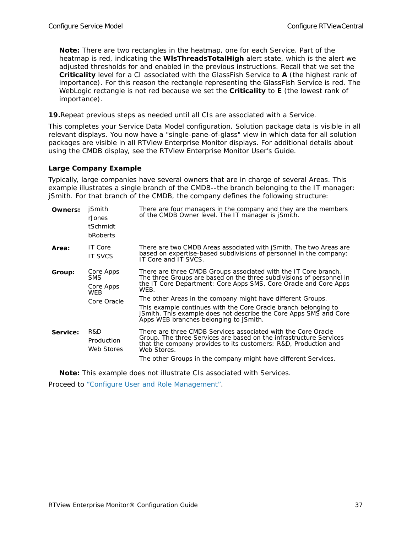**Note:** There are two rectangles in the heatmap, one for each Service. Part of the heatmap is red, indicating the **WlsThreadsTotalHigh** alert state, which is the alert we adjusted thresholds for and enabled in the previous instructions. Recall that we set the **Criticality** level for a CI associated with the GlassFish Service to **A** (the highest rank of importance). For this reason the rectangle representing the GlassFish Service is red. The WebLogic rectangle is not red because we set the **Criticality** to **E** (the lowest rank of importance).

**19.**Repeat previous steps as needed until all CIs are associated with a Service.

This completes your Service Data Model configuration. Solution package data is visible in all relevant displays. You now have a "single-pane-of-glass" view in which data for all solution packages are visible in all RTView Enterprise Monitor displays. For additional details about using the CMDB display, see the *RTView Enterprise Monitor User's Guide*.

#### <span id="page-42-0"></span>**Large Company Example**

Typically, large companies have several owners that are in charge of several Areas. This example illustrates a single branch of the CMDB--the branch belonging to the IT manager: jSmith. For that branch of the CMDB, the company defines the following structure:

| Owners:  | <b>iSmith</b><br>rJones<br>tSchmidt<br>bRoberts      | There are four managers in the company and they are the members<br>of the CMDB Owner level. The IT manager is jSmith.                                                                                                                                                                                                                                                                                                                                                       |
|----------|------------------------------------------------------|-----------------------------------------------------------------------------------------------------------------------------------------------------------------------------------------------------------------------------------------------------------------------------------------------------------------------------------------------------------------------------------------------------------------------------------------------------------------------------|
| Area:    | IT Core<br><b>IT SVCS</b>                            | There are two CMDB Areas associated with jSmith. The two Areas are<br>based on expertise-based subdivisions of personnel in the company:<br>IT Core and IT SVCS.                                                                                                                                                                                                                                                                                                            |
| Group:   | Core Apps<br>SMS.<br>Core Apps<br>WEB<br>Core Oracle | There are three CMDB Groups associated with the IT Core branch.<br>The three Groups are based on the three subdivisions of personnel in<br>the IT Core Department: Core Apps SMS, Core Oracle and Core Apps<br>WEB.<br>The other Areas in the company might have different Groups.<br>This example continues with the Core Oracle branch belonging to<br>jSmith. This example does not describe the Core Apps SMS and Core<br>Apps WEB branches belonging to <i>Smith</i> . |
| Service: | R&D<br>Production<br>Web Stores                      | There are three CMDB Services associated with the Core Oracle<br>Group. The three Services are based on the infrastructure Services<br>that the company provides to its customers: R&D, Production and<br>Web Stores.<br>The other Groups in the company might have different Services.                                                                                                                                                                                     |

**Note:** This example does not illustrate CIs associated with Services.

Proceed to ["Configure User and Role Management"](#page-43-0).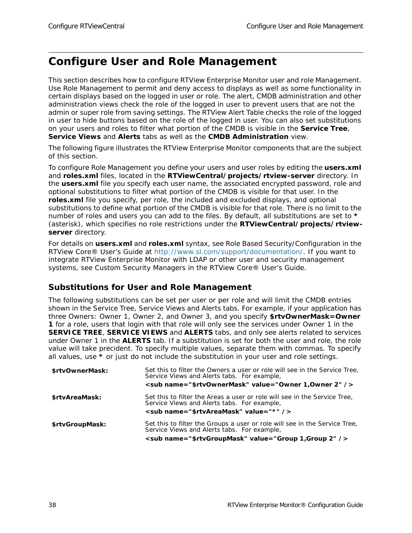## <span id="page-43-0"></span>**Configure User and Role Management**

This section describes how to configure RTView Enterprise Monitor user and role Management. Use Role Management to permit and deny access to displays as well as some functionality in certain displays based on the logged in user or role. The alert, CMDB administration and other administration views check the role of the logged in user to prevent users that are not the admin or super role from saving settings. The RTView Alert Table checks the role of the logged in user to hide buttons based on the role of the logged in user. You can also set substitutions on your users and roles to filter what portion of the CMDB is visible in the **Service Tree**, **Service Views** and **Alerts** tabs as well as the **CMDB Administration** view.

The following figure illustrates the RTView Enterprise Monitor components that are the subject of this section.

To configure Role Management you define your users and user roles by editing the **users.xml** and **roles.xml** files, located in the **RTViewCentral/projects/rtview-server** directory. In the **users.xml** file you specify each user name, the associated encrypted password, role and optional substitutions to filter what portion of the CMDB is visible for that user. In the **roles.xml** file you specify, per role, the included and excluded displays, and optional substitutions to define what portion of the CMDB is visible for that role. There is no limit to the number of roles and users you can add to the files. By default, all substitutions are set to **\*** (asterisk), which specifies no role restrictions under the **RTViewCentral/projects/rtviewserver** directory.

For details on **users.xml** and **roles.xml** syntax, see Role Based Security/Configuration in the *RTView Core® User's Guide* at http://www.sl.com/support/documentation/. If you want to integrate RTView Enterprise Monitor with LDAP or other user and security management systems, see Custom Security Managers in the *RTView Core® User's Guide*.

#### **Substitutions for User and Role Management**

The following substitutions can be set per user or per role and will limit the CMDB entries shown in the Service Tree, Service Views and Alerts tabs. For example, if your application has three Owners: Owner 1, Owner 2, and Owner 3, and you specify **\$rtvOwnerMask=Owner 1** for a role, users that login with that role will only see the services under Owner 1 in the **SERVICE TREE**, **SERVICE VIEWS** and **ALERTS** tabs, and only see alerts related to services under Owner 1 in the **ALERTS** tab. If a substitution is set for both the user and role, the role value will take precident. To specify multiple values, separate them with commas. To specify all values, use **\*** or just do not include the substitution in your user and role settings.

| \$rtyOwnerMask: | Set this to filter the Owners a user or role will see in the Service Tree,<br>Service Views and Alerts tabs. For example,<br><sub name="\$rtvOwnerMask" value="Owner 1, Owner 2"></sub> |
|-----------------|-----------------------------------------------------------------------------------------------------------------------------------------------------------------------------------------|
| \$rtvAreaMask:  | Set this to filter the Areas a user or role will see in the Service Tree,                                                                                                               |
|                 | Service Views and Alerts tabs. For example,<br><sub name="\$rtvAreaMask" value="*"></sub>                                                                                               |
|                 |                                                                                                                                                                                         |
| \$rtvGroupMask: | Set this to filter the Groups a user or role will see in the Service Tree,<br>Service Views and Alerts tabs. For example,                                                               |
|                 | <sub name="\$rtvGroupMask" value="Group 1,Group 2"></sub>                                                                                                                               |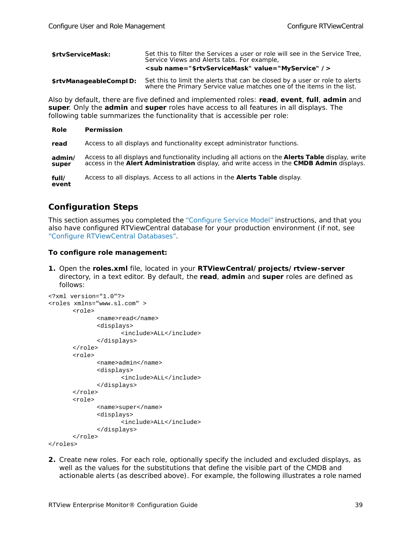| \$rtyServiceMask:      | Set this to filter the Services a user or role will see in the Service Tree,<br>Service Views and Alerts tabs. For example,<br><sub name="\$rtvServiceMask" value="MyService"></sub> |
|------------------------|--------------------------------------------------------------------------------------------------------------------------------------------------------------------------------------|
| \$rtvManageableComplD: | Set this to limit the alerts that can be closed by a user or role to alerts<br>where the Primary Service value matches one of the items in the list.                                 |

Also by default, there are five defined and implemented roles: **read**, **event**, **full**, **admin** and **super**. Only the **admin** and **super** roles have access to all features in all displays. The following table summarizes the functionality that is accessible per role:

| Role            | Permission                                                                                                                                                                                    |
|-----------------|-----------------------------------------------------------------------------------------------------------------------------------------------------------------------------------------------|
| read            | Access to all displays and functionality except administrator functions.                                                                                                                      |
| admin/<br>super | Access to all displays and functionality including all actions on the Alerts Table display, write<br>access in the Alert Administration display, and write access in the CMDB Admin displays. |
| full/<br>event  | Access to all displays. Access to all actions in the <b>Alerts Table</b> display.                                                                                                             |

### **Configuration Steps**

This section assumes you completed the ["Configure Service Model"](#page-34-0) instructions, and that you also have configured RTViewCentral database for your production environment (if not, see ["Configure RTViewCentral Databases".](#page-31-0)

#### **To configure role management:**

**1.** Open the **roles.xml** file, located in your **RTViewCentral/projects/rtview-server**  directory, in a text editor. By default, the **read**, **admin** and **super** roles are defined as follows:

```
<?xml version="1.0"?>
<roles xmlns="www.sl.com" >
      <role>
             <name>read</name>
             <displays>
                    <include>ALL</include>
             </displays>
      </role>
      <role>
             <name>admin</name>
             <displays>
                    <include>ALL</include>
             </displays>
      </role>
      <role>
             <name>super</name>
             <displays>
                    <include>ALL</include>
             </displays>
      </role>
</roles>
```
**2.** Create new roles. For each role, optionally specify the included and excluded displays, as well as the values for the substitutions that define the visible part of the CMDB and actionable alerts (as described above). For example, the following illustrates a role named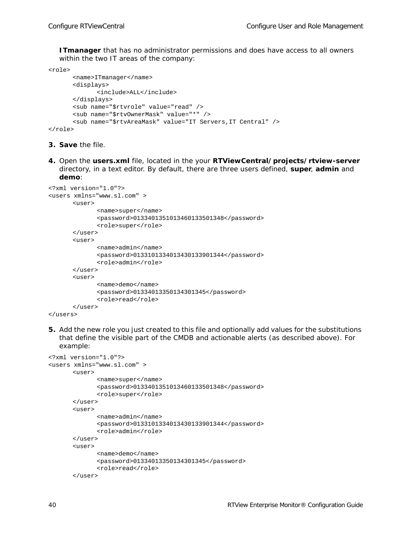**ITmanager** that has no administrator permissions and *does* have access to all owners within the two IT areas of the company:

```
<role>
      <name>ITmanager</name>
      <displays>
             <include>ALL</include>
      </displays>
      <sub name="$rtvrole" value="read" />
      <sub name="$rtvOwnerMask" value="*" />
      <sub name="$rtvAreaMask" value="IT Servers,IT Central" />
```

```
</role>
```
- **3. Save** the file.
- **4.** Open the **users.xml** file, located in the your **RTViewCentral/projects/rtview-server** directory, in a text editor. By default, there are three users defined, **super**, **admin** and **demo**:

```
<?xml version="1.0"?>
<users xmlns="www.sl.com" >
      <user>
              <name>super</name>
              <password>0133401351013460133501348</password>
             <role>super</role>
       </user>
       \langleuser>
              <name>admin</name>
              <password>0133101334013430133901344</password>
              <role>admin</role>
       </user>
       <user>
             <name>demo</name>
             <password>01334013350134301345</password>
             <role>read</role>
       </user>
</users>
```
**5.** Add the new role you just created to this file and optionally add values for the substitutions that define the visible part of the CMDB and actionable alerts (as described above). For example:

```
<?xml version="1.0"?>
<users xmlns="www.sl.com" >
       \langleuser>
              <name>super</name>
              <password>0133401351013460133501348</password>
              <role>super</role>
       \langleluser>
       <user>
              <name>admin</name>
              <password>0133101334013430133901344</password>
              <role>admin</role>
       \langleluser>
       <user>
              <name>demo</name>
              <password>01334013350134301345</password>
              <role>read</role>
       </user>
```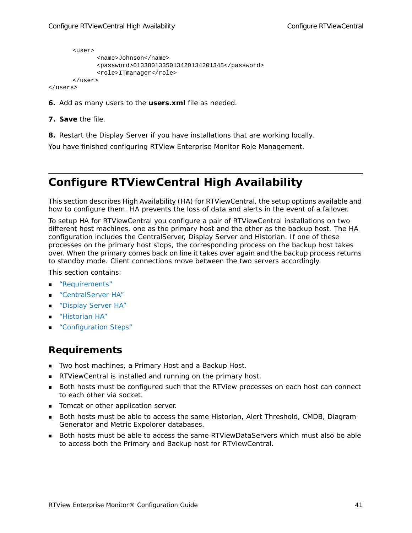```
<user>
             <name>Johnson</name>
             <password>0133801335013420134201345</password>
             <role>ITmanager</role>
      </user>
</users>
```
- **6.** Add as many users to the **users.xml** file as needed.
- **7. Save** the file.
- **8.** Restart the Display Server if you have installations that are working locally.

You have finished configuring RTView Enterprise Monitor Role Management.

# **Configure RTViewCentral High Availability**

This section describes High Availability (HA) for RTViewCentral, the setup options available and how to configure them. HA prevents the loss of data and alerts in the event of a failover.

To setup HA for RTViewCentral you configure a pair of RTViewCentral installations on two different host machines, one as the primary host and the other as the backup host. The HA configuration includes the CentralServer, Display Server and Historian. If one of these processes on the primary host stops, the corresponding process on the backup host takes over. When the primary comes back on line it takes over again and the backup process returns to standby mode. Client connections move between the two servers accordingly.

This section contains:

- ["Requirements"](#page-46-0)
- ["CentralServer HA"](#page-47-0)
- ["Display Server HA"](#page-47-3)
- **Historian HA"**
- ["Configuration Steps"](#page-47-2)

### <span id="page-46-0"></span>**Requirements**

- **Two host machines, a Primary Host and a Backup Host.**
- RTViewCentral is installed and running on the primary host.
- **Both hosts must be configured such that the RTView processes on each host can connect** to each other via socket.
- Tomcat or other application server.
- **Both hosts must be able to access the same Historian, Alert Threshold, CMDB, Diagram** Generator and Metric Expolorer databases.
- Both hosts must be able to access the same RTViewDataServers which must also be able to access both the Primary and Backup host for RTViewCentral.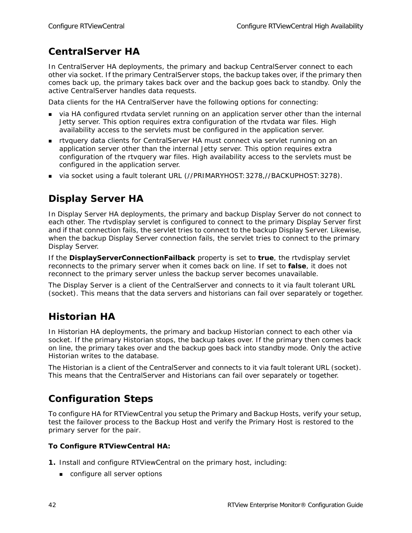### <span id="page-47-0"></span>**CentralServer HA**

In CentralServer HA deployments, the primary and backup CentralServer connect to each other via socket. If the primary CentralServer stops, the backup takes over, if the primary then comes back up, the primary takes back over and the backup goes back to standby. Only the active CentralServer handles data requests.

Data clients for the HA CentralServer have the following options for connecting:

- via HA configured rtvdata servlet running on an application server other than the internal Jetty server. This option requires extra configuration of the rtvdata war files. High availability access to the servlets must be configured in the application server.
- rtvquery data clients for CentralServer HA must connect via servlet running on an application server other than the internal Jetty server. This option requires extra configuration of the rtvquery war files. High availability access to the servlets must be configured in the application server.
- via socket using a fault tolerant URL (//PRIMARYHOST:3278,//BACKUPHOST:3278).

# <span id="page-47-3"></span>**Display Server HA**

In Display Server HA deployments, the primary and backup Display Server do not connect to each other. The rtvdisplay servlet is configured to connect to the primary Display Server first and if that connection fails, the servlet tries to connect to the backup Display Server. Likewise, when the backup Display Server connection fails, the servlet tries to connect to the primary Display Server.

If the **DisplayServerConnectionFailback** property is set to **true**, the rtvdisplay servlet reconnects to the primary server when it comes back on line. If set to **false**, it does not reconnect to the primary server unless the backup server becomes unavailable.

The Display Server is a client of the CentralServer and connects to it via fault tolerant URL (socket). This means that the data servers and historians can fail over separately or together.

### <span id="page-47-1"></span>**Historian HA**

In Historian HA deployments, the primary and backup Historian connect to each other via socket. If the primary Historian stops, the backup takes over. If the primary then comes back on line, the primary takes over and the backup goes back into standby mode. Only the active Historian writes to the database.

The Historian is a client of the CentralServer and connects to it via fault tolerant URL (socket). This means that the CentralServer and Historians can fail over separately or together.

### <span id="page-47-2"></span>**Configuration Steps**

To configure HA for RTViewCentral you setup the Primary and Backup Hosts, verify your setup, test the failover process to the Backup Host and verify the Primary Host is restored to the primary server for the pair.

#### **To Configure RTViewCentral HA:**

- **1.** Install and configure RTViewCentral on the primary host, including:
	- configure all server options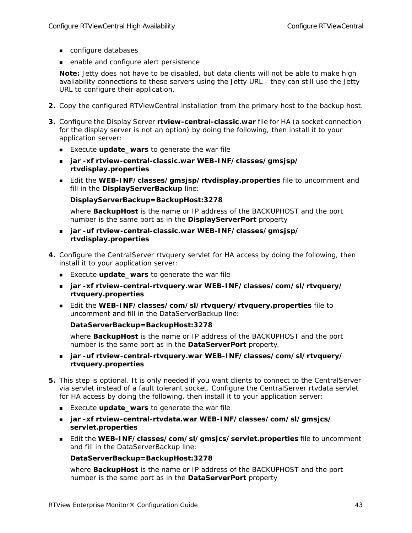- configure databases
- enable and configure alert persistence

**Note:** Jetty does not have to be disabled, but data clients will not be able to make high availability connections to these servers using the Jetty URL - they can still use the Jetty URL to configure their application.

- **2.** Copy the configured RTViewCentral installation from the primary host to the backup host.
- **3.** Configure the Display Server **rtview-central-classic.war** file for HA (a socket connection for the display server is not an option) by doing the following, then install it to your application server:
	- Execute **update\_wars** to generate the war file
	- **jar -xf rtview-central-classic.war WEB-INF/classes/gmsjsp/ rtvdisplay.properties**
	- Edit the **WEB-INF/classes/gmsjsp/rtvdisplay.properties** file to uncomment and fill in the **DisplayServerBackup** line:

**DisplayServerBackup=BackupHost:3278**

where **BackupHost** is the name or IP address of the BACKUPHOST and the port number is the same port as in the **DisplayServerPort** property

- **jar -uf rtview-central-classic.war WEB-INF/classes/gmsjsp/ rtvdisplay.properties**
- **4.** Configure the CentralServer rtvquery servlet for HA access by doing the following, then install it to your application server:
	- Execute **update\_wars** to generate the war file
	- **jar -xf rtview-central-rtvquery.war WEB-INF/classes/com/sl/rtvquery/ rtvquery.properties**
	- Edit the **WEB-INF/classes/com/sl/rtvquery/rtvquery.properties** file to uncomment and fill in the DataServerBackup line:

```
DataServerBackup=BackupHost:3278
```
where **BackupHost** is the name or IP address of the BACKUPHOST and the port number is the same port as in the **DataServerPort** property.

- **jar -uf rtview-central-rtvquery.war WEB-INF/classes/com/sl/rtvquery/ rtvquery.properties**
- **5.** This step is optional. It is only needed if you want clients to connect to the CentralServer via servlet instead of a fault tolerant socket. Configure the CentralServer rtvdata servlet for HA access by doing the following, then install it to your application server:
	- Execute **update\_wars** to generate the war file
	- **jar -xf rtview-central-rtvdata.war WEB-INF/classes/com/sl/gmsjcs/ servlet.properties**
	- Edit the **WEB-INF/classes/com/sl/gmsjcs/servlet.properties** file to uncomment and fill in the DataServerBackup line:

#### **DataServerBackup=BackupHost:3278**

where **BackupHost** is the name or IP address of the BACKUPHOST and the port number is the same port as in the **DataServerPort** property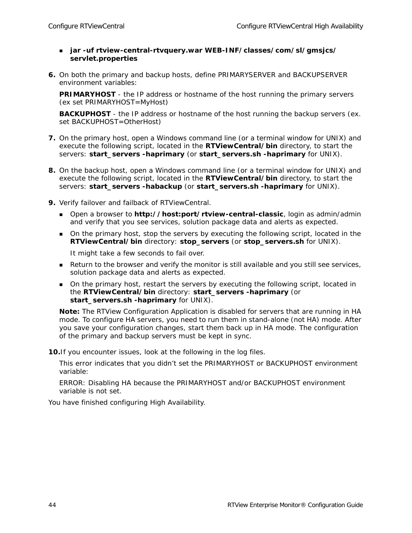- **jar -uf rtview-central-rtvquery.war WEB-INF/classes/com/sl/gmsjcs/ servlet.properties**
- **6.** On both the primary and backup hosts, define PRIMARYSERVER and BACKUPSERVER environment variables:

**PRIMARYHOST** - the IP address or hostname of the host running the primary servers (ex set PRIMARYHOST=MyHost)

**BACKUPHOST** - the IP address or hostname of the host running the backup servers (ex. set BACKUPHOST=OtherHost)

- **7.** On the primary host, open a Windows command line (or a terminal window for UNIX) and execute the following script, located in the **RTViewCentral/bin** directory, to start the servers: **start\_servers -haprimary** (or **start\_servers.sh -haprimary** for UNIX).
- **8.** On the backup host, open a Windows command line (or a terminal window for UNIX) and execute the following script, located in the **RTViewCentral/bin** directory, to start the servers: **start\_servers -habackup** (or **start\_servers.sh -haprimary** for UNIX).
- **9.** Verify failover and failback of RTViewCentral.
	- Open a browser to **http://host:port/rtview-central-classic**, login as admin/admin and verify that you see services, solution package data and alerts as expected.
	- On the primary host, stop the servers by executing the following script, located in the **RTViewCentral/bin** directory: **stop\_servers** (or **stop\_servers.sh** for UNIX).

It might take a few seconds to fail over.

- **Return to the browser and verify the monitor is still available and you still see services,** solution package data and alerts as expected.
- On the primary host, restart the servers by executing the following script, located in the **RTViewCentral/bin** directory: **start\_servers -haprimary** (or **start\_servers.sh -haprimary** for UNIX).

**Note:** The RTView Configuration Application is disabled for servers that are running in HA mode. To configure HA servers, you need to run them in stand-alone (not HA) mode. After you save your configuration changes, start them back up in HA mode. The configuration of the primary and backup servers must be kept in sync.

**10.**If you encounter issues, look at the following in the log files.

This error indicates that you didn't set the PRIMARYHOST or BACKUPHOST environment variable:

ERROR: Disabling HA because the PRIMARYHOST and/or BACKUPHOST environment variable is not set.

You have finished configuring High Availability.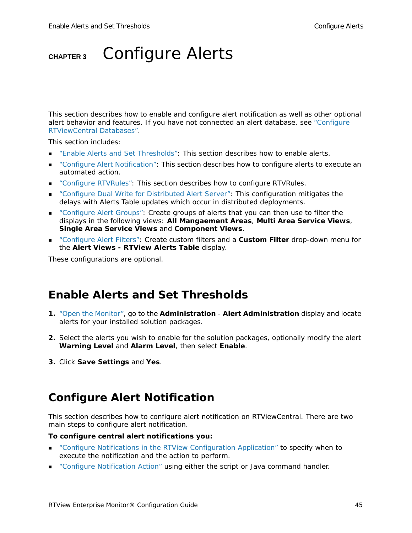# **CHAPTER 3** Configure Alerts

This section describes how to enable and configure alert notification as well as other optional alert behavior and features. If you have not connected an alert database, see ["Configure](#page-31-1)  [RTViewCentral Databases".](#page-31-1)

This section includes:

- ["Enable Alerts and Set Thresholds":](#page-50-0) This section describes how to enable alerts.
- ["Configure Alert Notification"](#page-50-1): This section describes how to configure alerts to execute an automated action.
- ["Configure RTVRules"](#page-56-0): This section describes how to configure RTVRules.
- ["Configure Dual Write for Distributed Alert Server"](#page-57-0): This configuration mitigates the delays with Alerts Table updates which occur in distributed deployments.
- **•** ["Configure Alert Groups"](#page-58-0): Create groups of alerts that you can then use to filter the displays in the following views: **All Mangaement Areas**, **Multi Area Service Views**, **Single Area Service Views** and **Component Views**.
- ["Configure Alert Filters"](#page-60-0): Create custom filters and a **Custom Filter** drop-down menu for the **Alert Views - RTView Alerts Table** display.

These configurations are optional.

### <span id="page-50-0"></span>**Enable Alerts and Set Thresholds**

- **1.** ["Open the Monitor",](#page-29-1) go to the **Administration Alert Administration** display and locate alerts for your installed solution packages.
- **2.** Select the alerts you wish to enable for the solution packages, optionally modify the alert **Warning Level** and **Alarm Level**, then select **Enable**.
- **3.** Click **Save Settings** and **Yes**.

### <span id="page-50-1"></span>**Configure Alert Notification**

This section describes how to configure alert notification on RTViewCentral. There are two main steps to configure alert notification.

#### **To configure central alert notifications you:**

- ["Configure Notifications in the RTView Configuration Application"](#page-51-0) to specify when to execute the notification and the action to perform.
- ["Configure Notification Action"](#page-53-0) using either the script or Java command handler.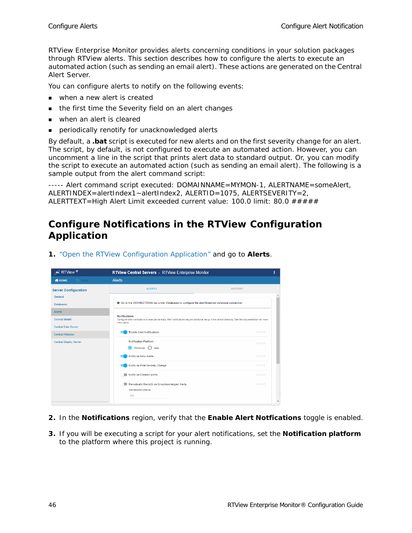RTView Enterprise Monitor provides alerts concerning conditions in your solution packages through RTView alerts. This section describes how to configure the alerts to execute an automated action (such as sending an email alert). These actions are generated on the Central Alert Server.

You can configure alerts to notify on the following events:

- **Now Then a new alert is created**
- the first time the Severity field on an alert changes
- when an alert is cleared
- periodically renotify for unacknowledged alerts

By default, a **.bat** script is executed for new alerts and on the first severity change for an alert. The script, by default, is not configured to execute an automated action. However, you can uncomment a line in the script that prints alert data to standard output. Or, you can modify the script to execute an automated action (such as sending an email alert). The following is a sample output from the alert command script:

----- Alert command script executed: DOMAINNAME=MYMON-1, ALERTNAME=someAlert, ALERTINDEX=alertIndex1~alertIndex2, ALERTID=1075, ALERTSEVERITY=2, ALERTTEXT=High Alert Limit exceeded current value: 100.0 limit: 80.0 #####

### <span id="page-51-0"></span>**Configure Notifications in the RTView Configuration Application**

| $\mathcal{L}$ RTView $^{\circledR}$                          | <b>RTView Central Servers</b> - RTView Enterprise Monitor                                                                                                                                         |                | ı |
|--------------------------------------------------------------|---------------------------------------------------------------------------------------------------------------------------------------------------------------------------------------------------|----------------|---|
| $\Rightarrow$ SAVE<br><b>WHOME</b>                           | <b>Alerts</b>                                                                                                                                                                                     |                |   |
| <b>Server Configuration</b><br>General                       | <b>ALERTS</b>                                                                                                                                                                                     | <b>HISTORY</b> |   |
| <b>Databases</b>                                             | O Go to the CONNECTIONS tab under Databases to configure the alert threshold database connection                                                                                                  |                |   |
| <b>Alerts</b><br>Service Model<br><b>Central Data Server</b> | <b>Notifications</b><br>Configure alert notifications to execute centrally. Alert notifications require additional setup in the central directory. See the documentation for more<br>information. |                |   |
| <b>Central Historian</b>                                     | Enable Alert Notifications                                                                                                                                                                        | <b>Default</b> |   |
| <b>Central Display Server</b>                                | Notification Platform<br>◉<br>Windows () Unix                                                                                                                                                     | Default        |   |
|                                                              | Notify on New Alerts                                                                                                                                                                              | Default        |   |
|                                                              | Notify on First Severity Change                                                                                                                                                                   | <b>Default</b> |   |
|                                                              | Notify on Cleared Alerts                                                                                                                                                                          | Default        |   |
|                                                              | Periodically Renotify on Unacknowledged Alerts<br>Renotification Interval<br>300                                                                                                                  | Default        | ٠ |

**1.** ["Open the RTView Configuration Application"](#page-30-1) and go to **Alerts**.

- **2.** In the **Notifications** region, verify that the **Enable Alert Notfications** toggle is enabled.
- **3.** If you will be executing a script for your alert notifications, set the **Notification platform** to the platform where this project is running.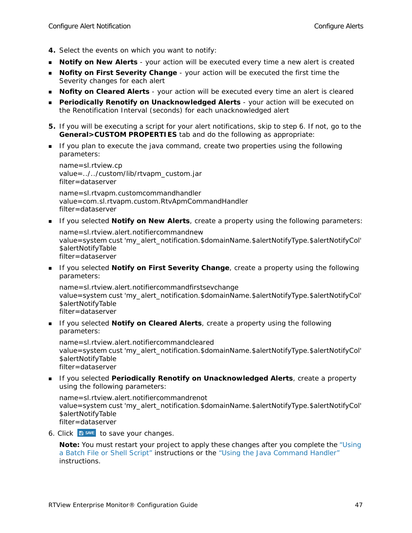- **4.** Select the events on which you want to notify:
- **Notify on New Alerts** your action will be executed every time a new alert is created
- **Nofity on First Severity Change** your action will be executed the first time the Severity changes for each alert
- **Nofity on Cleared Alerts** your action will be executed every time an alert is cleared
- **Periodically Renotify on Unacknowledged Alerts** your action will be executed on the Renotification Interval (seconds) for each unacknowledged alert
- **5.** If you will be executing a script for your alert notifications, skip to step 6. If not, go to the **General>CUSTOM PROPERTIES** tab and do the following as appropriate:
- If you plan to execute the java command, create two properties using the following parameters:

name=sl.rtview.cp value=../../custom/lib/rtvapm\_custom.jar filter=dataserver

name=sl.rtvapm.customcommandhandler value=com.sl.rtvapm.custom.RtvApmCommandHandler filter=dataserver

**If you selected Notify on New Alerts**, create a property using the following parameters:

name=sl.rtview.alert.notifiercommandnew value=system cust 'my\_alert\_notification.\$domainName.\$alertNotifyType.\$alertNotifyCol' \$alertNotifyTable filter=dataserver

**If you selected Notify on First Severity Change**, create a property using the following parameters:

name=sl.rtview.alert.notifiercommandfirstsevchange value=system cust 'my\_alert\_notification.\$domainName.\$alertNotifyType.\$alertNotifyCol' \$alertNotifyTable filter=dataserver

**If you selected Notify on Cleared Alerts**, create a property using the following parameters:

name=sl.rtview.alert.notifiercommandcleared value=system cust 'my\_alert\_notification.\$domainName.\$alertNotifyType.\$alertNotifyCol' \$alertNotifyTable filter=dataserver

**If you selected Periodically Renotify on Unacknowledged Alerts**, create a property using the following parameters:

name=sl.rtview.alert.notifiercommandrenot value=system cust 'my\_alert\_notification.\$domainName.\$alertNotifyType.\$alertNotifyCol' \$alertNotifyTable filter=dataserver

6. Click  $\boxed{\text{B}^{\text{SAVE}}}$  to save your changes.

**Note:** You must restart your project to apply these changes after you complete the ["Using](#page-53-1)  [a Batch File or Shell Script"](#page-53-1) instructions or the ["Using the Java Command Handler"](#page-55-0) instructions.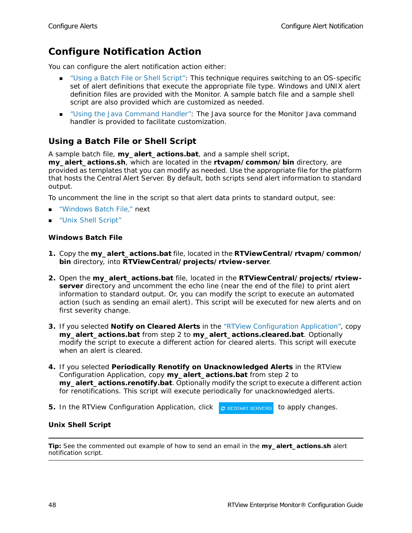### <span id="page-53-0"></span>**Configure Notification Action**

You can configure the alert notification action either:

- ["Using a Batch File or Shell Script"](#page-53-1): This technique requires switching to an OS-specific set of alert definitions that execute the appropriate file type. Windows and UNIX alert definition files are provided with the Monitor. A sample batch file and a sample shell script are also provided which are customized as needed.
- ["Using the Java Command Handler"](#page-55-0): The Java source for the Monitor Java command handler is provided to facilitate customization.

### <span id="page-53-1"></span>**Using a Batch File or Shell Script**

A sample batch file, **my\_alert\_actions.bat**, and a sample shell script,

**my\_alert\_actions.sh**, which are located in the **rtvapm/common/bin** directory, are provided as templates that you can modify as needed. Use the appropriate file for the platform that hosts the Central Alert Server. By default, both scripts send alert information to standard output.

To uncomment the line in the script so that alert data prints to standard output, see:

- ["Windows Batch File," next](#page-53-2)
- **Unix Shell Script"**

#### <span id="page-53-2"></span>**Windows Batch File**

- **1.** Copy the **my\_alert\_actions.bat** file, located in the **RTViewCentral/rtvapm/common/ bin** directory, into **RTViewCentral/projects/rtview-server**.
- **2.** Open the **my\_alert\_actions.bat** file, located in the **RTViewCentral/projects/rtviewserver** directory and uncomment the echo line (near the end of the file) to print alert information to standard output. Or, you can modify the script to execute an automated action (such as sending an email alert). This script will be executed for new alerts and on first severity change.
- **3.** If you selected **Notify on Cleared Alerts** in the "RTView Configuration Application", copy **my\_alert\_actions.bat** from step 2 to **my\_alert\_actions.cleared.bat**. Optionally modify the script to execute a different action for cleared alerts. This script will execute when an alert is cleared.
- **4.** If you selected **Periodically Renotify on Unacknowledged Alerts** in the RTView Configuration Application, copy **my\_alert\_actions.bat** from step 2 to **my\_alert\_actions.renotify.bat**. Optionally modify the script to execute a different action for renotifications. This script will execute periodically for unacknowledged alerts.
- **5.** In the RTView Configuration Application, click **c** RESTART SERVERS to apply changes.

#### <span id="page-53-3"></span>**Unix Shell Script**

**Tip:** See the commented out example of how to send an email in the **my\_alert\_actions.sh** alert notification script.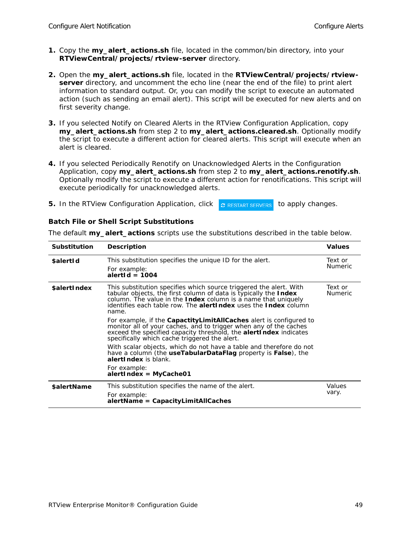- **1.** Copy the **my\_alert\_actions.sh** file, located in the common/bin directory, into your **RTViewCentral/projects/rtview-server** directory.
- **2.** Open the **my\_alert\_actions.sh** file, located in the **RTViewCentral/projects/rtviewserver** directory, and uncomment the echo line (near the end of the file) to print alert information to standard output. Or, you can modify the script to execute an automated action (such as sending an email alert). This script will be executed for new alerts and on first severity change.
- **3.** If you selected Notify on Cleared Alerts in the RTView Configuration Application, copy **my\_alert\_actions.sh** from step 2 to **my\_alert\_actions.cleared.sh**. Optionally modify the script to execute a different action for cleared alerts. This script will execute when an alert is cleared.
- **4.** If you selected Periodically Renotify on Unacknowledged Alerts in the Configuration Application, copy **my\_alert\_actions.sh** from step 2 to **my\_alert\_actions.renotify.sh**. Optionally modify the script to execute a different action for renotifications. This script will execute periodically for unacknowledged alerts.
- **5.** In the RTView Configuration Application, click *c* RESTART SERVERS to apply changes.

#### **Batch File or Shell Script Substitutions**

| <b>Substitution</b> | <b>Description</b>                                                                                                                                                                                                                                                                                       | <b>Values</b>             |
|---------------------|----------------------------------------------------------------------------------------------------------------------------------------------------------------------------------------------------------------------------------------------------------------------------------------------------------|---------------------------|
| \$alertId           | This substitution specifies the unique ID for the alert.<br>For example:<br>alertid = 1004                                                                                                                                                                                                               | Text or<br><b>Numeric</b> |
| <b>\$alertIndex</b> | This substitution specifies which source triggered the alert. With<br>tabular objects, the first column of data is typically the Index<br>column. The value in the <b>Index</b> column is a name that uniquely<br>identifies each table row. The <b>alertIndex</b> uses the <b>Index</b> column<br>name. | Text or<br>Numeric        |
|                     | For example, if the <b>CapactityLimitAllCaches</b> alert is configured to<br>monitor all of your caches, and to trigger when any of the caches<br>exceed the specified capacity threshold, the <b>alertindex</b> indicates<br>specifically which cache triggered the alert.                              |                           |
|                     | With scalar objects, which do not have a table and therefore do not<br>have a column (the <b>useTabularDataFlag</b> property is <b>False</b> ), the<br>alert Index is blank.                                                                                                                             |                           |
|                     | For example:<br>alertIndex = MyCache01                                                                                                                                                                                                                                                                   |                           |
| \$alertName         | This substitution specifies the name of the alert.<br>For example:<br>$\lambda$ alertName = CapacityLimitAllCaches                                                                                                                                                                                       | Values<br>vary.           |

The default **my\_alert\_actions** scripts use the substitutions described in the table below.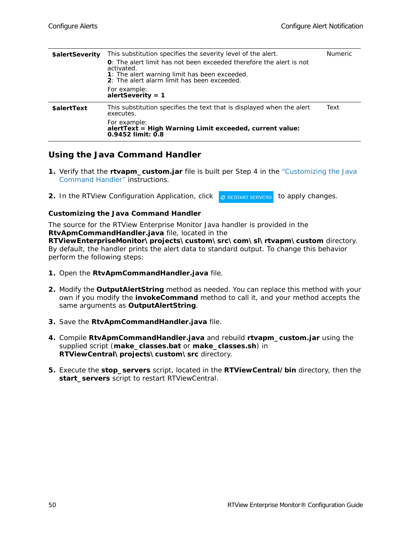| \$alertSeverity | This substitution specifies the severity level of the alert.                                                                                                                                      | Numeric |
|-----------------|---------------------------------------------------------------------------------------------------------------------------------------------------------------------------------------------------|---------|
|                 | <b>O</b> : The alert limit has not been exceeded therefore the alert is not<br>activated.<br><b>1</b> : The alert warning limit has been exceeded.<br>2: The alert alarm limit has been exceeded. |         |
|                 | For example:<br>alertSeverity = $1$                                                                                                                                                               |         |
| \$alertText     | This substitution specifies the text that is displayed when the alert<br>executes.                                                                                                                | Text    |
|                 | For example:<br>alertText = High Warning Limit exceeded, current value:<br>$0.9452$ limit: $0.8$                                                                                                  |         |

### <span id="page-55-0"></span>**Using the Java Command Handler**

- **1.** Verify that the **rtvapm\_custom.jar** file is built per Step 4 in the ["Customizing the Java](#page-55-1)  [Command Handler"](#page-55-1) instructions.
- **2.** In the RTView Configuration Application, click **C** RESTART SERVERS to apply changes.

#### <span id="page-55-1"></span>**Customizing the Java Command Handler**

The source for the RTView Enterprise Monitor Java handler is provided in the **RtvApmCommandHandler.java** file, located in the

**RTViewEnterpriseMonitor\projects\custom\src\com\sl\rtvapm\custom** directory. By default, the handler prints the alert data to standard output. To change this behavior perform the following steps:

- **1.** Open the **RtvApmCommandHandler.java** file.
- **2.** Modify the **OutputAlertString** method as needed. You can replace this method with your own if you modify the **invokeCommand** method to call it, and your method accepts the same arguments as **OutputAlertString**.
- **3.** Save the **RtvApmCommandHandler.java** file.
- **4.** Compile **RtvApmCommandHandler.java** and rebuild **rtvapm\_custom.jar** using the supplied script (**make\_classes.bat** or **make\_classes.sh**) in **RTViewCentral\projects\custom\src** directory.
- **5.** Execute the **stop\_servers** script, located in the **RTViewCentral/bin** directory, then the **start\_servers** script to restart RTViewCentral.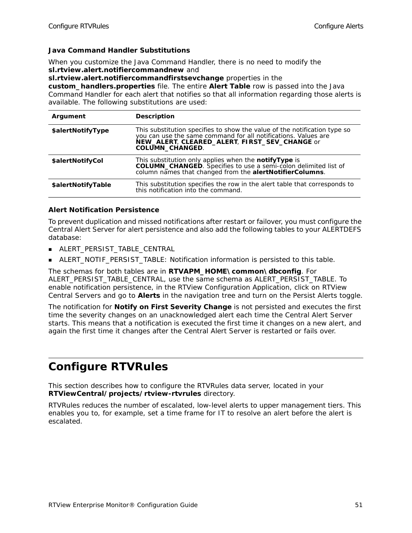#### **Java Command Handler Substitutions**

When you customize the Java Command Handler, there is no need to modify the **sl.rtview.alert.notifiercommandnew** and

**sl.rtview.alert.notifiercommandfirstsevchange** properties in the

**custom\_handlers.properties** file. The entire **Alert Table** row is passed into the Java Command Handler for each alert that notifies so that all information regarding those alerts is available. The following substitutions are used:

| Argument           | <b>Description</b>                                                                                                                                                                                                     |
|--------------------|------------------------------------------------------------------------------------------------------------------------------------------------------------------------------------------------------------------------|
| \$alertNotifyType  | This substitution specifies to show the value of the notification type so<br>you can use the same command for all notifications. Values are<br>NEW_ALERT, CLEARED_ALERT, FIRST_SEV_CHANGE or<br><b>COLUMN_CHANGED.</b> |
| \$alertNotifyCol   | This substitution only applies when the notifyType is<br><b>COLUMN_CHANGED</b> . Specifies to use a semi-colon delimited list of<br>column names that changed from the alertNotifierColumns.                           |
| \$alertNotifyTable | This substitution specifies the row in the alert table that corresponds to<br>this notification into the command.                                                                                                      |

#### **Alert Notification Persistence**

To prevent duplication and missed notifications after restart or failover, you must configure the Central Alert Server for alert persistence and also add the following tables to your ALERTDEFS database:

- ALERT\_PERSIST\_TABLE\_CENTRAL
- ALERT\_NOTIF\_PERSIST\_TABLE: Notification information is persisted to this table.

The schemas for both tables are in **RTVAPM\_HOME\common\dbconfig**. For ALERT\_PERSIST\_TABLE\_CENTRAL, use the same schema as ALERT\_PERSIST\_TABLE. To enable notification persistence, in the RTView Configuration Application, click on RTView Central Servers and go to **Alerts** in the navigation tree and turn on the Persist Alerts toggle.

The notification for **Notify on First Severity Change** is not persisted and executes the first time the severity changes on an unacknowledged alert each time the Central Alert Server starts. This means that a notification is executed the first time it changes on a new alert, and again the first time it changes after the Central Alert Server is restarted or fails over.

# <span id="page-56-0"></span>**Configure RTVRules**

This section describes how to configure the RTVRules data server, located in your **RTViewCentral/projects/rtview-rtvrules** directory.

RTVRules reduces the number of escalated, low-level alerts to upper management tiers. This enables you to, for example, set a time frame for IT to resolve an alert before the alert is escalated.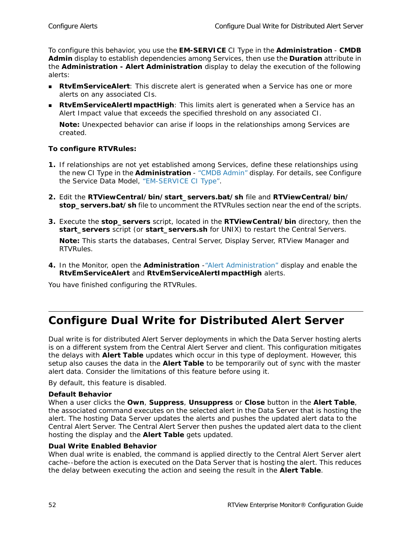To configure this behavior, you use the **EM-SERVICE** CI Type in the **Administration** - **CMDB Admin** display to establish dependencies among Services, then use the **Duration** attribute in the **Administration - Alert Administration** display to delay the execution of the following alerts:

- **RtvEmServiceAlert**: This discrete alert is generated when a Service has one or more alerts on any associated CIs.
- **RtvEmServiceAlertImpactHigh**: This limits alert is generated when a Service has an Alert Impact value that exceeds the specified threshold on any associated CI.

**Note:** Unexpected behavior can arise if loops in the relationships among Services are created.

#### **To configure RTVRules:**

- **1.** If relationships are not yet established among Services, define these relationships using the new CI Type in the **Administration** - "CMDB Admin" display. For details, see Configure the Service Data Model, "EM-SERVICE CI Type".
- **2.** Edit the **RTViewCentral/bin/start\_servers.bat/sh** file and **RTViewCentral/bin/ stop\_servers.bat/sh** file to uncomment the RTVRules section near the end of the scripts.
- **3.** Execute the **stop\_servers** script, located in the **RTViewCentral/bin** directory, then the **start\_servers** script (or **start\_servers.sh** for UNIX) to restart the Central Servers.

**Note:** This starts the databases, Central Server, Display Server, RTView Manager and RTVRules.

**4.** In the Monitor, open the **Administration** -"Alert Administration" display and enable the **RtvEmServiceAlert** and **RtvEmServiceAlertImpactHigh** alerts.

You have finished configuring the RTVRules.

# <span id="page-57-0"></span>**Configure Dual Write for Distributed Alert Server**

Dual write is for distributed Alert Server deployments in which the Data Server hosting alerts is on a different system from the Central Alert Server and client. This configuration mitigates the delays with **Alert Table** updates which occur in this type of deployment. However, this setup also causes the data in the **Alert Table** to be temporarily out of sync with the master alert data. Consider the limitations of this feature before using it.

By default, this feature is disabled.

#### **Default Behavior**

When a user clicks the **Own**, **Suppress**, **Unsuppress** or **Close** button in the **Alert Table**, the associated command executes on the selected alert in the Data Server that is hosting the alert. The hosting Data Server updates the alerts and pushes the updated alert data to the Central Alert Server. The Central Alert Server then pushes the updated alert data to the client hosting the display and the **Alert Table** gets updated.

#### **Dual Write Enabled Behavior**

When dual write is enabled, the command is applied directly to the Central Alert Server alert cache--before the action is executed on the Data Server that is hosting the alert. This reduces the delay between executing the action and seeing the result in the **Alert Table**.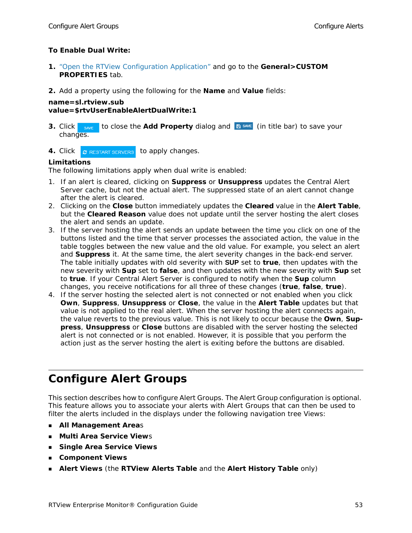#### **To Enable Dual Write:**

- **1.** ["Open the RTView Configuration Application"](#page-30-1) and go to the **General>CUSTOM PROPERTIES** tab.
- **2.** Add a property using the following for the **Name** and **Value** fields:

#### **name=sl.rtview.sub value=\$rtvUserEnableAlertDualWrite:1**

- **3.** Click save to close the **Add Property** dialog and **E** save (in title bar) to save your changes.
- **4.** Click **C** RESTART SERVERS to apply changes.

#### **Limitations**

The following limitations apply when dual write is enabled:

- 1. If an alert is cleared, clicking on **Suppress** or **Unsuppress** updates the Central Alert Server cache, but not the actual alert. The suppressed state of an alert cannot change after the alert is cleared.
- 2. Clicking on the **Close** button immediately updates the **Cleared** value in the **Alert Table**, but the **Cleared Reason** value does not update until the server hosting the alert closes the alert and sends an update.
- 3. If the server hosting the alert sends an update between the time you click on one of the buttons listed and the time that server processes the associated action, the value in the table toggles between the new value and the old value. For example, you select an alert and **Suppress** it. At the same time, the alert severity changes in the back-end server. The table initially updates with old severity with **SUP** set to **true**, then updates with the new severity with **Sup** set to **false**, and then updates with the new severity with **Sup** set to **true**. If your Central Alert Server is configured to notify when the **Sup** column changes, you receive notifications for all three of these changes (**true**, **false**, **true**).
- 4. If the server hosting the selected alert is not connected or not enabled when you click **Own**, **Suppress**, **Unsuppress** or **Close**, the value in the **Alert Table** updates but that value is not applied to the real alert. When the server hosting the alert connects again, the value reverts to the previous value. This is not likely to occur because the **Own**, **Suppress**, **Unsuppress** or **Close** buttons are disabled with the server hosting the selected alert is not connected or is not enabled. However, it is possible that you perform the action just as the server hosting the alert is exiting before the buttons are disabled.

# <span id="page-58-0"></span>**Configure Alert Groups**

This section describes how to configure Alert Groups. The Alert Group configuration is optional. This feature allows you to associate your alerts with Alert Groups that can then be used to filter the alerts included in the displays under the following navigation tree Views:

- **All Management Area**s
- **Multi Area Service View**s
- **Single Area Service Views**
- **Component Views**
- **Alert Views** (the **RTView Alerts Table** and the **Alert History Table** only)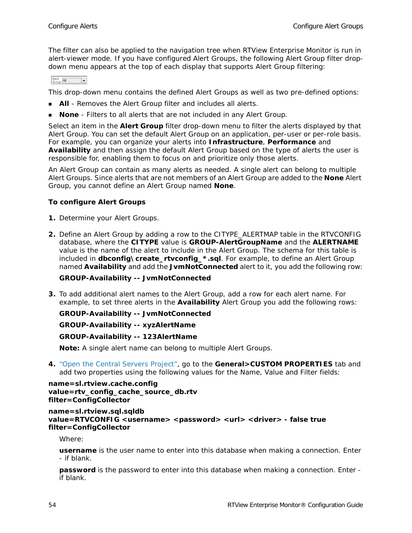The filter can also be applied to the navigation tree when RTView Enterprise Monitor is run in alert-viewer mode. If you have configured Alert Groups, the following Alert Group filter dropdown menu appears at the top of each display that supports Alert Group filtering:

Alert<br>Group: All  $\vert \cdot \vert$ 

This drop-down menu contains the defined Alert Groups as well as two pre-defined options:

- **All** Removes the Alert Group filter and includes all alerts.
- **None** Filters to all alerts that are not included in any Alert Group.

Select an item in the **Alert Group** filter drop-down menu to filter the alerts displayed by that Alert Group. You can set the default Alert Group on an application, per-user or per-role basis. For example, you can organize your alerts into **Infrastructure**, **Performance** and **Availability** and then assign the default Alert Group based on the type of alerts the user is responsible for, enabling them to focus on and prioritize only those alerts.

An Alert Group can contain as many alerts as needed. A single alert can belong to multiple Alert Groups. Since alerts that are not members of an Alert Group are added to the **None** Alert Group, you cannot define an Alert Group named **None**.

#### **To configure Alert Groups**

- **1.** Determine your Alert Groups.
- **2.** Define an Alert Group by adding a row to the CITYPE\_ALERTMAP table in the RTVCONFIG database, where the **CITYPE** value is **GROUP-AlertGroupName** and the **ALERTNAME** value is the name of the alert to include in the Alert Group. The schema for this table is included in **dbconfig\create\_rtvconfig\_\*.sql**. For example, to define an Alert Group named **Availability** and add the **JvmNotConnected** alert to it, you add the following row:

#### **GROUP-Availability -- JvmNotConnected**

**3.** To add additional alert names to the Alert Group, add a row for each alert name. For example, to set three alerts in the **Availability** Alert Group you add the following rows:

#### **GROUP-Availability -- JvmNotConnected**

#### **GROUP-Availability -- xyzAlertName**

#### **GROUP-Availability -- 123AlertName**

**Note:** A single alert name can belong to multiple Alert Groups.

**4.** "Open the Central Servers Project", go to the **General>CUSTOM PROPERTIES** tab and add two properties using the following values for the Name, Value and Filter fields:

```
name=sl.rtview.cache.config 
value=rtv_config_cache_source_db.rtv 
filter=ConfigCollector
```

```
name=sl.rtview.sql.sqldb 
value=RTVCONFIG <username> <password> <url> <driver> - false true 
filter=ConfigCollector
```
Where:

**username** is the user name to enter into this database when making a connection. Enter - if blank.

**password** is the password to enter into this database when making a connection. Enter if blank.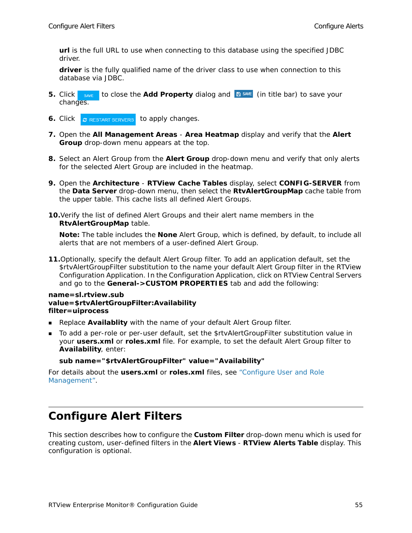**url** is the full URL to use when connecting to this database using the specified JDBC driver.

**driver** is the fully qualified name of the driver class to use when connection to this database via JDBC.

- **5.** Click save to close the **Add Property** dialog and **E** save (in title bar) to save your changes.
- **6.** Click **c** RESTART SERVERS to apply changes.
- **7.** Open the **All Management Areas Area Heatmap** display and verify that the **Alert Group** drop-down menu appears at the top.
- **8.** Select an Alert Group from the **Alert Group** drop-down menu and verify that only alerts for the selected Alert Group are included in the heatmap.
- **9.** Open the **Architecture RTView Cache Tables** display, select **CONFIG-SERVER** from the **Data Server** drop-down menu, then select the **RtvAlertGroupMap** cache table from the upper table. This cache lists all defined Alert Groups.
- **10.**Verify the list of defined Alert Groups and their alert name members in the **RtvAlertGroupMap** table.

**Note:** The table includes the **None** Alert Group, which is defined, by default, to include all alerts that are not members of a user-defined Alert Group.

**11.**Optionally, specify the default Alert Group filter. To add an application default, set the \$rtvAlertGroupFilter substitution to the name your default Alert Group filter in the RTView Configuration Application. In the Configuration Application, click on RTView Central Servers and go to the **General->CUSTOM PROPERTIES** tab and add the following:

#### **name=sl.rtview.sub value=\$rtvAlertGroupFilter:Availability filter=uiprocess**

- **Replace Availablity** with the name of your default Alert Group filter.
- To add a per-role or per-user default, set the \$rtvAlertGroupFilter substitution value in your **users.xml** or **roles.xml** file. For example, to set the default Alert Group filter to **Availability**, enter:

#### **sub name="\$rtvAlertGroupFilter" value="Availability"**

For details about the **users.xml** or **roles.xml** files, see "Configure User and Role Management".

### <span id="page-60-0"></span>**Configure Alert Filters**

This section describes how to configure the **Custom Filter** drop-down menu which is used for creating custom, user-defined filters in the **Alert Views** - **RTView Alerts Table** display. This configuration is optional.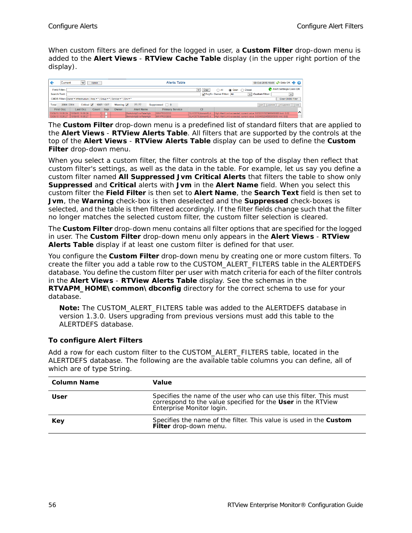When custom filters are defined for the logged in user, a **Custom Filter** drop-down menu is added to the **Alert Views** - **RTView Cache Table** display (in the upper right portion of the display).

| Current              | $\checkmark$                                                                                                                             | Admin |            |       |                         | <b>Alerts Table</b>    |                    |                         | 09-Oct-2015 16:06 @ Data OK @ @                                                              |                        |
|----------------------|------------------------------------------------------------------------------------------------------------------------------------------|-------|------------|-------|-------------------------|------------------------|--------------------|-------------------------|----------------------------------------------------------------------------------------------|------------------------|
| <b>Field Filter:</b> |                                                                                                                                          |       |            |       |                         |                        | Clear<br>$\vee$    | (a) Open (<br>∩ All     | Closed                                                                                       | Alert Settings Conn OK |
| <b>Search Text:</b>  |                                                                                                                                          |       |            |       |                         |                        |                    | RegEx Owner Filter: All | $\vee$ Custom Filter:                                                                        | $\checkmark$           |
|                      | CMDB Filter: Owner = Infrastructure   Area = *   Group = *   Service = *   Env = *                                                       |       |            |       |                         |                        |                    |                         |                                                                                              | Clear CMDB Filter      |
| <b>Total</b>         | Critical $\overline{\mathbf{v}}$<br>Suppressed $\Box$ 0<br>2064/2064<br>1987/1987<br>Warning V<br>77177<br>Own Suppress UnSuppress Close |       |            |       |                         |                        |                    |                         |                                                                                              |                        |
| First Occ.           | <b>Last Occ</b>                                                                                                                          | Count | <b>Sup</b> | Owner | <b>Alert Name</b>       | <b>Primary Service</b> | <b>CI</b>          |                         |                                                                                              |                        |
| 10/09/15 16:06:29    | 10/09/15 16:06:29                                                                                                                        |       |            |       | BwActivityErrorRateHigh | <b>BW-PROCESS</b>      | SLHOST6(domain6):d |                         | High Alert Limit exceeded, current value: 0.032257023966968806 limit: 0.02                   | ^                      |
| 10/09/15 16:06:27    | 10/09/15 16:06:27                                                                                                                        |       |            |       | BwActivityErrorRateHigh | <b>BW-PROCESS</b>      |                    |                         | SLHOST6(domain6);d High Alert Limit exceeded, current value; 0.03466204506065858 limit: 0.02 |                        |

The **Custom Filter** drop-down menu is a predefined list of standard filters that are applied to the **Alert Views** - **RTView Alerts Table**. All filters that are supported by the controls at the top of the **Alert Views** - **RTView Alerts Table** display can be used to define the **Custom Filter** drop-down menu.

When you select a custom filter, the filter controls at the top of the display then reflect that custom filter's settings, as well as the data in the table. For example, let us say you define a custom filter named **All Suppressed Jvm Critical Alerts** that filters the table to show only **Suppressed** and **Critical** alerts with **Jvm** in the **Alert Name** field. When you select this custom filter the **Field Filter** is then set to **Alert Name**, the **Search Text** field is then set to **Jvm**, the **Warning** check-box is then deselected and the **Suppressed** check-boxes is selected, and the table is then filtered accordingly. If the filter fields change such that the filter no longer matches the selected custom filter, the custom filter selection is cleared.

The **Custom Filter** drop-down menu contains all filter options that are specified for the logged in user. The **Custom Filter** drop-down menu only appears in the **Alert Views** - **RTView Alerts Table** display if at least one custom filter is defined for that user.

You configure the **Custom Filter** drop-down menu by creating one or more custom filters. To create the filter you add a table row to the CUSTOM\_ALERT\_FILTERS table in the ALERTDEFS database. You define the custom filter per user with match criteria for each of the filter controls in the **Alert Views** - **RTView Alerts Table** display. See the schemas in the **RTVAPM\_HOME\common\dbconfig** directory for the correct schema to use for your database.

**Note:** The CUSTOM\_ALERT\_FILTERS table was added to the ALERTDEFS database in version 1.3.0. Users upgrading from previous versions must add this table to the ALERTDEFS database.

#### **To configure Alert Filters**

Add a row for each custom filter to the CUSTOM\_ALERT\_FILTERS table, located in the ALERTDEFS database. The following are the available table columns you can define, all of which are of type String.

| Column Name | Value                                                                                                                                                          |
|-------------|----------------------------------------------------------------------------------------------------------------------------------------------------------------|
| User        | Specifies the name of the user who can use this filter. This must<br>correspond to the value specified for the User in the RTView<br>Enterprise Monitor login. |
| Key         | Specifies the name of the filter. This value is used in the <b>Custom</b><br>Filter drop-down menu.                                                            |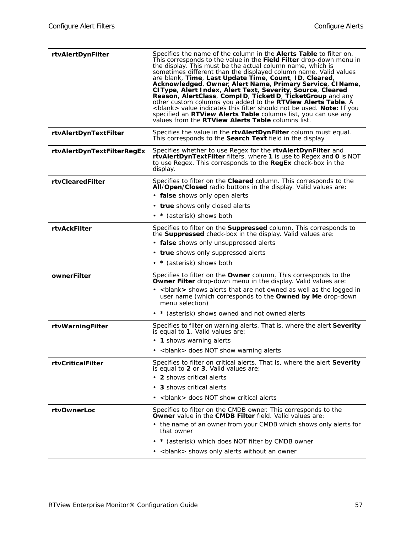| rtvAlertDynFilter          | Specifies the name of the column in the <b>Alerts Table</b> to filter on.<br>This corresponds to the value in the Field Filter drop-down menu in<br>the display. This must be the actual column name, which is<br>sometimes different than the displayed column name. Valid values<br>are blank, Time, Last Update Time, Count, ID, Cleared,<br>Acknowledged, Owner, Alert Name, Primary Service, CIName,<br>CIType, Alert Index, Alert Text, Severity, Source, Cleared<br>Reason, AlertClass, ComplD, TicketID, TicketGroup and any<br>other custom columns you added to the RTView Alerts Table. A<br><blank> value indicates this filter should not be used. Note: If you<br/>specified an RTView Alerts Table columns list, you can use any<br/>values from the <b>RTView Alerts Table</b> columns list.</blank> |
|----------------------------|----------------------------------------------------------------------------------------------------------------------------------------------------------------------------------------------------------------------------------------------------------------------------------------------------------------------------------------------------------------------------------------------------------------------------------------------------------------------------------------------------------------------------------------------------------------------------------------------------------------------------------------------------------------------------------------------------------------------------------------------------------------------------------------------------------------------|
| rtvAlertDynTextFilter      | Specifies the value in the rtvAlertDynFilter column must equal.<br>This corresponds to the Search Text field in the display.                                                                                                                                                                                                                                                                                                                                                                                                                                                                                                                                                                                                                                                                                         |
| rtvAlertDynTextFilterRegEx | Specifies whether to use Regex for the rtvAlertDynFilter and<br>rtvAlertDynTextFilter filters, where 1 is use to Regex and 0 is NOT<br>to use Regex. This corresponds to the RegEx check-box in the<br>display.                                                                                                                                                                                                                                                                                                                                                                                                                                                                                                                                                                                                      |
| rtyClearedFilter           | Specifies to filter on the <b>Cleared</b> column. This corresponds to the<br>All/Open/Closed radio buttons in the display. Valid values are:                                                                                                                                                                                                                                                                                                                                                                                                                                                                                                                                                                                                                                                                         |
|                            | • false shows only open alerts                                                                                                                                                                                                                                                                                                                                                                                                                                                                                                                                                                                                                                                                                                                                                                                       |
|                            | • true shows only closed alerts                                                                                                                                                                                                                                                                                                                                                                                                                                                                                                                                                                                                                                                                                                                                                                                      |
|                            | • * (asterisk) shows both                                                                                                                                                                                                                                                                                                                                                                                                                                                                                                                                                                                                                                                                                                                                                                                            |
| <b>rtvAckFilter</b>        | Specifies to filter on the <b>Suppressed</b> column. This corresponds to<br>the <b>Suppressed</b> check-box in the display. Valid values are:                                                                                                                                                                                                                                                                                                                                                                                                                                                                                                                                                                                                                                                                        |
|                            | • false shows only unsuppressed alerts                                                                                                                                                                                                                                                                                                                                                                                                                                                                                                                                                                                                                                                                                                                                                                               |
|                            | • true shows only suppressed alerts                                                                                                                                                                                                                                                                                                                                                                                                                                                                                                                                                                                                                                                                                                                                                                                  |
|                            | • * (asterisk) shows both                                                                                                                                                                                                                                                                                                                                                                                                                                                                                                                                                                                                                                                                                                                                                                                            |
| ownerFilter                | Specifies to filter on the <b>Owner</b> column. This corresponds to the<br><b>Owner Filter</b> drop-down menu in the display. Valid values are:                                                                                                                                                                                                                                                                                                                                                                                                                                                                                                                                                                                                                                                                      |
|                            | • <blank> shows alerts that are not owned as well as the logged in<br/>user name (which corresponds to the Owned by Me drop-down<br/>menu selection)</blank>                                                                                                                                                                                                                                                                                                                                                                                                                                                                                                                                                                                                                                                         |
|                            | • * (asterisk) shows owned and not owned alerts                                                                                                                                                                                                                                                                                                                                                                                                                                                                                                                                                                                                                                                                                                                                                                      |
| rtvWarningFilter           | Specifies to filter on warning alerts. That is, where the alert <b>Severity</b><br>is equal to 1. Valid values are:                                                                                                                                                                                                                                                                                                                                                                                                                                                                                                                                                                                                                                                                                                  |
|                            | • 1 shows warning alerts                                                                                                                                                                                                                                                                                                                                                                                                                                                                                                                                                                                                                                                                                                                                                                                             |
|                            | • <blank> does NOT show warning alerts</blank>                                                                                                                                                                                                                                                                                                                                                                                                                                                                                                                                                                                                                                                                                                                                                                       |
| rtyCriticalFilter          | Specifies to filter on critical alerts. That is, where the alert Severity<br>is equal to 2 or 3. Valid values are:                                                                                                                                                                                                                                                                                                                                                                                                                                                                                                                                                                                                                                                                                                   |
|                            | • 2 shows critical alerts                                                                                                                                                                                                                                                                                                                                                                                                                                                                                                                                                                                                                                                                                                                                                                                            |
|                            | • 3 shows critical alerts                                                                                                                                                                                                                                                                                                                                                                                                                                                                                                                                                                                                                                                                                                                                                                                            |
|                            | <br>blank> does NOT show critical alerts                                                                                                                                                                                                                                                                                                                                                                                                                                                                                                                                                                                                                                                                                                                                                                             |
| rtyOwnerLoc                | Specifies to filter on the CMDB owner. This corresponds to the<br>Owner value in the CMDB Filter field. Valid values are:                                                                                                                                                                                                                                                                                                                                                                                                                                                                                                                                                                                                                                                                                            |
|                            | • the name of an owner from your CMDB which shows only alerts for<br>that owner                                                                                                                                                                                                                                                                                                                                                                                                                                                                                                                                                                                                                                                                                                                                      |
|                            | * (asterisk) which does NOT filter by CMDB owner                                                                                                                                                                                                                                                                                                                                                                                                                                                                                                                                                                                                                                                                                                                                                                     |
|                            | • <blank> shows only alerts without an owner</blank>                                                                                                                                                                                                                                                                                                                                                                                                                                                                                                                                                                                                                                                                                                                                                                 |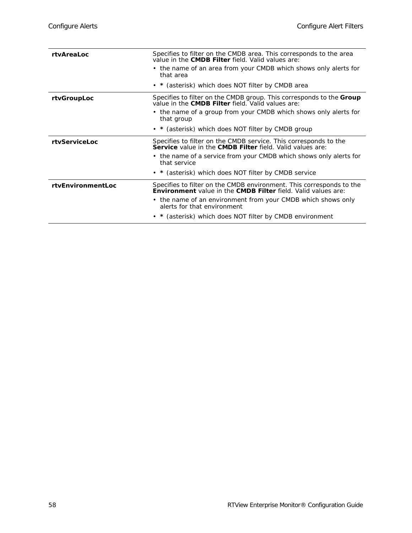| rtyAreaLoc           | Specifies to filter on the CMDB area. This corresponds to the area<br>value in the CMDB Filter field. Valid values are:                             |
|----------------------|-----------------------------------------------------------------------------------------------------------------------------------------------------|
|                      | • the name of an area from your CMDB which shows only alerts for<br>that area                                                                       |
|                      | • * (asterisk) which does NOT filter by CMDB area                                                                                                   |
| rtvGroupLoc          | Specifies to filter on the CMDB group. This corresponds to the <b>Group</b><br>value in the <b>CMDB Filter</b> field. Valid values are:             |
|                      | • the name of a group from your CMDB which shows only alerts for<br>that group                                                                      |
|                      | • * (asterisk) which does NOT filter by CMDB group                                                                                                  |
| <b>rtyServiceLoc</b> | Specifies to filter on the CMDB service. This corresponds to the<br>Service value in the CMDB Filter field. Valid values are:                       |
|                      | • the name of a service from your CMDB which shows only alerts for<br>that service                                                                  |
|                      | • * (asterisk) which does NOT filter by CMDB service                                                                                                |
| rtvEnvironmentLoc    | Specifies to filter on the CMDB environment. This corresponds to the<br><b>Environment</b> value in the <b>CMDB Filter</b> field. Valid values are: |
|                      | • the name of an environment from your CMDB which shows only<br>alerts for that environment                                                         |
|                      | • * (asterisk) which does NOT filter by CMDB environment                                                                                            |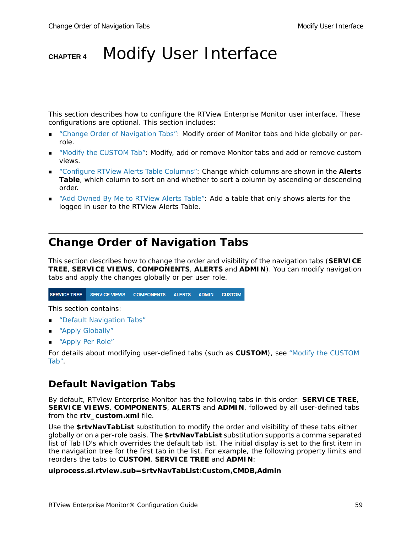# **CHAPTER 4** Modify User Interface

This section describes how to configure the RTView Enterprise Monitor user interface. These configurations are optional. This section includes:

- ["Change Order of Navigation Tabs":](#page-64-0) Modify order of Monitor tabs and hide globally or perrole.
- ["Modify the CUSTOM Tab"](#page-66-0): Modify, add or remove Monitor tabs and add or remove custom views.
- ["Configure RTView Alerts Table Columns":](#page-69-0) Change which columns are shown in the **Alerts Table**, which column to sort on and whether to sort a column by ascending or descending order.
- ["Add Owned By Me to RTView Alerts Table":](#page-72-0) Add a table that only shows alerts for the logged in user to the RTView Alerts Table.

# <span id="page-64-0"></span>**Change Order of Navigation Tabs**

This section describes how to change the order and visibility of the navigation tabs (**SERVICE TREE**, **SERVICE VIEWS**, **COMPONENTS**, **ALERTS** and **ADMIN**). You can modify navigation tabs and apply the changes globally or per user role.

```
SERVICE TREE
             SERVICE VIEWS
                                          ALERTS
                            COMPONENTS
                                                   ADMIN
                                                           CUSTOM
```
This section contains:

- ["Default Navigation Tabs"](#page-64-1)
- ["Apply Globally"](#page-65-0)
- ["Apply Per Role"](#page-65-1)

For details about modifying user-defined tabs (such as **CUSTOM**), see ["Modify the CUSTOM](#page-66-0)  [Tab".](#page-66-0)

### <span id="page-64-1"></span>**Default Navigation Tabs**

By default, RTView Enterprise Monitor has the following tabs in this order: **SERVICE TREE**, **SERVICE VIEWS**, **COMPONENTS**, **ALERTS** and **ADMIN**, followed by all user-defined tabs from the **rtv** custom.xml file.

Use the **\$rtvNavTabList** substitution to modify the order and visibility of these tabs either globally or on a per-role basis. The **\$rtvNavTabList** substitution supports a comma separated list of Tab ID's which overrides the default tab list. The initial display is set to the first item in the navigation tree for the first tab in the list. For example, the following property limits and reorders the tabs to **CUSTOM**, **SERVICE TREE** and **ADMIN**:

#### **uiprocess.sl.rtview.sub=\$rtvNavTabList:Custom,CMDB,Admin**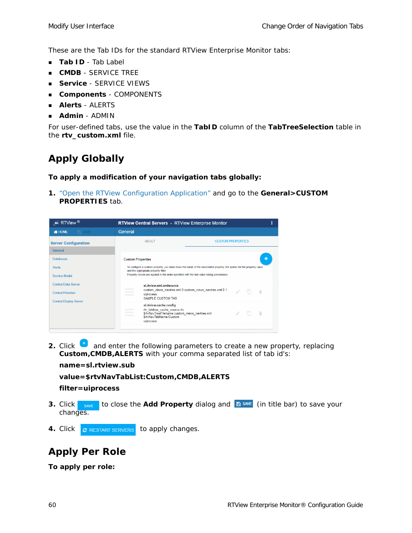These are the Tab IDs for the standard RTView Enterprise Monitor tabs:

- **Tab ID** Tab Label
- **CMDB** SERVICE TREE
- **Service** SERVICE VIEWS
- **Components** COMPONENTS
- **Alerts** ALERTS
- **Admin** ADMIN

For user-defined tabs, use the value in the **TabID** column of the **TabTreeSelection** table in the **rtv\_custom.xml** file.

### <span id="page-65-0"></span>**Apply Globally**

**To apply a modification of your navigation tabs globally:**

**1.** ["Open the RTView Configuration Application"](#page-30-1) and go to the **General>CUSTOM PROPERTIES** tab.

| $\mathcal{L}$ RTView $\mathcal{D}$                                                                 | <b>RTView Central Servers - RTView Enterprise Monitor</b>                                                                                                                                |                                                                                                                           |  |  |
|----------------------------------------------------------------------------------------------------|------------------------------------------------------------------------------------------------------------------------------------------------------------------------------------------|---------------------------------------------------------------------------------------------------------------------------|--|--|
| $\Rightarrow$ SAVE<br><b>N</b> HOME                                                                | General                                                                                                                                                                                  |                                                                                                                           |  |  |
| <b>Server Configuration</b>                                                                        | ABOUT<br><b>CUSTOM PROPERTIES</b>                                                                                                                                                        |                                                                                                                           |  |  |
| <b>General</b><br><b>Databases</b><br><b>Alerts</b><br>Service Model<br><b>Central Data Server</b> | <b>Custom Properties</b><br>and the appropriate property filter.<br>Property values are applied in the order specified with the last value taking precedence.<br>sl.rtview.xml.xmlsource | ۰<br>To configure a custom property, you must know the name of the associated property, the syntax for the property value |  |  |
| <b>Central Historian</b><br><b>Central Display Server</b>                                          | uiprocess<br>SAMPLE CUSTOM TAB<br>sl.rtview.cache.config                                                                                                                                 | custom views navtree.xml 0 custom views navtree.xml 0 1<br>n<br>- fî                                                      |  |  |
|                                                                                                    | rtv_tabtree_cache_source.rtv<br>\$rtvNavTreeFilename:custom_views_navtree.xml<br>SrtyNayTabName:Custom<br>uiprocess                                                                      | In<br>π                                                                                                                   |  |  |

**2.** Click **a** and enter the following parameters to create a new property, replacing **Custom,CMDB,ALERTS** with your comma separated list of tab id's:

**name=sl.rtview.sub**

```
value=$rtvNavTabList:Custom,CMDB,ALERTS
```

```
filter=uiprocess
```
- **3.** Click save to close the Add Property dialog and **B** SAVE (in title bar) to save your changes.
- 4. Click **c** RESTART SERVERS to apply changes.

# <span id="page-65-1"></span>**Apply Per Role**

**To apply per role:**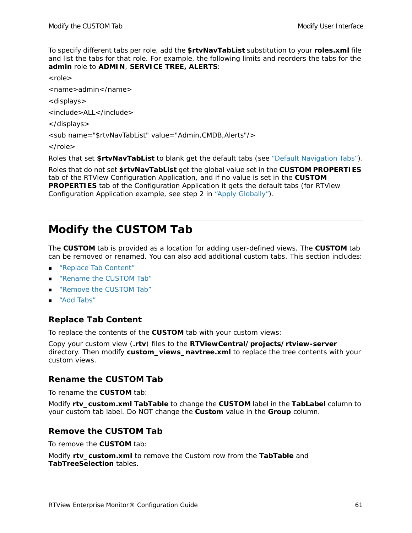To specify different tabs per role, add the **\$rtvNavTabList** substitution to your **roles.xml** file and list the tabs for that role. For example, the following limits and reorders the tabs for the **admin** role to **ADMIN**, **SERVICE TREE, ALERTS**:

<role>

<name>admin</name>

<displays>

<include>ALL</include>

</displays>

<sub name="\$rtvNavTabList" value="Admin,CMDB,Alerts"/>

</role>

Roles that set **\$rtvNavTabList** to blank get the default tabs (see ["Default Navigation Tabs"\)](#page-64-1).

Roles that do not set **\$rtvNavTabList** get the global value set in the **CUSTOM PROPERTIES** tab of the RTView Configuration Application, and if no value is set in the **CUSTOM PROPERTIES** tab of the Configuration Application it gets the default tabs (for RTView Configuration Application example, see step 2 in ["Apply Globally"\)](#page-65-0).

# <span id="page-66-0"></span>**Modify the CUSTOM Tab**

The **CUSTOM** tab is provided as a location for adding user-defined views. The **CUSTOM** tab can be removed or renamed. You can also add additional custom tabs. This section includes:

- ["Replace Tab Content"](#page-66-1)
- ["Rename the CUSTOM Tab"](#page-66-2)
- ["Remove the CUSTOM Tab"](#page-66-3)
- ["Add Tabs"](#page-67-0)

#### <span id="page-66-1"></span>**Replace Tab Content**

To replace the contents of the **CUSTOM** tab with your custom views:

Copy your custom view (**.rtv**) files to the **RTViewCentral/projects/rtview-server** directory. Then modify **custom\_views\_navtree.xml** to replace the tree contents with your custom views.

#### <span id="page-66-2"></span>**Rename the CUSTOM Tab**

To rename the **CUSTOM** tab:

Modify **rtv\_custom.xml TabTable** to change the **CUSTOM** label in the **TabLabel** column to your custom tab label. Do NOT change the **Custom** value in the **Group** column.

#### <span id="page-66-3"></span>**Remove the CUSTOM Tab**

To remove the **CUSTOM** tab:

Modify **rtv\_custom.xml** to remove the Custom row from the **TabTable** and **TabTreeSelection** tables.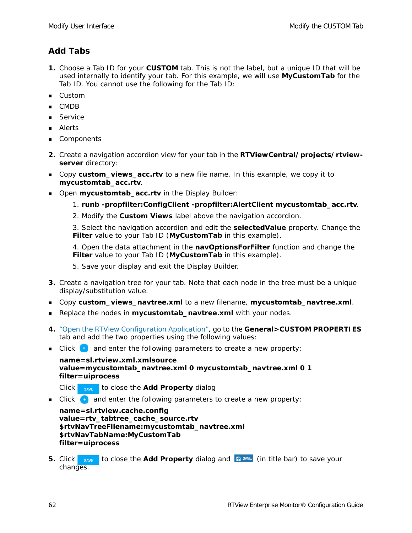### <span id="page-67-0"></span>**Add Tabs**

- **1.** Choose a Tab ID for your **CUSTOM** tab. This is not the label, but a unique ID that will be used internally to identify your tab. For this example, we will use **MyCustomTab** for the Tab ID. You cannot use the following for the Tab ID:
- **Custom**
- CMDB
- Service
- Alerts
- Components
- **2.** Create a navigation accordion view for your tab in the **RTViewCentral/projects/rtviewserver** directory:
- Copy **custom\_views\_acc.rtv** to a new file name. In this example, we copy it to **mycustomtab\_acc.rtv**.
- **Den mycustomtab\_acc.rtv** in the Display Builder:
	- 1. **runb -propfilter:ConfigClient -propfilter:AlertClient mycustomtab\_acc.rtv**.
	- 2. Modify the **Custom Views** label above the navigation accordion.

3. Select the navigation accordion and edit the **selectedValue** property. Change the **Filter** value to your Tab ID (**MyCustomTab** in this example).

4. Open the data attachment in the **navOptionsForFilter** function and change the **Filter** value to your Tab ID (**MyCustomTab** in this example).

5. Save your display and exit the Display Builder.

- **3.** Create a navigation tree for your tab. Note that each node in the tree must be a unique display/substitution value.
- Copy **custom\_views\_navtree.xml** to a new filename, **mycustomtab\_navtree.xml**.
- **Replace the nodes in mycustomtab\_navtree.xml** with your nodes.
- **4.** ["Open the RTView Configuration Application"](#page-30-1), go to the **General>CUSTOM PROPERTIES**  tab and add the two properties using the following values:
- **Click**  $\bullet$  and enter the following parameters to create a new property:

```
name=sl.rtview.xml.xmlsource
value=mycustomtab_navtree.xml 0 mycustomtab_navtree.xml 0 1
filter=uiprocess
```
Click **SAVE** to close the **Add Property** dialog

**EXEC** and enter the following parameters to create a new property:

**name=sl.rtview.cache.config value=rtv\_tabtree\_cache\_source.rtv \$rtvNavTreeFilename:mycustomtab\_navtree.xml \$rtvNavTabName:MyCustomTab filter=uiprocess**

**5.** Click save to close the Add Property dialog and **B** SAVE (in title bar) to save your changes.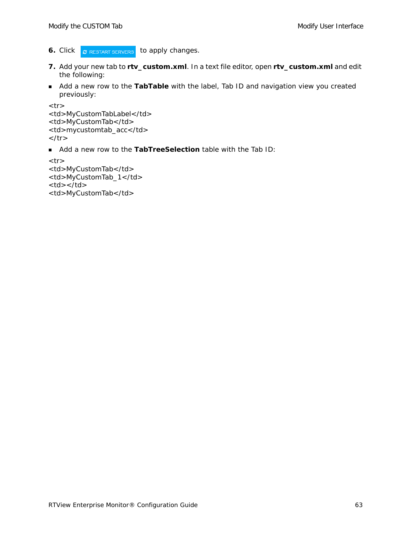- **6.** Click **C** RESTART SERVERS to apply changes.
- **7.** Add your new tab to **rtv\_custom.xml**. In a text file editor, open **rtv\_custom.xml** and edit the following:
- Add a new row to the **TabTable** with the label, Tab ID and navigation view you created previously:

```
<tr><td>MyCustomTabLabel</td> 
<td>MyCustomTab</td> 
<td>mycustomtab_acc</td> 
\langle t \rangle
```
Add a new row to the **TabTreeSelection** table with the Tab ID:

```
<tr><td>MyCustomTab</td> 
<td>MyCustomTab_1</td> 
<td></td><td>MyCustomTab</td>
```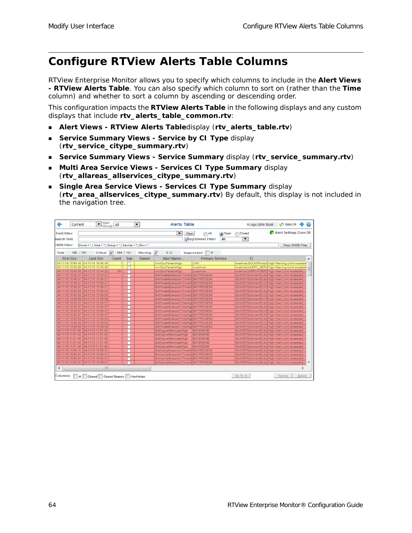# <span id="page-69-0"></span>**Configure RTView Alerts Table Columns**

RTView Enterprise Monitor allows you to specify which columns to include in the **Alert Views - RTView Alerts Table**. You can also specify which column to sort on (rather than the **Time** column) and whether to sort a column by ascending or descending order.

This configuration impacts the **RTView Alerts Table** in the following displays and any custom displays that include **rtv\_alerts\_table\_common.rtv**:

- **Alert Views - RTView Alerts Table**display (**rtv\_alerts\_table.rtv**)
- **Service Summary Views Service by CI Type display** (**rtv\_service\_citype\_summary.rtv**)
- **Service Summary Views - Service Summary** display (**rtv\_service\_summary.rtv**)
- **Multi Area Service Views Services CI Type Summary** display (**rtv\_allareas\_allservices\_citype\_summary.rtv**)
- **Single Area Service Views - Services CI Type Summary** display (**rtv\_area\_allservices\_citype\_summary.rtv**) By default, this display is not included in the navigation tree.

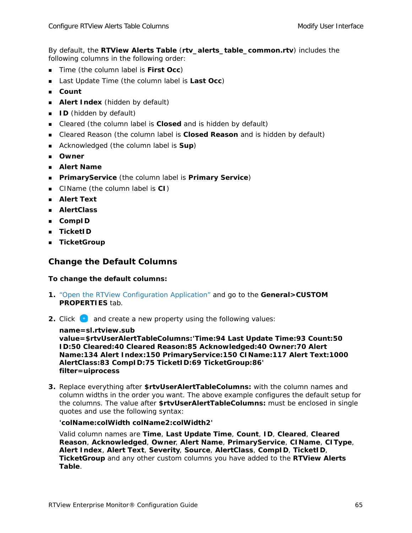By default, the **RTView Alerts Table** (**rtv\_alerts\_table\_common.rtv**) includes the following columns in the following order:

- **Time (the column label is First Occ)**
- Last Update Time (the column label is **Last Occ**)
- **Count**
- **Alert Index** (hidden by default)
- **ID** (hidden by default)
- Cleared (the column label is **Closed** and is hidden by default)
- Cleared Reason (the column label is **Closed Reason** and is hidden by default)
- Acknowledged (the column label is **Sup**)
- **Owner**
- **Alert Name**
- **PrimaryService** (the column label is **Primary Service**)
- CIName (the column label is **CI**)
- **Alert Text**
- **AlertClass**
- **CompID**
- **TicketID**
- **TicketGroup**

#### **Change the Default Columns**

#### **To change the default columns:**

- **1.** ["Open the RTView Configuration Application"](#page-30-1) and go to the **General>CUSTOM PROPERTIES** tab.
- **2.** Click **a** and create a new property using the following values:

**name=sl.rtview.sub** 

**value=\$rtvUserAlertTableColumns:'Time:94 Last Update Time:93 Count:50 ID:50 Cleared:40 Cleared Reason:85 Acknowledged:40 Owner:70 Alert Name:134 Alert Index:150 PrimaryService:150 CIName:117 Alert Text:1000 AlertClass:83 CompID:75 TicketID:69 TicketGroup:86' filter=uiprocess** 

**3.** Replace everything after **\$rtvUserAlertTableColumns:** with the column names and column widths in the order you want. The above example configures the default setup for the columns. The value after **\$rtvUserAlertTableColumns:** must be enclosed in single quotes and use the following syntax:

#### **'colName:colWidth colName2:colWidth2'**

Valid column names are **Time**, **Last Update Time**, **Count**, **ID**, **Cleared**, **Cleared Reason**, **Acknowledged**, **Owner**, **Alert Name**, **PrimaryService**, **CIName**, **CIType**, **Alert Index**, **Alert Text**, **Severity**, **Source**, **AlertClass**, **CompID**, **TicketID**, **TicketGroup** and any other custom columns you have added to the **RTView Alerts Table**.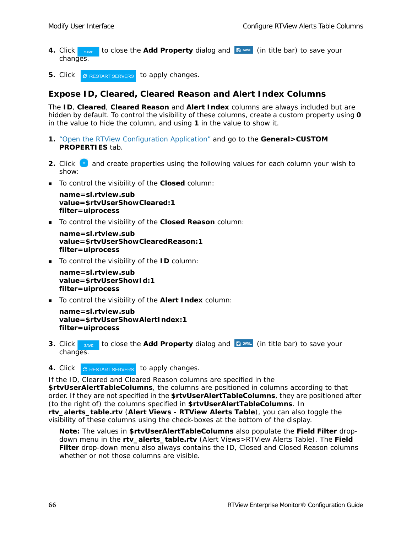- **4.** Click save to close the **Add Property** dialog and  $\mathbb{B}^{\text{SAVE}}$  (in title bar) to save your changes.
- **5.** Click **C** RESTART SERVERS to apply changes.

#### **Expose ID, Cleared, Cleared Reason and Alert Index Columns**

The **ID**, **Cleared**, **Cleared Reason** and **Alert Index** columns are always included but are hidden by default. To control the visibility of these columns, create a custom property using **0** in the value to hide the column, and using **1** in the value to show it.

- **1.** ["Open the RTView Configuration Application"](#page-30-1) and go to the **General>CUSTOM PROPERTIES** tab.
- **2.** Click **t** and create properties using the following values for each column your wish to show:
- To control the visibility of the **Closed** column:

```
name=sl.rtview.sub
value=$rtvUserShowCleared:1
filter=uiprocess
```
To control the visibility of the **Closed Reason** column:

```
name=sl.rtview.sub
value=$rtvUserShowClearedReason:1
filter=uiprocess
```
■ To control the visibility of the **ID** column:

```
name=sl.rtview.sub
value=$rtvUserShowId:1
filter=uiprocess
```
To control the visibility of the **Alert Index** column:

```
name=sl.rtview.sub
value=$rtvUserShowAlertIndex:1 
filter=uiprocess
```
- **3.** Click save to close the Add Property dialog and **B** SAVE (in title bar) to save your changes.
- 4. Click **C** RESTART SERVERS to apply changes.

If the ID, Cleared and Cleared Reason columns are specified in the

**\$rtvUserAlertTableColumns**, the columns are positioned in columns according to that order. If they are not specified in the **\$rtvUserAlertTableColumns**, they are positioned after (to the right of) the columns specified in **\$rtvUserAlertTableColumns**. In **rtv\_alerts\_table.rtv** (**Alert Views - RTView Alerts Table**), you can also toggle the visibility of these columns using the check-boxes at the bottom of the display.

**Note:** The values in **\$rtvUserAlertTableColumns** also populate the **Field Filter** dropdown menu in the **rtv\_alerts\_table.rtv** (Alert Views>RTView Alerts Table). The **Field Filter** drop-down menu also always contains the ID, Closed and Closed Reason columns whether or not those columns are visible.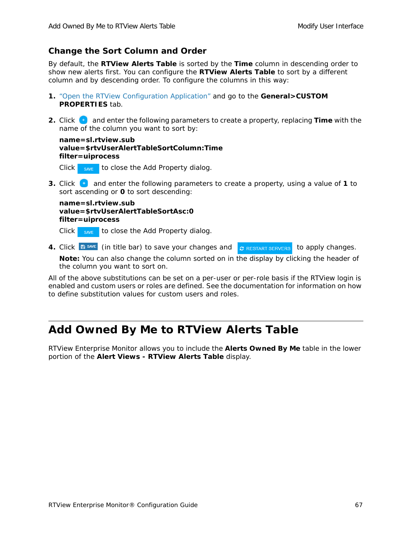### **Change the Sort Column and Order**

By default, the **RTView Alerts Table** is sorted by the **Time** column in descending order to show new alerts first. You can configure the **RTView Alerts Table** to sort by a different column and by descending order. To configure the columns in this way:

- **1.** ["Open the RTView Configuration Application"](#page-30-0) and go to the **General>CUSTOM PROPERTIES** tab.
- **2.** Click **b** and enter the following parameters to create a property, replacing **Time** with the name of the column you want to sort by:

**name=sl.rtview.sub value=\$rtvUserAlertTableSortColumn:Time filter=uiprocess**

Click  $\frac{1}{\sqrt{2}}$  save to close the Add Property dialog.

**3.** Click **t** and enter the following parameters to create a property, using a value of **1** to sort ascending or **0** to sort descending:

**name=sl.rtview.sub value=\$rtvUserAlertTableSortAsc:0 filter=uiprocess**

Click  $\frac{1}{\sqrt{2}}$  save to close the Add Property dialog.

**4.** Click **E** save (in title bar) to save your changes and **c** RESTART SERVERS to apply changes.

**Note:** You can also change the column sorted on in the display by clicking the header of the column you want to sort on.

All of the above substitutions can be set on a per-user or per-role basis if the RTView login is enabled and custom users or roles are defined. See the documentation for information on how to define substitution values for custom users and roles.

# **Add Owned By Me to RTView Alerts Table**

RTView Enterprise Monitor allows you to include the **Alerts Owned By Me** table in the lower portion of the **Alert Views - RTView Alerts Table** display.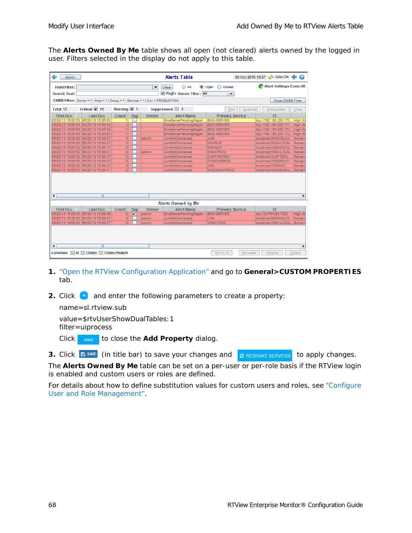The **Alerts Owned By Me** table shows all open (not cleared) alerts owned by the logged in user. Filters selected in the display do not apply to this table.

| <b>Admin</b>                                                  |                                                                                |                                |     |                          | <b>Alerts Table</b>     |                        |          | 09-Oct-2015 16:27 CO Data OK | $\bullet$ |
|---------------------------------------------------------------|--------------------------------------------------------------------------------|--------------------------------|-----|--------------------------|-------------------------|------------------------|----------|------------------------------|-----------|
| <b>Field Filter:</b>                                          |                                                                                |                                |     | $\overline{\phantom{a}}$ | $\bigcirc$ All<br>Clear | O Open<br>C Closed     |          | Alert Settings Conn OK       |           |
| <b>Search Text:</b>                                           |                                                                                |                                |     |                          | RegEx Owner Filter: All | ▼                      |          |                              |           |
|                                                               |                                                                                |                                |     |                          |                         |                        |          |                              |           |
|                                                               | CMDB Filter: Owner = *   Area = *   Group = *   Service = *   Env = PRODUCTION |                                |     |                          |                         |                        |          | <b>Clear CMDB Filter</b>     |           |
| Total 12                                                      | Critical V 11                                                                  | Warning $\boxed{\mathbf{r}}$ 1 |     |                          | Suppressed 1            | Own                    | Suppress | <b>UnSuppress</b>            | Close     |
| <b>First Occ</b>                                              | <b>Last Occ</b>                                                                | Count                          | Sup | Owner                    | <b>Alert Name</b>       | <b>Primary Service</b> |          | <sub>C1</sub>                |           |
| 06/20/13 16:06:53                                             | 06/20/13 16:06:53                                                              |                                |     |                          | EmsServerPendingMsgsH.  | <b>EMS-SERVER</b>      |          | top://192.168.200.172.       | High W    |
| 06/20/13 16:06:53                                             | 06/20/13 16:06:53                                                              | 1                              |     |                          | EmsServerPendingMsgsH.  | <b>EMS-SERVER</b>      |          | top://192.168.200.171        | High Al   |
| 06/20/13 16:06:53                                             | 06/20/13 16:06:53                                                              | 1                              |     |                          | EmsServerPendingMsgsH.  | <b>EMS-SERVER</b>      |          | top://192.168.200.171.       | High Al   |
| 06/20/13 16:06:53                                             | 06/20/13 16:06:53                                                              | $\vert$                        |     |                          | EmsServerPendingMsgsH.  | <b>EMS-SERVER</b>      |          | tcp://192.168.200.172.       | High Al   |
| 06/20/13 16:06:52                                             | 06/20/13 16:09:07                                                              | $\overline{3}$                 |     | admin                    | <b>JymNotConnected</b>  | <b>JVM</b>             |          | Iocalhost:BWMON-LO.          | Server    |
| 06/20/13 16:06:52                                             | 06/20/13 16:08:47                                                              | $\overline{2}$                 |     |                          | <b>JymNotConnected</b>  | MQ-WLM                 |          | localhost:WLM-LOCAL          | Server    |
| 06/20/13 16:06:52                                             | 06/20/13 16:08:47                                                              | $\overline{2}$                 |     |                          | JvmNotConnected         | MQ-WLM                 |          | localhost:MQMON-LO.          | Server    |
| 06/20/13 16:06:52                                             | 06/20/13 16:09:07                                                              | $\overline{3}$                 |     | admin                    | <b>JymNotConnected</b>  | <b>WSM-PROD</b>        |          | localhost:WSM-LOCAL          | Server    |
| 06/20/13 16:06:52                                             | 06/20/13 16:08:47                                                              | $\overline{2}$                 |     |                          | <b>JymNotConnected</b>  | <b>CUSTOM-DEV</b>      |          | localhost:CUSTOM-L.          | Server    |
|                                                               | 06/20/13 16:06:52 06/20/13 16:08:47                                            | $\overline{2}$                 |     |                          | <b>JymNotConnected</b>  | OCMON-PROD             |          | localhost:OCMON-LO.          | Server    |
|                                                               | 06/20/13 16:06:52 06/20/13 16:08:47                                            | $\overline{2}$                 |     |                          | JvmNotConnected         | <b>JVM</b>             |          | localhost:TOMCAT             | Server    |
|                                                               | 06/20/13 16:06:52 06/20/13 16:08:47                                            | $\overline{2}$                 |     |                          | JvmNotConnected         | MISCMON-PROD           |          | localhost:MISCMON-L.         | Server    |
| $\blacktriangleright$<br>$\mathbb{I}$<br>$\blacktriangleleft$ |                                                                                |                                |     |                          |                         |                        |          |                              |           |
|                                                               |                                                                                |                                |     |                          | Alerts Owned by Me      |                        |          |                              |           |
| <b>First Occ</b>                                              | <b>Last Occ</b>                                                                | Count                          | Sup | Owner                    | <b>Alert Name</b>       | <b>Primary Service</b> |          | C1                           |           |
| 06/20/13 16:06:53                                             | 06/20/13 16:09:08                                                              | $\epsilon$                     | v   | admin                    | EmsServerPendingMsgsH.  | <b>EMS-SERVER</b>      |          | top://SLPRO29:7222           | High Al   |
|                                                               | 06/20/13 16:06:52 06/20/13 16:09:07                                            | $\overline{3}$                 |     | admin                    | JvmNotConnected         | <b>NVL</b>             |          | localhost;BWMON-LO           | Server    |
|                                                               | 06/20/13 16:06:52 06/20/13 16:09:07                                            | $\overline{\mathbf{3}}$        |     | admin                    | JymNotConnected         | <b>WSM-PROD</b>        |          | localhost; WSM-LOCAL         | Server    |
|                                                               |                                                                                |                                |     |                          |                         |                        |          |                              |           |
| $\blacktriangleright$<br>◀<br>Ш                               |                                                                                |                                |     |                          |                         |                        |          |                              |           |
| Columns<br>ld                                                 | Closed Reason<br>Closed<br>Go To Cl<br>Options<br><b>Details</b><br>Annotate   |                                |     |                          |                         |                        |          |                              |           |

- **1.** ["Open the RTView Configuration Application"](#page-30-0) and go to **General>CUSTOM PROPERTIES**  tab.
- **2.** Click  $\bullet$  and enter the following parameters to create a property:

name=sl.rtview.sub

value=\$rtvUserShowDualTables:1 filter=uiprocess

- Click save to close the **Add Property** dialog.
- **3.** Click **B** SAVE (in title bar) to save your changes and **c** RESTART SERVERS to apply changes.

The **Alerts Owned By Me** table can be set on a per-user or per-role basis if the RTView login is enabled and custom users or roles are defined.

For details about how to define substitution values for custom users and roles, see "Configure User and Role Management".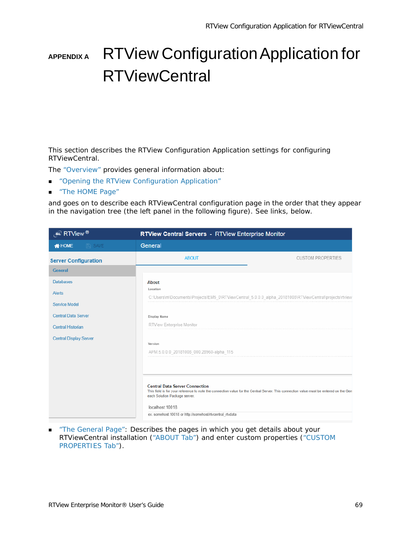# **APPENDIX A** RTView Configuration Application for **RTViewCentral**

This section describes the RTView Configuration Application settings for configuring RTViewCentral.

The ["Overview"](#page-75-0) provides general information about:

- **DED ["Opening the RTView Configuration Application"](#page-75-1)**
- ["The HOME Page"](#page-76-0)

and goes on to describe each RTViewCentral configuration page in the order that they appear in the navigation tree (the left panel in the following figure). See links, below.

| $\overline{\mathcal{L}}$ RTView ®                                         | <b>RTView Central Servers - RTView Enterprise Monitor</b>                                                                                                                                                                                                                                        |                          |
|---------------------------------------------------------------------------|--------------------------------------------------------------------------------------------------------------------------------------------------------------------------------------------------------------------------------------------------------------------------------------------------|--------------------------|
| <b>N</b> HOME<br>$P$ SAVE                                                 | General                                                                                                                                                                                                                                                                                          |                          |
| <b>Server Configuration</b>                                               | <b>ABOUT</b>                                                                                                                                                                                                                                                                                     | <b>CUSTOM PROPERTIES</b> |
| <b>General</b>                                                            |                                                                                                                                                                                                                                                                                                  |                          |
| <b>Databases</b><br>Alerts<br>Service Model<br><b>Central Data Server</b> | About<br>Location<br>C:\Users\m\Documents\Projects\EM5_0\RTViewCentral_5.0.0.0_alpha_20181008\RTViewCentral\projects\rtview<br>Display Name                                                                                                                                                      |                          |
| <b>Central Historian</b>                                                  | RTView Enterprise Monitor                                                                                                                                                                                                                                                                        |                          |
| <b>Central Display Server</b>                                             | Version<br>APM.5.0.0.0_20181008_000.28960-alpha_115                                                                                                                                                                                                                                              |                          |
|                                                                           | <b>Central Data Server Connection</b><br>This field is for your reference to note the connection value for the Central Server. This connection value must be entered on the Gen<br>each Solution Package server.<br>localhost: 10018<br>ex. somehost:10018 or http://somehost/rtvcentral_rtvdata |                          |

**The General Page": Describes the pages in which you get details about your** RTViewCentral installation [\("ABOUT Tab"\)](#page-77-1) and enter custom properties (["CUSTOM](#page-77-2)  [PROPERTIES Tab"\)](#page-77-2).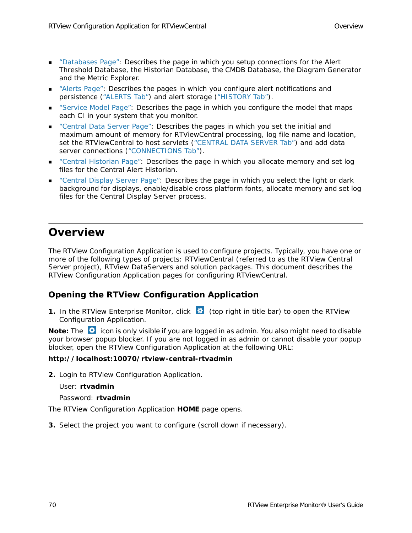- **Databases Page": Describes the page in which you setup connections for the Alert** Threshold Database, the Historian Database, the CMDB Database, the Diagram Generator and the Metric Explorer.
- ["Alerts Page"](#page-81-0): Describes the pages in which you configure alert notifications and persistence [\("ALERTS Tab"\)](#page-81-1) and alert storage [\("HISTORY Tab"](#page-82-0)).
- **EXECT:** ["Service Model Page":](#page-83-0) Describes the page in which you configure the model that maps each CI in your system that you monitor.
- ["Central Data Server Page":](#page-84-0) Describes the pages in which you set the initial and maximum amount of memory for RTViewCentral processing, log file name and location, set the RTViewCentral to host servlets [\("CENTRAL DATA SERVER Tab"](#page-85-0)) and add data server connections (["CONNECTIONS Tab"](#page-85-1)).
- ["Central Historian Page"](#page-86-0): Describes the page in which you allocate memory and set log files for the Central Alert Historian.
- ["Central Display Server Page"](#page-87-0): Describes the page in which you select the light or dark background for displays, enable/disable cross platform fonts, allocate memory and set log files for the Central Display Server process.

### <span id="page-75-0"></span>**Overview**

The RTView Configuration Application is used to configure *projects*. Typically, you have one or more of the following types of projects: RTViewCentral (referred to as the RTView Central Server project), RTView DataServers and solution packages. This document describes the RTView Configuration Application pages for configuring RTViewCentral.

### <span id="page-75-1"></span>**Opening the RTView Configuration Application**

**1.** In the RTView Enterprise Monitor, click **C** (top right in title bar) to open the RTView Configuration Application.

**Note:** The  $\ddot{\bullet}$  icon is only visible if you are logged in as admin. You also might need to disable your browser popup blocker. If you are not logged in as admin or cannot disable your popup blocker, open the RTView Configuration Application at the following URL:

### **http://localhost:10070/rtview-central-rtvadmin**

**2.** Login to RTView Configuration Application.

User: **rtvadmin**

Password: **rtvadmin**

The RTView Configuration Application **HOME** page opens.

**3.** Select the project you want to configure (scroll down if necessary).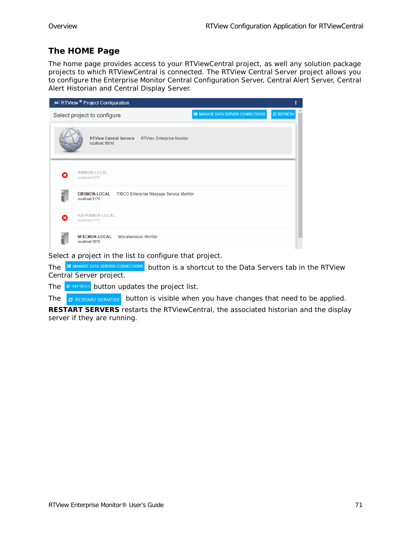### <span id="page-76-0"></span>**The HOME Page**

The home page provides access to your RTViewCentral project, as well any solution package projects to which RTViewCentral is connected. The RTView Central Server project allows you to configure the Enterprise Monitor Central Configuration Server, Central Alert Server, Central Alert Historian and Central Display Server.

|   | RTView <sup>®</sup> Project Configuration |                              |                                                  |                                | ŧ                |
|---|-------------------------------------------|------------------------------|--------------------------------------------------|--------------------------------|------------------|
|   | Select project to configure               |                              |                                                  | MANAGE DATA SERVER CONNECTIONS | <b>C REFRESH</b> |
|   | localhost: 10018                          |                              | RTView Central Servers RTView Enterprise Monitor |                                |                  |
| я | BWMON-LOCAL<br>localhost:3378             |                              |                                                  |                                |                  |
|   | <b>EMSMON-LOCAL</b><br>localhost:3178     |                              | TIBCO Enterprise Message Service Monitor         |                                |                  |
| ఴ | KAFKAMON-LOCAL<br>localhost:3778          |                              |                                                  |                                |                  |
|   | <b>MISCMON-LOCAL</b><br>localhost:3978    | <b>Miscellaneous Monitor</b> |                                                  |                                |                  |

Select a project in the list to configure that project.

The **BUTANAGE DATA SERVER CONNECTIONS** button is a shortcut to the Data Servers tab in the RTView Central Server project.

The  $\sigma$  REFRESH button updates the project list.

The  $\sigma$  restart servers button is visible when you have changes that need to be applied.

**RESTART SERVERS** restarts the RTViewCentral, the associated historian and the display server if they are running.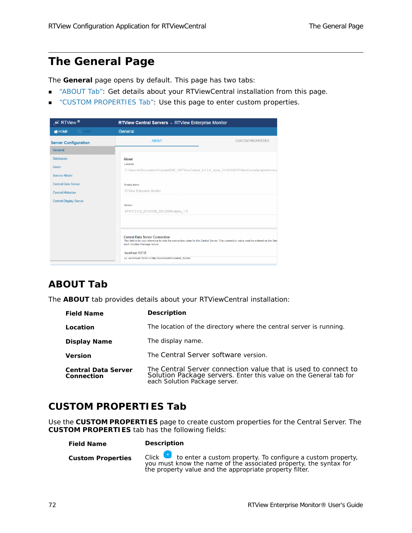# <span id="page-77-0"></span>**The General Page**

The **General** page opens by default. This page has two tabs:

- ["ABOUT Tab":](#page-77-1) Get details about your RTViewCentral installation from this page.
- **CUSTOM PROPERTIES Tab": Use this page to enter custom properties.**

| $\mathscr{L}$ RTView $^{\circledR}$                                                                                                                  | <b>RTView Central Servers - RTView Enterprise Monitor</b>                                                                                                                                                                                                                                        |                          |
|------------------------------------------------------------------------------------------------------------------------------------------------------|--------------------------------------------------------------------------------------------------------------------------------------------------------------------------------------------------------------------------------------------------------------------------------------------------|--------------------------|
| <b>N</b> HOME<br>$P$ SAVE                                                                                                                            | General                                                                                                                                                                                                                                                                                          |                          |
| <b>Server Configuration</b>                                                                                                                          | <b>ABOUT</b>                                                                                                                                                                                                                                                                                     | <b>CUSTOM PROPERTIES</b> |
| <b>General</b>                                                                                                                                       |                                                                                                                                                                                                                                                                                                  |                          |
| <b>Databases</b><br><b>Alerts</b><br><b>Service Model</b><br><b>Central Data Server</b><br><b>Central Historian</b><br><b>Central Display Server</b> | About<br>Location<br>C:\Users\m\Documents\Projects\EM5_0\RTViewCentral_5.0.0.0_alpha_20181008\RTViewCentral\projects\rtview<br>Display Name<br><b>RTView Enterprise Monitor</b><br>Version<br>APM.5.0.0.0_20181008_000.28960-alpha_115                                                           |                          |
|                                                                                                                                                      | <b>Central Data Server Connection</b><br>This field is for your reference to note the connection value for the Central Server. This connection value must be entered on the Gen<br>each Solution Package server.<br>localhost: 10018<br>ex. somehost:10018 or http://somehost/rtvcentral_rtvdata |                          |

### <span id="page-77-1"></span>**ABOUT Tab**

The **ABOUT** tab provides details about your RTViewCentral installation:

| <b>Field Name</b>                        | <b>Description</b>                                                                                                                                                   |
|------------------------------------------|----------------------------------------------------------------------------------------------------------------------------------------------------------------------|
| Location                                 | The location of the directory where the central server is running.                                                                                                   |
| <b>Display Name</b>                      | The display name.                                                                                                                                                    |
| <b>Version</b>                           | The Central Server software version.                                                                                                                                 |
| <b>Central Data Server</b><br>Connection | The Central Server connection value that is used to connect to<br>Solution Package servers. Enter this value on the General tab for<br>each Solution Package server. |

### <span id="page-77-2"></span>**CUSTOM PROPERTIES Tab**

Use the **CUSTOM PROPERTIES** page to create custom properties for the Central Server. The **CUSTOM PROPERTIES** tab has the following fields:

**Field Name Description**

**Custom Properties** Click to enter a custom property. To configure a custom property, you must know the name of the associated property, the syntax for the property value and the appropriate property filter.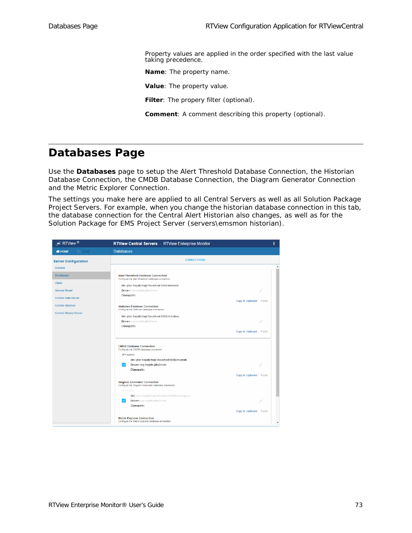Property values are applied in the order specified with the last value taking precedence.

**Name**: The property name.

**Value**: The property value.

**Filter**: The propery filter (optional).

**Comment**: A comment describing this property (optional).

# <span id="page-78-0"></span>**Databases Page**

Use the **Databases** page to setup the Alert Threshold Database Connection, the Historian Database Connection, the CMDB Database Connection, the Diagram Generator Connection and the Metric Explorer Connection.

The settings you make here are applied to all Central Servers as well as all Solution Package Project Servers. For example, when you change the historian database connection in this tab, the database connection for the Central Alert Historian also changes, as well as for the Solution Package for EMS Project Server (servers\emsmon historian).

| $\epsilon$ RTView $^{\circledR}$ | RTView Central Servers - RTView Enterprise Monitor                                                                                                                                                             |                         | ŧ                        |
|----------------------------------|----------------------------------------------------------------------------------------------------------------------------------------------------------------------------------------------------------------|-------------------------|--------------------------|
| <b>N</b> HOME<br><b>E</b> SAVE   | <b>Databases</b>                                                                                                                                                                                               |                         |                          |
| <b>Server Configuration</b>      | <b>CONNECTIONS</b>                                                                                                                                                                                             |                         |                          |
| General                          |                                                                                                                                                                                                                |                         | $\overline{\phantom{a}}$ |
| <b>Databases</b>                 | <b>Alert Threshold Database Connection</b><br>Configure the alert threshold database connection                                                                                                                |                         |                          |
| <b>Alerts</b>                    | Url: jdbc:hsqldb:hsql://localhost:9099/alertdefs                                                                                                                                                               |                         |                          |
| Service Model                    | <b>Driver:</b> org.hsqldb.jdbcDriver                                                                                                                                                                           |                         |                          |
| <b>Central Data Server</b>       | Classpath:                                                                                                                                                                                                     |                         |                          |
| <b>Central Historian</b>         |                                                                                                                                                                                                                | Copy to clipboard Paste |                          |
|                                  | <b>Historian Database Connection</b><br>Configure the Historian database connection                                                                                                                            |                         |                          |
| <b>Central Display Server</b>    | Url: jdbc:hsqldb:hsql://localhost:9099/rtvhistory                                                                                                                                                              |                         |                          |
|                                  | <b>Driver:</b> org.hsqldb.jdbcDriver                                                                                                                                                                           |                         |                          |
|                                  | Classpath:                                                                                                                                                                                                     |                         |                          |
|                                  |                                                                                                                                                                                                                | Copy to clipboard       | Paste                    |
|                                  | <b>CMDB Database Connection</b><br>Configure the CMDB database connection<br>$\mathbf{\mathcal{C}}$ = enabled<br>Url: jdbc:hsqldb:hsql://localhost:9099/rtvcmdb<br>Driver: org.hsqldb.jdbcDriver<br>Classpath: |                         |                          |
|                                  |                                                                                                                                                                                                                | Copy to clipboard Paste |                          |
|                                  | <b>Diagram Generator Connection</b><br>Configure the Diagram Generator database connection                                                                                                                     |                         |                          |
|                                  | $\mathcal{C}$ = enabled                                                                                                                                                                                        |                         |                          |
|                                  | Url: jdbc:hsqldb:hsql://localhost:9099/rtvdiagram                                                                                                                                                              |                         |                          |
|                                  | Driver: org.hsqldb.jdbcDriver<br>Classpath:                                                                                                                                                                    |                         |                          |
|                                  |                                                                                                                                                                                                                | Copy to clipboard Paste |                          |
|                                  |                                                                                                                                                                                                                |                         |                          |
|                                  | <b>Metric Explorer Connection</b><br>Configure the Metric Explorer database connection                                                                                                                         |                         |                          |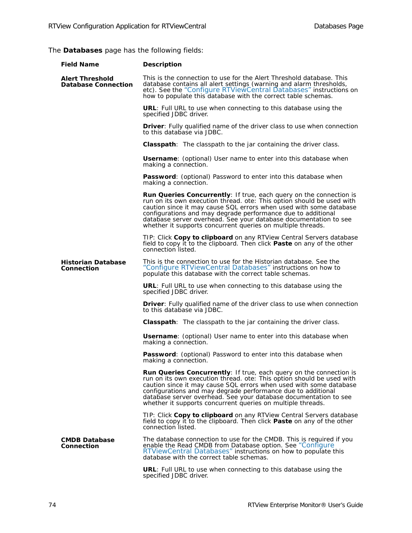The **Databases** page has the following fields:

| <b>Field Name</b>                                    | <b>Description</b>                                                                                                                                                                                                                                                                                                                                                                                                   |
|------------------------------------------------------|----------------------------------------------------------------------------------------------------------------------------------------------------------------------------------------------------------------------------------------------------------------------------------------------------------------------------------------------------------------------------------------------------------------------|
| <b>Alert Threshold</b><br><b>Database Connection</b> | This is the connection to use for the Alert Threshold database. This<br>database contains all alert settings (warning and alarm thresholds,<br>etc). See the "Configure RTViewCentral Databases" instructions on<br>how to populate this database with the correct table schemas.                                                                                                                                    |
|                                                      | <b>URL:</b> Full URL to use when connecting to this database using the<br>specified JDBC driver.                                                                                                                                                                                                                                                                                                                     |
|                                                      | <b>Driver:</b> Fully qualified name of the driver class to use when connection<br>to this database via JDBC.                                                                                                                                                                                                                                                                                                         |
|                                                      | <b>Classpath</b> : The classpath to the jar containing the driver class.                                                                                                                                                                                                                                                                                                                                             |
|                                                      | <b>Username:</b> (optional) User name to enter into this database when<br>making a connection.                                                                                                                                                                                                                                                                                                                       |
|                                                      | Password: (optional) Password to enter into this database when<br>making a connection.                                                                                                                                                                                                                                                                                                                               |
|                                                      | Run Queries Concurrently: If true, each query on the connection is<br>run on its own execution thread. ote: This option should be used with<br>caution since it may cause SQL errors when used with some database<br>configurations and may degrade performance due to additional<br>database server overhead. See your database documentation to see<br>whether it supports concurrent queries on multiple threads. |
|                                                      | TIP: Click Copy to clipboard on any RTView Central Servers database<br>field to copy it to the clipboard. Then click Paste on any of the other<br>connection listed.                                                                                                                                                                                                                                                 |
| <b>Historian Database</b><br><b>Connection</b>       | This is the connection to use for the Historian database. See the<br>"Configure RTViewCentral Databases" instructions on how to<br>populate this database with the correct table schemas.                                                                                                                                                                                                                            |
|                                                      | <b>URL:</b> Full URL to use when connecting to this database using the<br>specified JDBC driver.                                                                                                                                                                                                                                                                                                                     |
|                                                      | <b>Driver:</b> Fully qualified name of the driver class to use when connection<br>to this database via JDBC.                                                                                                                                                                                                                                                                                                         |
|                                                      | <b>Classpath</b> : The classpath to the jar containing the driver class.                                                                                                                                                                                                                                                                                                                                             |
|                                                      | <b>Username:</b> (optional) User name to enter into this database when<br>making a connection.                                                                                                                                                                                                                                                                                                                       |
|                                                      | <b>Password:</b> (optional) Password to enter into this database when<br>making a connection.                                                                                                                                                                                                                                                                                                                        |
|                                                      | Run Queries Concurrently: If true, each query on the connection is<br>run on its own execution thread. ote: This option should be used with<br>caution since it may cause SQL errors when used with some database<br>configurations and may degrade performance due to additional<br>database server overhead. See your database documentation to see<br>whether it supports concurrent queries on multiple threads. |
|                                                      | TIP: Click Copy to clipboard on any RTView Central Servers database<br>field to copy it to the clipboard. Then click <b>Paste</b> on any of the other<br>connection listed.                                                                                                                                                                                                                                          |
| <b>CMDB Database</b><br><b>Connection</b>            | The database connection to use for the CMDB. This is required if you<br>enable the Read CMDB from Database option. See "Configure<br>RTViewCentral Databases" instructions on how to populate this<br>database with the correct table schemas.                                                                                                                                                                       |
|                                                      | <b>URL:</b> Full URL to use when connecting to this database using the<br>specified JDBC driver.                                                                                                                                                                                                                                                                                                                     |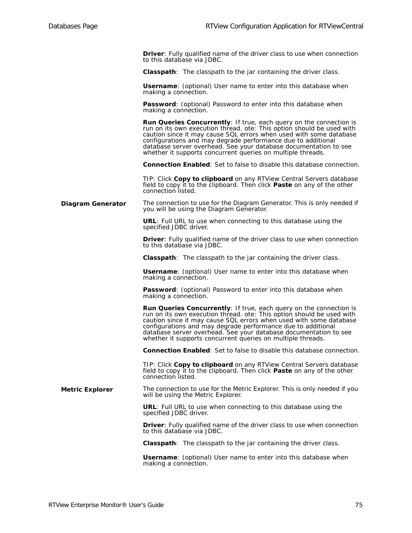**Driver**: Fully qualified name of the driver class to use when connection to this database via JDBC.

**Classpath**: The classpath to the jar containing the driver class.

**Username**: (optional) User name to enter into this database when making a connection.

**Password:** (optional) Password to enter into this database when making a connection.

**Run Queries Concurrently**: If true, each query on the connection is run on its own execution thread. ote: This option should be used with caution since it may cause SQL errors when used with some database configurations and may degrade performance due to additional database server overhead. See your database documentation to see whether it supports concurrent queries on multiple threads.

**Connection Enabled**: Set to false to disable this database connection.

TIP: Click **Copy to clipboard** on any RTView Central Servers database field to copy it to the clipboard. Then click **Paste** on any of the other connection listed.

**Diagram Generator** The connection to use for the Diagram Generator. This is only needed if you will be using the Diagram Generator.

> **URL**: Full URL to use when connecting to this database using the specified JDBC driver.

**Driver**: Fully qualified name of the driver class to use when connection to this database via JDBC.

**Classpath**: The classpath to the jar containing the driver class.

**Username**: (optional) User name to enter into this database when making a connection.

**Password**: (optional) Password to enter into this database when making a connection.

**Run Queries Concurrently**: If true, each query on the connection is run on its own execution thread. ote: This option should be used with caution since it may cause SQL errors when used with some database configurations and may degrade performance due to additional database server overhead. See your database documentation to see whether it supports concurrent queries on multiple threads.

**Connection Enabled**: Set to false to disable this database connection.

TIP: Click **Copy to clipboard** on any RTView Central Servers database field to copy it to the clipboard. Then click **Paste** on any of the other connection listed.

**Metric Explorer** The connection to use for the Metric Explorer. This is only needed if you will be using the Metric Explorer.

> **URL**: Full URL to use when connecting to this database using the specified JDBC driver.

**Driver**: Fully qualified name of the driver class to use when connection to this database via JDBC.

**Classpath**: The classpath to the jar containing the driver class.

**Username**: (optional) User name to enter into this database when making a connection.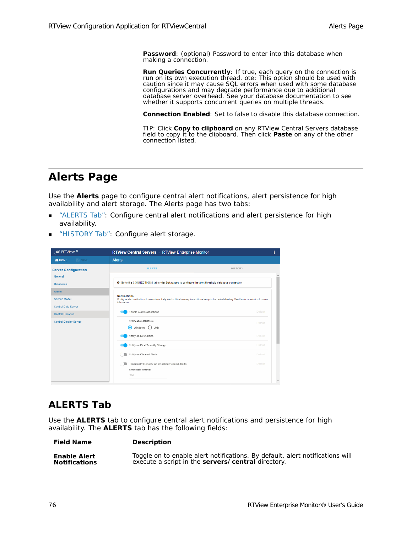**Password**: (optional) Password to enter into this database when making a connection.

**Run Queries Concurrently**: If true, each query on the connection is run on its own execution thread. ote: This option should be used with caution since it may cause SQL errors when used with some database configurations and may degrade performance due to additional database server overhead. See your database documentation to see whether it supports concurrent queries on multiple threads.

**Connection Enabled**: Set to false to disable this database connection.

TIP: Click **Copy to clipboard** on any RTView Central Servers database field to copy it to the clipboard. Then click **Paste** on any of the other connection listed.

### <span id="page-81-0"></span>**Alerts Page**

Use the **Alerts** page to configure central alert notifications, alert persistence for high availability and alert storage. The Alerts page has two tabs:

- ["ALERTS Tab":](#page-81-1) Configure central alert notifications and alert persistence for high availability.
- ["HISTORY Tab"](#page-82-0): Configure alert storage.

| $\mathcal{L}$ RTView $^{\circledR}$                        | <b>RTView Central Servers</b> - RTView Enterprise Monitor                                                                                                                                         |                |  |  |  |
|------------------------------------------------------------|---------------------------------------------------------------------------------------------------------------------------------------------------------------------------------------------------|----------------|--|--|--|
| $\Rightarrow$ SAVE<br><b>W</b> HOME                        | <b>Alerts</b>                                                                                                                                                                                     |                |  |  |  |
| <b>Server Configuration</b><br>General<br><b>Databases</b> | <b>ALERTS</b>                                                                                                                                                                                     | <b>HISTORY</b> |  |  |  |
|                                                            | O Go to the CONNECTIONS tab under Databases to configure the alert threshold database connection                                                                                                  |                |  |  |  |
| <b>Alerts</b><br>Service Model                             | <b>Notifications</b><br>Configure alert notifications to execute centrally. Alert notifications require additional setup in the central directory. See the documentation for more<br>information. |                |  |  |  |
| <b>Central Data Server</b><br><b>Central Historian</b>     | Enable Alert Notifications                                                                                                                                                                        | <b>Default</b> |  |  |  |
| <b>Central Display Server</b>                              | Notification Platform<br>◉<br>Windows<br>$\bigcirc$ Unix                                                                                                                                          | Default        |  |  |  |
|                                                            | Notify on New Alerts                                                                                                                                                                              | Default        |  |  |  |
|                                                            | Notify on First Severity Change                                                                                                                                                                   | Default        |  |  |  |
|                                                            | Notify on Cleared Alerts                                                                                                                                                                          | Default        |  |  |  |
|                                                            | Periodically Renotify on Unacknowledged Alerts<br>Renotification Interval<br>300                                                                                                                  | Default        |  |  |  |

### <span id="page-81-1"></span>**ALERTS Tab**

**Field Name Description**

Use the **ALERTS** tab to configure central alert notifications and persistence for high availability. The **ALERTS** tab has the following fields:

| <b>Enable Alert</b>  | Toggle on to enable alert notifications. By default, alert notifications will |
|----------------------|-------------------------------------------------------------------------------|
| <b>Notifications</b> | execute a script in the servers/central directory.                            |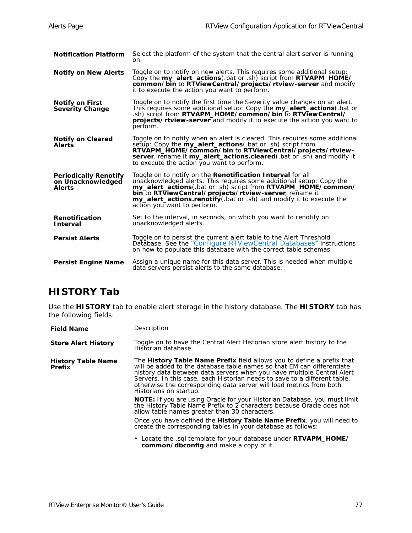| <b>Notification Platform</b>                                       | Select the platform of the system that the central alert server is running<br>on.                                                                                                                                                                                                                                                                                           |
|--------------------------------------------------------------------|-----------------------------------------------------------------------------------------------------------------------------------------------------------------------------------------------------------------------------------------------------------------------------------------------------------------------------------------------------------------------------|
| <b>Notify on New Alerts</b>                                        | Toggle on to notify on new alerts. This reguires some additional setup:<br>Copy the my_alert_actions(.bat or .sh) script from RTVAPM_HOME/<br>common/bin to RTViewCentral/projects/rtview-server and modify<br>it to execute the action you want to perform.                                                                                                                |
| <b>Notify on First</b><br><b>Severity Change</b>                   | Toggle on to notify the first time the Severity value changes on an alert.<br>This requires some additional setup: Copy the my_alert_actions (.bat or<br>sh) script from RTVAPM_HOME/common/bin to RTViewCentral/<br><b>projects/rtview-server</b> and modify it to execute the action you want to<br>perform.                                                              |
| <b>Notify on Cleared</b><br><b>Alerts</b>                          | Toggle on to notify when an alert is cleared. This reguires some additional<br>setup: Copy the <b>my_alert_actions</b> (.bat or .sh) script from<br>RTVAPM HOME/common/bin to RTViewCentral/projects/rtview-<br>server, rename it my_alert_actions.cleared(.bat or .sh) and modify it<br>to execute the action you want to perform.                                         |
| <b>Periodically Renotify</b><br>on Unacknowledged<br><b>Alerts</b> | Toggle on to notify on the Renotification Interval for all<br>unacknowledged alerts. This requires some additional setup: Copy the<br>my_alert_actions(.bat or .sh) script from RTVAPM_HOME/common/<br>bin to RTViewCentral/projects/rtview-server, rename it<br><b>my_alert_actions.renotify</b> (.bat or .sh) and modify it to execute the<br>action you want to perform. |
| Renotification<br><b>Interval</b>                                  | Set to the interval, in seconds, on which you want to renotify on<br>unacknowledged alerts.                                                                                                                                                                                                                                                                                 |
| <b>Persist Alerts</b>                                              | Toggle on to persist the current alert table to the Alert Threshold<br>Database. See the "Configure RTViewCentral Databases" instructions<br>on how to populate this database with the correct table schemas.                                                                                                                                                               |
| <b>Persist Engine Name</b>                                         | Assign a unique name for this data server. This is needed when multiple<br>data servers persist alerts to the same database.                                                                                                                                                                                                                                                |

### <span id="page-82-0"></span>**HISTORY Tab**

Use the **HISTORY** tab to enable alert storage in the history database. The **HISTORY** tab has the following fields:

| <b>Field Name</b>                          | Description                                                                                                                                                                                                                                                                                                                                                                                                     |
|--------------------------------------------|-----------------------------------------------------------------------------------------------------------------------------------------------------------------------------------------------------------------------------------------------------------------------------------------------------------------------------------------------------------------------------------------------------------------|
| <b>Store Alert History</b>                 | Toggle on to have the Central Alert Historian store alert history to the<br>Historian database.                                                                                                                                                                                                                                                                                                                 |
| <b>History Table Name</b><br><b>Prefix</b> | The <b>History Table Name Prefix</b> field allows you to define a prefix that<br>will be added to the database table names so that EM can differentiate<br>history data between data servers when you have multiple Central Alert<br>Servers. In this case, each Historian needs to save to a different table,<br>otherwise the corresponding data server will load metrics from both<br>Historians on startup. |
|                                            | <b>NOTE:</b> If you are using Oracle for your Historian Database, you must limit<br>the History Table Name Prefix to 2 characters because Oracle does not<br>allow table names greater than 30 characters.                                                                                                                                                                                                      |
|                                            | Once you have defined the <b>History Table Name Prefix</b> , you will need to<br>create the corresponding tables in your database as follows:                                                                                                                                                                                                                                                                   |
|                                            | • Locate the sql template for your database under <b>RTVAPM_HOME/</b><br>common/dbconfig and make a copy of it.                                                                                                                                                                                                                                                                                                 |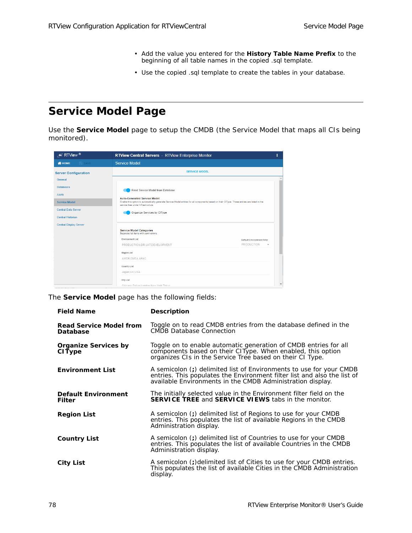- Add the value you entered for the **History Table Name Prefix** to the beginning of all table names in the copied .sql template.
- Use the copied .sql template to create the tables in your database.

# <span id="page-83-0"></span>**Service Model Page**

Use the **Service Model** page to setup the CMDB (the Service Model that maps all CIs being monitored).

| $\mathscr{F}$ RTView $^{\circledR}$                | <b>RTView Central Servers</b> - RTView Enterprise Monitor                                                                                                                                                               |                                          |  |
|----------------------------------------------------|-------------------------------------------------------------------------------------------------------------------------------------------------------------------------------------------------------------------------|------------------------------------------|--|
| <b>WHOME</b><br>$\Rightarrow$ SAVE                 | <b>Service Model</b>                                                                                                                                                                                                    |                                          |  |
| <b>Server Configuration</b><br>General             | <b>SERVICE MODEL</b>                                                                                                                                                                                                    |                                          |  |
| <b>Databases</b><br>Alerts<br><b>Service Model</b> | Read Service Model from Database<br><b>Auto-Generated Service Model</b><br>Enable this option to automatically generate Service Model entries for all components based on their CIType. These entries are listed in the |                                          |  |
| <b>Central Data Server</b><br>Central Historian    | service tree under Infrastructure.<br>Organize Services by CIType                                                                                                                                                       |                                          |  |
| <b>Central Display Server</b>                      | <b>Service Model Categories</b><br>Separate list items with semi-colons                                                                                                                                                 |                                          |  |
|                                                    | <b>Environment List</b><br>PRODUCTION:DR:UAT:DEVELOPMENT                                                                                                                                                                | Default Environment Filter<br>PRODUCTION |  |
|                                                    | Region List<br>AMER:EMEA:APAC                                                                                                                                                                                           |                                          |  |
|                                                    | Country List<br>Japan;UK:USA                                                                                                                                                                                            |                                          |  |
|                                                    | City List<br>Chicago:Dallas:London:New York:Tokyo                                                                                                                                                                       |                                          |  |

The **Service Model** page has the following fields:

| <b>Field Name</b>                            | <b>Description</b>                                                                                                                                                                                            |
|----------------------------------------------|---------------------------------------------------------------------------------------------------------------------------------------------------------------------------------------------------------------|
| <b>Read Service Model from</b><br>Database   | Toggle on to read CMDB entries from the database defined in the<br>CMDB Database Connection                                                                                                                   |
| <b>Organize Services by</b><br><b>CIType</b> | Toggle on to enable automatic generation of CMDB entries for all<br>components based on their CIType. When enabled, this option<br>organizes CIs in the Service Tree based on their CI Type.                  |
| <b>Environment List</b>                      | A semicolon (;) delimited list of Environments to use for your CMDB<br>entries. This populates the Environment filter list and also the list of<br>available Environments in the CMDB Administration display. |
| <b>Default Environment</b><br><b>Filter</b>  | The initially selected value in the Environment filter field on the<br><b>SERVICE TREE and SERVICE VIEWS tabs in the monitor.</b>                                                                             |
| <b>Region List</b>                           | A semicolon (;) delimited list of Regions to use for your CMDB<br>entries. This populates the list of available Regions in the CMDB<br>Administration display.                                                |
| <b>Country List</b>                          | A semicolon (;) delimited list of Countries to use for your CMDB<br>entries. This populates the list of available Countries in the CMDB<br>Administration display.                                            |
| <b>City List</b>                             | A semicolon (;)delimited list of Cities to use for your CMDB entries.<br>This populates the list of available Cities in the CMDB Administration<br>display.                                                   |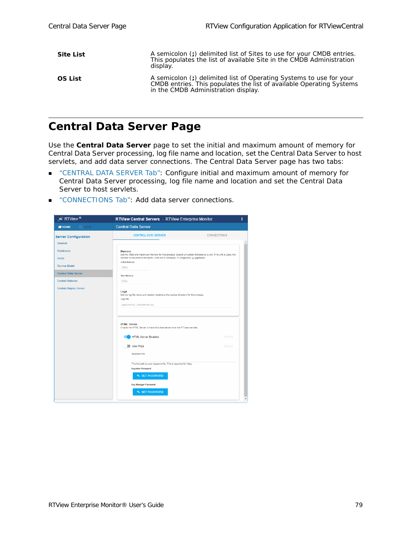| <b>Site List</b> | A semicolon (;) delimited list of Sites to use for your CMDB entries.<br>This populates the list of available Site in the CMDB Administration<br>display.                          |
|------------------|------------------------------------------------------------------------------------------------------------------------------------------------------------------------------------|
| <b>OS List</b>   | A semicolon (;) delimited list of Operating Systems to use for your<br>CMDB entries. This populates the list of available Operating Systems<br>in the CMDB Administration display. |

## <span id="page-84-0"></span>**Central Data Server Page**

Use the **Central Data Server** page to set the initial and maximum amount of memory for Central Data Server processing, log file name and location, set the Central Data Server to host servlets, and add data server connections. The Central Data Server page has two tabs:

- ["CENTRAL DATA SERVER Tab":](#page-85-0) Configure initial and maximum amount of memory for Central Data Server processing, log file name and location and set the Central Data Server to host servlets.
- ["CONNECTIONS Tab":](#page-85-1) Add data server connections.

| $\mathcal{L}$ RTView ®                                                                                                                        | RTView Central Servers - RTView Enterprise Monitor                                                                                                                                                                                                                                                                                                                                                                          | ı                        |
|-----------------------------------------------------------------------------------------------------------------------------------------------|-----------------------------------------------------------------------------------------------------------------------------------------------------------------------------------------------------------------------------------------------------------------------------------------------------------------------------------------------------------------------------------------------------------------------------|--------------------------|
| <b>WHOME</b><br><b>E</b> SAVE                                                                                                                 | <b>Central Data Server</b>                                                                                                                                                                                                                                                                                                                                                                                                  |                          |
| <b>Server Configuration</b><br>General                                                                                                        | <b>CENTRAL DATA SERVER</b>                                                                                                                                                                                                                                                                                                                                                                                                  | CONNECTIONS              |
| <b>Databases</b><br>Alerts<br><b>Service Model</b><br><b>Central Data Server</b><br><b>Central Historian</b><br><b>Central Display Server</b> | <b>Memory</b><br>Set the initial and maximum memory for this process. Specify a number followed by a unit. If no unit is used, the<br>number is assumed to be bytes. Units are k (kilobyte), m (megabyte), g (gigabyte).<br><b>Initial Memory</b><br>256m<br>Max Memory<br>512m<br>Logs<br>Set the log file name and location relative to the startup directory for this process<br>Log File<br>logs/central_dataserver.log |                          |
|                                                                                                                                               | <b>HTML Server</b><br>Enable the HTML Server to have this data server host the RTView servlets<br><b>HTML Server Enabled</b><br>Use Https<br>Keystore File<br>The full path to your keystore file. This is required for https.<br><b>Keystore Password</b>                                                                                                                                                                  | Default<br>Default       |
|                                                                                                                                               | <b>4 SET PASSWORD</b><br><b>Key Manager Password</b><br><b>4 SET PASSWORD</b>                                                                                                                                                                                                                                                                                                                                               | $\overline{\phantom{a}}$ |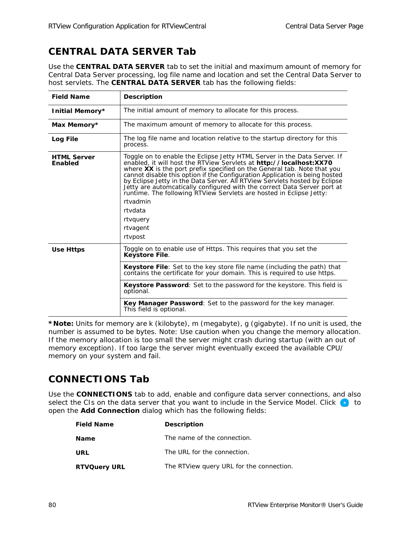## <span id="page-85-0"></span>**CENTRAL DATA SERVER Tab**

Use the **CENTRAL DATA SERVER** tab to set the initial and maximum amount of memory for Central Data Server processing, log file name and location and set the Central Data Server to host servlets. The **CENTRAL DATA SERVER** tab has the following fields:

| <b>Field Name</b>             | <b>Description</b>                                                                                                                                                                                                                                                                                                                                                                                                                                                                                                                                                                                  |
|-------------------------------|-----------------------------------------------------------------------------------------------------------------------------------------------------------------------------------------------------------------------------------------------------------------------------------------------------------------------------------------------------------------------------------------------------------------------------------------------------------------------------------------------------------------------------------------------------------------------------------------------------|
| Initial Memory*               | The initial amount of memory to allocate for this process.                                                                                                                                                                                                                                                                                                                                                                                                                                                                                                                                          |
| Max Memory*                   | The maximum amount of memory to allocate for this process.                                                                                                                                                                                                                                                                                                                                                                                                                                                                                                                                          |
| Log File                      | The log file name and location relative to the startup directory for this<br>process.                                                                                                                                                                                                                                                                                                                                                                                                                                                                                                               |
| <b>HTML Server</b><br>Enabled | Toggle on to enable the Eclipse Jetty HTML Server in the Data Server. If<br>enabled, it will host the RTView Servlets at http://localhost:XX70<br>where XX is the port prefix specified on the General tab. Note that you<br>cannot disable this option if the Configuration Application is being hosted<br>by Eclipse Jetty in the Data Server. All RTView Servlets hosted by Eclipse<br>Jetty are automcatically configured with the correct Data Server port at<br>runtime. The following RTView Servlets are hosted in Eclipse Jetty:<br>rtvadmin<br>rtydata<br>rtvguery<br>rtvagent<br>rtypost |
| Use Https                     | Toggle on to enable use of Https. This requires that you set the<br><b>Keystore File.</b>                                                                                                                                                                                                                                                                                                                                                                                                                                                                                                           |
|                               | <b>Keystore File</b> : Set to the key store file name (including the path) that<br>contains the certificate for your domain. This is required to use https.                                                                                                                                                                                                                                                                                                                                                                                                                                         |
|                               | <b>Keystore Password</b> : Set to the password for the keystore. This field is<br>optional.                                                                                                                                                                                                                                                                                                                                                                                                                                                                                                         |
|                               | <b>Key Manager Password:</b> Set to the password for the key manager.<br>This field is optional.                                                                                                                                                                                                                                                                                                                                                                                                                                                                                                    |

**\*Note:** Units for memory are k (kilobyte), m (megabyte), g (gigabyte). If no unit is used, the number is assumed to be bytes. Note: Use caution when you change the memory allocation. If the memory allocation is too small the server might crash during startup (with an out of memory exception). If too large the server might eventually exceed the available CPU/ memory on your system and fail.

### <span id="page-85-1"></span>**CONNECTIONS Tab**

Use the **CONNECTIONS** tab to add, enable and configure data server connections, and also select the CIs on the data server that you want to include in the Service Model. Click  $\bullet$  to open the **Add Connection** dialog which has the following fields:

| <b>Field Name</b>   | <b>Description</b>                       |
|---------------------|------------------------------------------|
| <b>Name</b>         | The name of the connection.              |
| URL                 | The URL for the connection.              |
| <b>RTVQuery URL</b> | The RTView query URL for the connection. |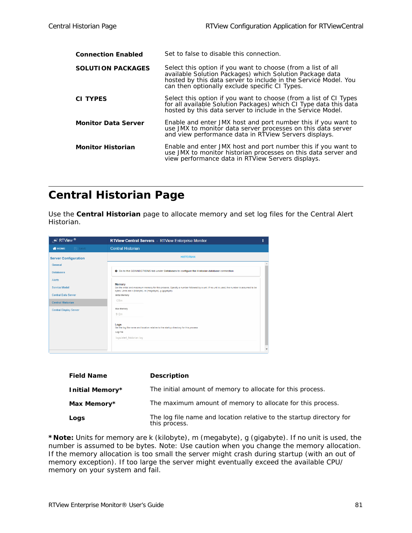| <b>Connection Enabled</b>  | Set to false to disable this connection.                                                                                                                                                                                                      |
|----------------------------|-----------------------------------------------------------------------------------------------------------------------------------------------------------------------------------------------------------------------------------------------|
| <b>SOLUTION PACKAGES</b>   | Select this option if you want to choose (from a list of all<br>available Solution Packages) which Solution Package data<br>hosted by this data server to include in the Service Model. You<br>can then optionally exclude specific CI Types. |
| <b>CI TYPES</b>            | Select this option if you want to choose (from a list of CI Types<br>for all available Solution Packages) which CI Type data this data<br>hosted by this data server to include in the Service Model.                                         |
| <b>Monitor Data Server</b> | Enable and enter JMX host and port number this if you want to<br>use JMX to monitor data server processes on this data server<br>and view performance data in RTView Servers displays.                                                        |
| <b>Monitor Historian</b>   | Enable and enter JMX host and port number this if you want to<br>use JMX to monitor historian processes on this data server and<br>view performance data in RTView Servers displays.                                                          |

## <span id="page-86-0"></span>**Central Historian Page**

Use the **Central Historian** page to allocate memory and set log files for the Central Alert Historian.

| $\overline{\mathscr{F}}$ RTView $^\circledR$ | <b>RTView Central Servers</b> - RTView Enterprise Monitor                                                                                                                                                         |                          |
|----------------------------------------------|-------------------------------------------------------------------------------------------------------------------------------------------------------------------------------------------------------------------|--------------------------|
| $\Rightarrow$ SAVE<br><b>WHOME</b>           | <b>Central Historian</b>                                                                                                                                                                                          |                          |
| <b>Server Configuration</b>                  | <b>HISTORIAN</b>                                                                                                                                                                                                  |                          |
| General                                      |                                                                                                                                                                                                                   |                          |
| <b>Databases</b>                             | <b>O</b> Go to the CONNECTIONS tab under Databases to configure the Historian database connection                                                                                                                 |                          |
| Alerts                                       |                                                                                                                                                                                                                   |                          |
| Service Model                                | Memory<br>Set the initial and maximum memory for this process. Specify a number followed by a unit. If no unit is used, the number is assumed to be<br>bytes. Units are k (kilobyte), m (megabyte), g (gigabyte). |                          |
| <b>Central Data Server</b>                   | <b>Initial Memory</b>                                                                                                                                                                                             |                          |
| <b>Central Historian</b>                     | 128m                                                                                                                                                                                                              |                          |
| <b>Central Display Server</b>                | Max Memory                                                                                                                                                                                                        |                          |
|                                              | 512m                                                                                                                                                                                                              |                          |
|                                              | Logs<br>Set the log file name and location relative to the startup directory for this process                                                                                                                     |                          |
|                                              | Log File                                                                                                                                                                                                          |                          |
|                                              | logs/alert_historian.log                                                                                                                                                                                          |                          |
|                                              |                                                                                                                                                                                                                   | $\overline{\phantom{a}}$ |
|                                              |                                                                                                                                                                                                                   |                          |

| <b>Field Name</b> | <b>Description</b>                                                                    |
|-------------------|---------------------------------------------------------------------------------------|
| Initial Memory*   | The initial amount of memory to allocate for this process.                            |
| Max Memory*       | The maximum amount of memory to allocate for this process.                            |
| Logs              | The log file name and location relative to the startup directory for<br>this process. |

**\*Note:** Units for memory are k (kilobyte), m (megabyte), g (gigabyte). If no unit is used, the number is assumed to be bytes. Note: Use caution when you change the memory allocation. If the memory allocation is too small the server might crash during startup (with an out of memory exception). If too large the server might eventually exceed the available CPU/ memory on your system and fail.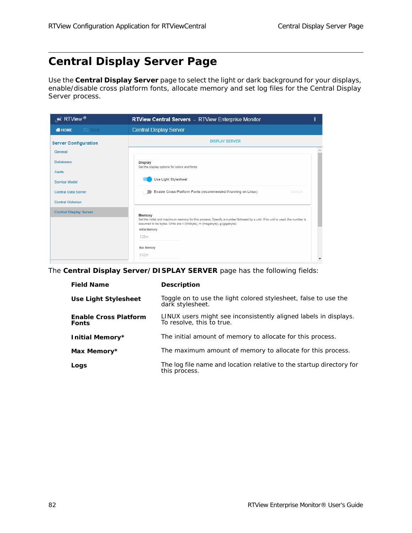# <span id="page-87-0"></span>**Central Display Server Page**

Use the **Central Display Server** page to select the light or dark background for your displays, enable/disable cross platform fonts, allocate memory and set log files for the Central Display Server process.

| $\overline{\mathcal{L}}$ RTView ®   | <b>RTView Central Servers</b> - RTView Enterprise Monitor                                                                                                                                                                                   | ı |
|-------------------------------------|---------------------------------------------------------------------------------------------------------------------------------------------------------------------------------------------------------------------------------------------|---|
| <b>W</b> HOME<br>$\Rightarrow$ SAVE | <b>Central Display Server</b>                                                                                                                                                                                                               |   |
| <b>Server Configuration</b>         | <b>DISPLAY SERVER</b>                                                                                                                                                                                                                       |   |
| General                             |                                                                                                                                                                                                                                             |   |
| <b>Databases</b>                    | <b>Display</b><br>Set the display options for colors and fonts                                                                                                                                                                              |   |
| Alerts                              |                                                                                                                                                                                                                                             |   |
| Service Model                       | Use Light Stylesheet                                                                                                                                                                                                                        |   |
| <b>Central Data Server</b>          | Enable Cross Platform Fonts (recommended if running on Linux)<br>Default                                                                                                                                                                    |   |
| <b>Central Historian</b>            |                                                                                                                                                                                                                                             |   |
| <b>Central Display Server</b>       | Memory<br>Set the initial and maximum memory for this process. Specify a number followed by a unit. If no unit is used, the number is<br>assumed to be bytes. Units are k (kilobyte), m (megabyte), g (gigabyte).<br>Initial Memory<br>128m |   |
|                                     | Max Memory<br>512m                                                                                                                                                                                                                          |   |

The **Central Display Server/DISPLAY SERVER** page has the following fields:

| <b>Field Name</b>                            | <b>Description</b>                                                                            |
|----------------------------------------------|-----------------------------------------------------------------------------------------------|
| Use Light Stylesheet                         | Toggle on to use the light colored stylesheet, false to use the<br>dark stylesheet.           |
| <b>Enable Cross Platform</b><br><b>Fonts</b> | LINUX users might see inconsistently aligned labels in displays.<br>To resolve, this to true. |
| Initial Memory*                              | The initial amount of memory to allocate for this process.                                    |
| Max Memory*                                  | The maximum amount of memory to allocate for this process.                                    |
| Logs                                         | The log file name and location relative to the startup directory for<br>this process.         |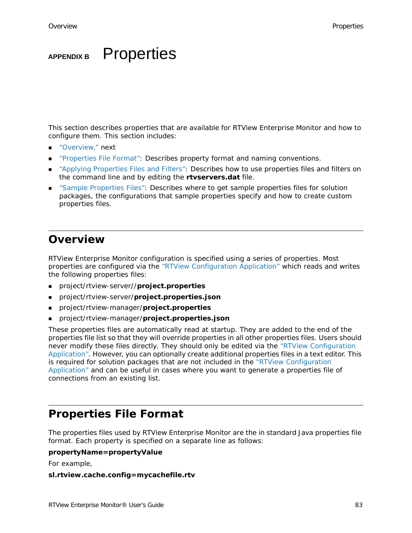# **APPENDIX B** Properties

This section describes properties that are available for RTView Enterprise Monitor and how to configure them. This section includes:

- ["Overview," next](#page-88-0)
- ["Properties File Format":](#page-88-1) Describes property format and naming conventions.
- ["Applying Properties Files and Filters":](#page-89-0) Describes how to use properties files and filters on the command line and by editing the **rtvservers.dat** file.
- **EXECT** ["Sample Properties Files":](#page-90-0) Describes where to get sample properties files for solution packages, the configurations that sample properties specify and how to create custom properties files.

### <span id="page-88-0"></span>**Overview**

RTView Enterprise Monitor configuration is specified using a series of properties. Most properties are configured via the "RTView Configuration Application" which reads and writes the following properties files:

- project/rtview-server//**project.properties**
- project/rtview-server/**project.properties.json**
- project/rtview-manager/**project.properties**
- project/rtview-manager/**project.properties.json**

These properties files are automatically read at startup. They are added to the end of the properties file list so that they will override properties in all other properties files. Users should never modify these files directly. They should only be edited via the "RTView Configuration Application". However, you can optionally create additional properties files in a text editor. This is required for solution packages that are not included in the "RTView Configuration Application" and can be useful in cases where you want to generate a properties file of connections from an existing list.

### <span id="page-88-1"></span>**Properties File Format**

The properties files used by RTView Enterprise Monitor are the in standard Java properties file format. Each property is specified on a separate line as follows:

#### **propertyName=propertyValue**

For example,

#### **sl.rtview.cache.config=mycachefile.rtv**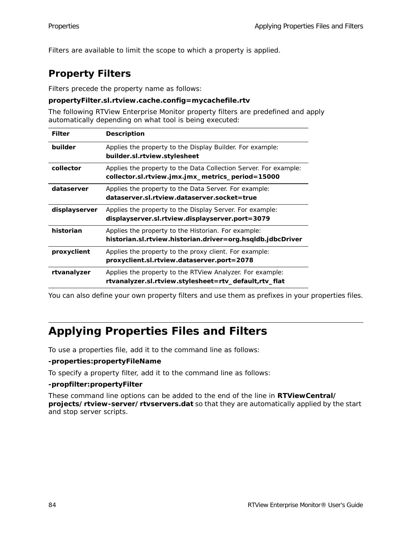Filters are available to limit the scope to which a property is applied.

## **Property Filters**

Filters precede the property name as follows:

### **propertyFilter.sl.rtview.cache.config=mycachefile.rtv**

The following RTView Enterprise Monitor property filters are predefined and apply automatically depending on what tool is being executed:

| <b>Filter</b> | <b>Description</b>                                                                                                   |
|---------------|----------------------------------------------------------------------------------------------------------------------|
| builder       | Applies the property to the Display Builder. For example:<br>builder.sl.rtview.stylesheet                            |
| collector     | Applies the property to the Data Collection Server. For example:<br>collector.sl.rtview.jmx.jmx_metrics_period=15000 |
| dataserver    | Applies the property to the Data Server. For example:<br>dataserver.sl.rtview.dataserver.socket=true                 |
| displayserver | Applies the property to the Display Server. For example:<br>displayserver.sl.rtview.displayserver.port=3079          |
| historian     | Applies the property to the Historian. For example:<br>historian.sl.rtview.historian.driver=org.hsqldb.jdbcDriver    |
| proxyclient   | Applies the property to the proxy client. For example:<br>proxyclient.sl.rtview.dataserver.port=2078                 |
| rtvanalyzer   | Applies the property to the RTView Analyzer. For example:<br>rtvanalyzer.sl.rtview.stylesheet=rtv_default,rtv_flat   |

You can also define your own property filters and use them as prefixes in your properties files.

# <span id="page-89-0"></span>**Applying Properties Files and Filters**

To use a properties file, add it to the command line as follows:

### **-properties:propertyFileName**

To specify a property filter, add it to the command line as follows:

### **-propfilter:propertyFilter**

These command line options can be added to the end of the line in **RTViewCentral/ projects/rtview-server/rtvservers.dat** so that they are automatically applied by the start and stop server scripts.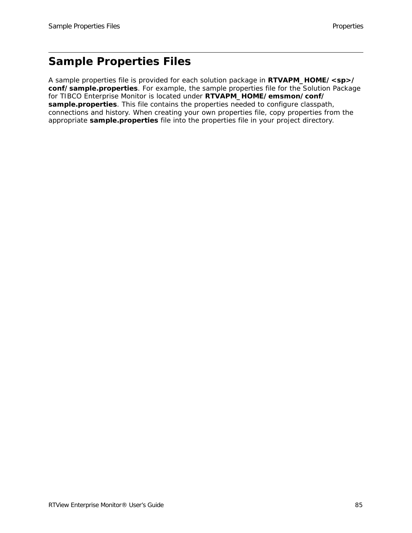# <span id="page-90-0"></span>**Sample Properties Files**

A sample properties file is provided for each solution package in **RTVAPM\_HOME/<sp>/ conf/sample.properties**. For example, the sample properties file for the Solution Package for TIBCO Enterprise Monitor is located under **RTVAPM\_HOME/emsmon/conf/ sample.properties**. This file contains the properties needed to configure classpath, connections and history. When creating your own properties file, copy properties from the appropriate **sample.properties** file into the properties file in your project directory.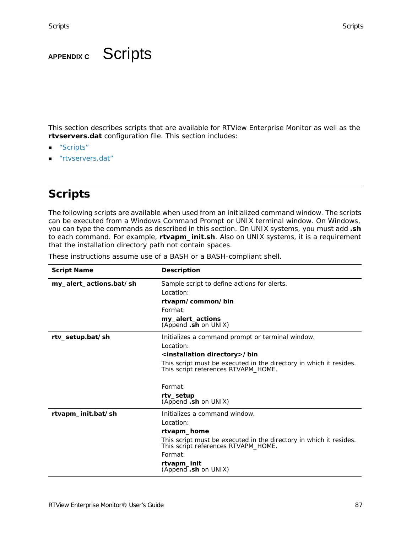# **APPENDIX C** Scripts

This section describes scripts that are available for RTView Enterprise Monitor as well as the **rtvservers.dat** configuration file. This section includes:

- ["Scripts"](#page-92-0)
- ["rtvservers.dat"](#page-102-0)

# <span id="page-92-0"></span>**Scripts**

The following scripts are available when used from an initialized command window. The scripts can be executed from a Windows Command Prompt or UNIX terminal window. On Windows, you can type the commands as described in this section. On UNIX systems, you must add **.sh** to each command. For example, **rtvapm\_init.sh**. Also on UNIX systems, it is a requirement that the installation directory path not contain spaces.

| <b>Script Name</b>      | <b>Description</b>                                                                                        |
|-------------------------|-----------------------------------------------------------------------------------------------------------|
| my_alert_actions.bat/sh | Sample script to define actions for alerts.                                                               |
|                         | Location:                                                                                                 |
|                         | rtvapm/common/bin                                                                                         |
|                         | Format:                                                                                                   |
|                         | my_alert_actions<br>(Append .sh on UNIX)                                                                  |
| rty_setup.bat/sh        | Initializes a command prompt or terminal window.                                                          |
|                         | Location:                                                                                                 |
|                         | <installation directory="">/bin</installation>                                                            |
|                         | This script must be executed in the directory in which it resides.<br>This script references RTVAPM HOME. |
|                         | Format:                                                                                                   |
|                         | rtv_setup<br>(Append .sh on UNIX)                                                                         |
| rtvapm_init.bat/sh      | Initializes a command window.                                                                             |
|                         | Location:                                                                                                 |
|                         | rtvapm_home                                                                                               |
|                         | This script must be executed in the directory in which it resides.<br>This script references RTVAPM_HOME. |
|                         | Format:                                                                                                   |
|                         | rtvapm_init<br>(Append .sh on UNIX)                                                                       |

These instructions assume use of a BASH or a BASH-compliant shell.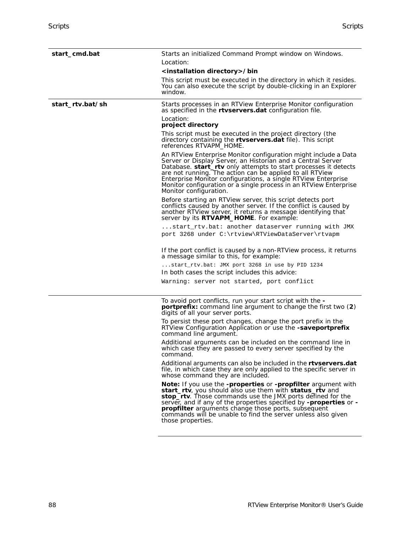<span id="page-93-0"></span>

| start_cmd.bat    | Starts an initialized Command Prompt window on Windows.                                                                                                                                                                                                                                                                                                                                                                       |
|------------------|-------------------------------------------------------------------------------------------------------------------------------------------------------------------------------------------------------------------------------------------------------------------------------------------------------------------------------------------------------------------------------------------------------------------------------|
|                  | Location:                                                                                                                                                                                                                                                                                                                                                                                                                     |
|                  | <installation directory="">/bin</installation>                                                                                                                                                                                                                                                                                                                                                                                |
|                  | This script must be executed in the directory in which it resides.<br>You can also execute the script by double-clicking in an Explorer<br>window.                                                                                                                                                                                                                                                                            |
| start_rtv.bat/sh | Starts processes in an RTView Enterprise Monitor configuration<br>as specified in the rtvservers.dat configuration file.                                                                                                                                                                                                                                                                                                      |
|                  | Location:<br>project directory                                                                                                                                                                                                                                                                                                                                                                                                |
|                  | This script must be executed in the project directory (the<br>directory containing the <b>rtvservers.dat</b> file). This script<br>references RTVAPM_HOME.                                                                                                                                                                                                                                                                    |
|                  | An RTView Enterprise Monitor configuration might include a Data<br>Server or Display Server, an Historian and a Central Server<br>Database. start_rtv only attempts to start processes it detects<br>are not running. The action can be applied to all RTView<br>Enterprise Monitor configurations, a single RTView Enterprise<br>Monitor configuration or a single process in an RTView Enterprise<br>Monitor configuration. |
|                  | Before starting an RTView server, this script detects port<br>conflicts caused by another server. If the conflict is caused by<br>another RTView server, it returns a message identifying that<br>server by its <b>RTVAPM_HOME</b> . For example:                                                                                                                                                                             |
|                  | $\dots$ start_rtv.bat: another dataserver running with JMX.<br>port 3268 under C:\rtview\RTViewDataServer\rtvapm                                                                                                                                                                                                                                                                                                              |
|                  | If the port conflict is caused by a non-RTView process, it returns<br>a message similar to this, for example:                                                                                                                                                                                                                                                                                                                 |
|                  | start_rtv.bat: JMX port 3268 in use by PID 1234<br>In both cases the script includes this advice:                                                                                                                                                                                                                                                                                                                             |
|                  | Warning: server not started, port conflict                                                                                                                                                                                                                                                                                                                                                                                    |
|                  | To avoid port conflicts, run your start script with the -<br><b>portprefix:</b> command line argument to change the first two (2)<br>digits of all your server ports.                                                                                                                                                                                                                                                         |
|                  | To persist these port changes, change the port prefix in the<br>RTView Configuration Application or use the -saveportprefix<br>command line argument.                                                                                                                                                                                                                                                                         |
|                  | Additional arguments can be included on the command line in<br>which case they are passed to every server specified by the<br>command.                                                                                                                                                                                                                                                                                        |
|                  | Additional arguments can also be included in the rtyservers.dat<br>file, in which case they are only applied to the specific server in<br>whose command they are included.                                                                                                                                                                                                                                                    |
|                  | Note: If you use the -properties or -propfilter argument with<br>start_rtv, you should also use them with status_rtv and<br>stop_rtv. Those commands use the JMX ports defined for the<br>server, and if any of the properties specified by -properties or -<br><b>propfilter</b> arguments change those ports, subsequent<br>commands will be unable to find the server unless also given<br>those properties.               |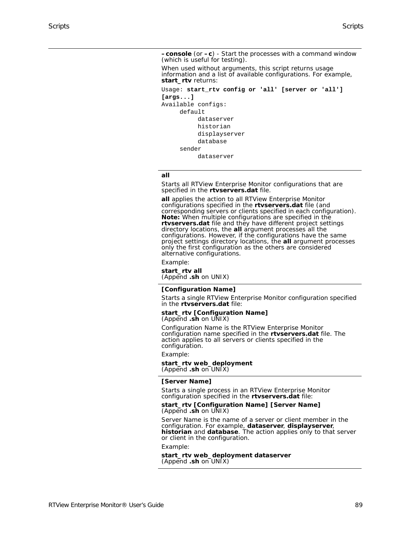**–console** (or **–c**) - Start the processes with a command window (which is useful for testing).

When used without arguments, this script returns usage information and a list of available configurations. For example, **start\_rtv** returns:

```
Usage: start_rtv config or 'all' [server or 'all'] 
[args...]
Available configs:
      default
            dataserver
           historian
            displayserver
            database
      sender
            dataserver
```
#### **all**

Starts all RTView Enterprise Monitor configurations that are specified in the **rtvservers.dat** file.

**all** applies the action to all RTView Enterprise Monitor configurations specified in the **rtvservers.dat** file (and corresponding servers or clients specified in each configuration). **Note:** When multiple configurations are specified in the **rtvservers.dat** file and they have different project settings directory locations, the **all** argument processes all the configurations. However, if the configurations have the same project settings directory locations, the **all** argument processes only the first configuration as the others are considered alternative configurations.

Example:

**start\_rtv all**  (Append **.sh** on UNIX)

#### **[Configuration Name]**

Starts a single RTView Enterprise Monitor configuration specified in the **rtvservers.dat** file:

#### **start\_rtv [Configuration Name]**  (Append **.sh** on UNIX)

Configuration Name is the RTView Enterprise Monitor configuration name specified in the **rtvservers.dat** file. The action applies to all servers or clients specified in the configuration.

#### Example:

**start\_rtv web\_deployment**  (Append **.sh** on UNIX)

#### **[Server Name]**

Starts a single process in an RTView Enterprise Monitor configuration specified in the **rtvservers.dat** file:

#### **start\_rtv [Configuration Name] [Server Name]**  (Append **.sh** on UNIX)

Server Name is the name of a server or client member in the configuration. For example, **dataserver**, **displayserver**, **historian** and **database**. The action applies only to that server or client in the configuration.

#### Example:

**start\_rtv web\_deployment dataserver**  (Append **.sh** on UNIX)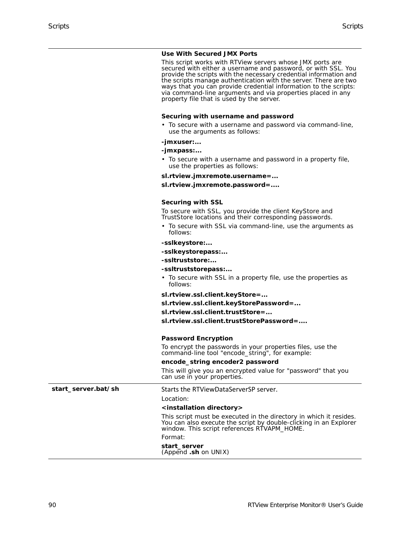#### **Use With Secured JMX Ports**

This script works with RTView servers whose JMX ports are secured with either a username and password, or with SSL. You provide the scripts with the necessary credential information and the scripts manage authentication with the server. There are two ways that you can provide credential information to the scripts: via command-line arguments and via properties placed in any property file that is used by the server.

#### **Securing with username and password**

• To secure with a username and password via command-line, use the arguments as follows:

#### **-jmxuser:...**

#### **-jmxpass:...**

• To secure with a username and password in a property file, use the properties as follows:

**sl.rtview.jmxremote.username=...**

**sl.rtview.jmxremote.password=....**

#### **Securing with SSL**

To secure with SSL, you provide the client KeyStore and TrustStore locations and their corresponding passwords.

- To secure with SSL via command-line, use the arguments as follows:
- **-sslkeystore:...**
- **-sslkeystorepass:...**
- **-ssltruststore:...**
- **-ssltruststorepass:...**
- To secure with SSL in a property file, use the properties as follows:

**sl.rtview.ssl.client.keyStore=...**

- **sl.rtview.ssl.client.keyStorePassword=...**
- **sl.rtview.ssl.client.trustStore=...**

**sl.rtview.ssl.client.trustStorePassword=....**

#### **Password Encryption**

To encrypt the passwords in your properties files, use the command-line tool "encode\_string", for example:

#### **encode\_string encoder2 password**

This will give you an encrypted value for "password" that you can use in your properties.

start\_server.bat/sh Starts the RTViewDataServerSP server.

#### Location:

#### **<installation directory>**

This script must be executed in the directory in which it resides. You can also execute the script by double-clicking in an Explorer window. This script references RTVAPM\_HOME.

#### Format:

**start\_server** 

(Append **.sh** on UNIX)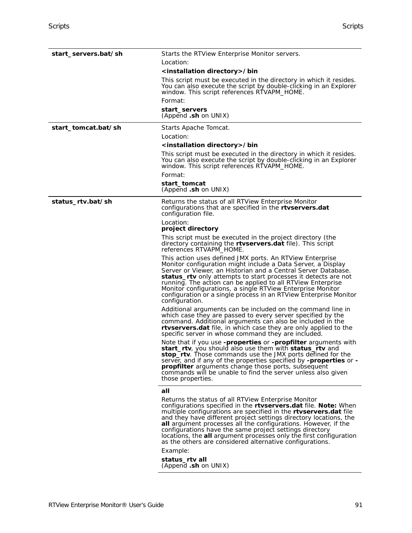<span id="page-96-0"></span>

| start_servers.bat/sh | Starts the RTView Enterprise Monitor servers.                                                                                                                                                                                                                                                                                                                                                                                                                                                                                                |
|----------------------|----------------------------------------------------------------------------------------------------------------------------------------------------------------------------------------------------------------------------------------------------------------------------------------------------------------------------------------------------------------------------------------------------------------------------------------------------------------------------------------------------------------------------------------------|
|                      | Location:                                                                                                                                                                                                                                                                                                                                                                                                                                                                                                                                    |
|                      | <installation directory="">/bin</installation>                                                                                                                                                                                                                                                                                                                                                                                                                                                                                               |
|                      | This script must be executed in the directory in which it resides.<br>You can also execute the script by double-clicking in an Explorer<br>window. This script references RTVAPM_HOME.                                                                                                                                                                                                                                                                                                                                                       |
|                      | Format:                                                                                                                                                                                                                                                                                                                                                                                                                                                                                                                                      |
|                      | start_servers                                                                                                                                                                                                                                                                                                                                                                                                                                                                                                                                |
|                      | (Append .sh on UNIX)                                                                                                                                                                                                                                                                                                                                                                                                                                                                                                                         |
| start_tomcat.bat/sh  | Starts Apache Tomcat.                                                                                                                                                                                                                                                                                                                                                                                                                                                                                                                        |
|                      | Location:                                                                                                                                                                                                                                                                                                                                                                                                                                                                                                                                    |
|                      | <installation directory="">/bin</installation>                                                                                                                                                                                                                                                                                                                                                                                                                                                                                               |
|                      | This script must be executed in the directory in which it resides.<br>You can also execute the script by double-clicking in an Explorer<br>window. This script references RTVAPM_HOME.                                                                                                                                                                                                                                                                                                                                                       |
|                      | Format:                                                                                                                                                                                                                                                                                                                                                                                                                                                                                                                                      |
|                      | start_tomcat<br>(Append .sh on UNIX)                                                                                                                                                                                                                                                                                                                                                                                                                                                                                                         |
| status_rtv.bat/sh    | Returns the status of all RTView Enterprise Monitor<br>configurations that are specified in the <b>rtyservers.dat</b><br>configuration file.                                                                                                                                                                                                                                                                                                                                                                                                 |
|                      | Location:<br>project directory                                                                                                                                                                                                                                                                                                                                                                                                                                                                                                               |
|                      | This script must be executed in the project directory (the<br>directory containing the <b>rtvservers.dat</b> file). This script<br>references RTVAPM_HOME.                                                                                                                                                                                                                                                                                                                                                                                   |
|                      | This action uses defined JMX ports. An RTView Enterprise<br>Monitor configuration might include a Data Server, a Display<br>Server or Viewer, an Historian and a Central Server Database.<br>status_rtv only attempts to start processes it detects are not<br>running. The action can be applied to all RTView Enterprise<br>Monitor configurations, a single RTView Enterprise Monitor<br>configuration or a single process in an RTView Enterprise Monitor<br>configuration.                                                              |
|                      | Additional arguments can be included on the command line in<br>which case they are passed to every server specified by the<br>command. Additional arguments can also be included in the<br>rtvservers.dat file, in which case they are only applied to the<br>specific server in whose command they are included.                                                                                                                                                                                                                            |
|                      | Note that if you use -properties or -propfilter arguments with<br>start_rtv, you should also use them with status_rtv and<br>stop_rtv. Those commands use the JMX ports defined for the<br>server, and if any of the properties specified by -properties or -<br><b>propfilter</b> arguments change those ports, subsequent<br>commands will be unable to find the server unless also given<br>those properties.                                                                                                                             |
|                      | all                                                                                                                                                                                                                                                                                                                                                                                                                                                                                                                                          |
|                      | Returns the status of all RTView Enterprise Monitor<br>configurations specified in the rtvservers.dat file. Note: When<br>multiple configurations are specified in the <b>rtvservers.dat</b> file<br>and they have different project settings directory locations, the<br><b>all</b> argument processes all the configurations. However, if the<br>configurations have the same project settings directory<br>locations, the all argument processes only the first configuration<br>as the others are considered alternative configurations. |
|                      | Example:<br>status_rtv all                                                                                                                                                                                                                                                                                                                                                                                                                                                                                                                   |
|                      |                                                                                                                                                                                                                                                                                                                                                                                                                                                                                                                                              |

(Append **.sh** on UNIX)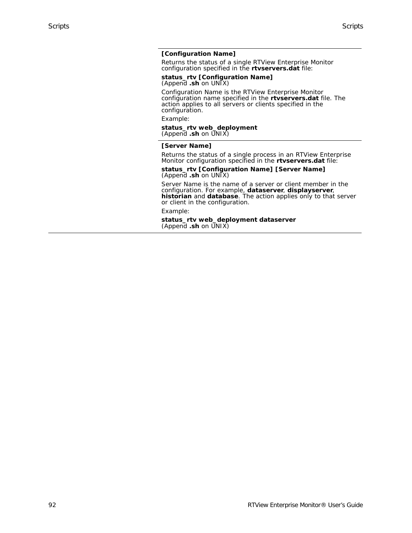### **[Configuration Name]**

Returns the status of a single RTView Enterprise Monitor configuration specified in the **rtvservers.dat** file:

#### **status\_rtv [Configuration Name]**  (Append **.sh** on UNIX)

Configuration Name is the RTView Enterprise Monitor configuration name specified in the **rtvservers.dat** file. The action applies to all servers or clients specified in the configuration.

Example:

#### **status\_rtv web\_deployment**  (Append **.sh** on UNIX)

#### **[Server Name]**

Returns the status of a single process in an RTView Enterprise Monitor configuration specified in the **rtvservers.dat** file:

#### **status\_rtv [Configuration Name] [Server Name]**  (Append **.sh** on UNIX)

Server Name is the name of a server or client member in the configuration. For example, **dataserver**, **displayserver**, **historian** and **database**. The action applies only to that server or client in the configuration.

Example:

**status\_rtv web\_deployment dataserver**  (Append **.sh** on UNIX)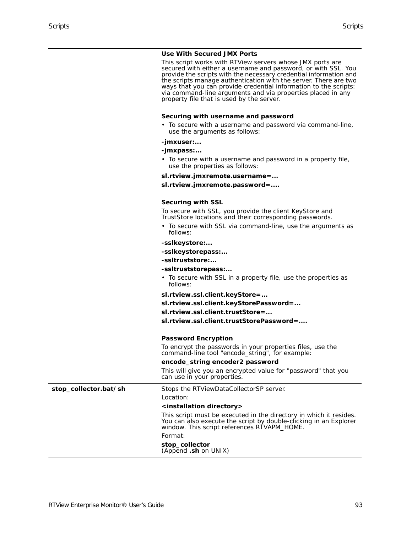#### **Use With Secured JMX Ports**

This script works with RTView servers whose JMX ports are secured with either a username and password, or with SSL. You provide the scripts with the necessary credential information and the scripts manage authentication with the server. There are two ways that you can provide credential information to the scripts: via command-line arguments and via properties placed in any property file that is used by the server.

#### **Securing with username and password**

• To secure with a username and password via command-line, use the arguments as follows:

#### **-jmxuser:...**

#### **-jmxpass:...**

• To secure with a username and password in a property file, use the properties as follows:

**sl.rtview.jmxremote.username=...**

**sl.rtview.jmxremote.password=....**

#### **Securing with SSL**

To secure with SSL, you provide the client KeyStore and TrustStore locations and their corresponding passwords.

- To secure with SSL via command-line, use the arguments as follows:
- **-sslkeystore:...**
- **-sslkeystorepass:...**
- **-ssltruststore:...**
- **-ssltruststorepass:...**
- To secure with SSL in a property file, use the properties as follows:

**sl.rtview.ssl.client.keyStore=...**

**sl.rtview.ssl.client.keyStorePassword=...**

**sl.rtview.ssl.client.trustStore=...**

**sl.rtview.ssl.client.trustStorePassword=....**

#### **Password Encryption**

To encrypt the passwords in your properties files, use the command-line tool "encode\_string", for example:

#### **encode\_string encoder2 password**

This will give you an encrypted value for "password" that you can use in your properties.

stop\_collector.bat/sh Stops the RTViewDataCollectorSP server.

Location:

#### **<installation directory>**

This script must be executed in the directory in which it resides. You can also execute the script by double-clicking in an Explorer window. This script references RTVAPM\_HOME.

Format:

**stop\_collector** 

(Append **.sh** on UNIX)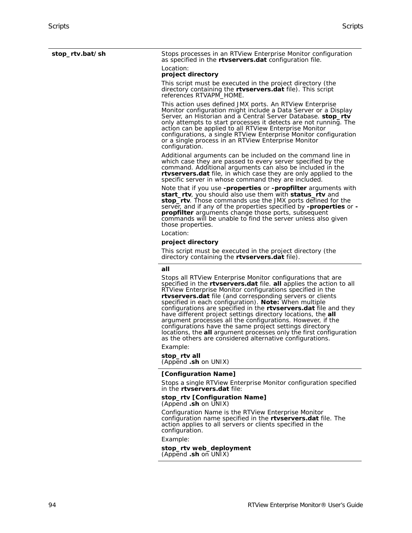<span id="page-99-0"></span>**stop\_rtv.bat/sh** Stops processes in an RTView Enterprise Monitor configuration as specified in the **rtvservers.dat** configuration file.

### Location:

**project directory** 

This script must be executed in the project directory (the directory containing the **rtvservers.dat** file). This script references RTVAPM\_HOME.

This action uses defined JMX ports. An RTView Enterprise Monitor configuration might include a Data Server or a Display Server, an Historian and a Central Server Database. **stop\_rtv** only attempts to start processes it detects are not running. The action can be applied to all RTView Enterprise Monitor configurations, a single RTView Enterprise Monitor configuration or a single process in an RTView Enterprise Monitor configuration.

Additional arguments can be included on the command line in which case they are passed to every server specified by the command. Additional arguments can also be included in the **rtvservers.dat** file, in which case they are only applied to the specific server in whose command they are included.

Note that if you use **-properties** or **-propfilter** arguments with **start\_rtv**, you should also use them with **status\_rtv** and **stop\_rtv**. Those commands use the JMX ports defined for the server, and if any of the properties specified by **-properties** or **- propfilter** arguments change those ports, subsequent commands will be unable to find the server unless also given those properties.

Location:

#### **project directory**

This script must be executed in the project directory (the directory containing the **rtvservers.dat** file).

#### **all**

Stops all RTView Enterprise Monitor configurations that are specified in the **rtvservers.dat** file. **all** applies the action to all RTView Enterprise Monitor configurations specified in the **rtvservers.dat** file (and corresponding servers or clients specified in each configuration). **Note:** When multiple configurations are specified in the **rtvservers.dat** file and they have different project settings directory locations, the **all** argument processes all the configurations. However, if the configurations have the same project settings directory locations, the **all** argument processes only the first configuration as the others are considered alternative configurations.

Example:

**stop\_rtv all**  (Append **.sh** on UNIX)

#### **[Configuration Name]**

Stops a single RTView Enterprise Monitor configuration specified in the **rtvservers.dat** file:

#### **stop\_rtv [Configuration Name]**  (Append **.sh** on UNIX)

Configuration Name is the RTView Enterprise Monitor configuration name specified in the **rtvservers.dat** file. The action applies to all servers or clients specified in the configuration.

Example:

#### **stop\_rtv web\_deployment**  (Append **.sh** on UNIX)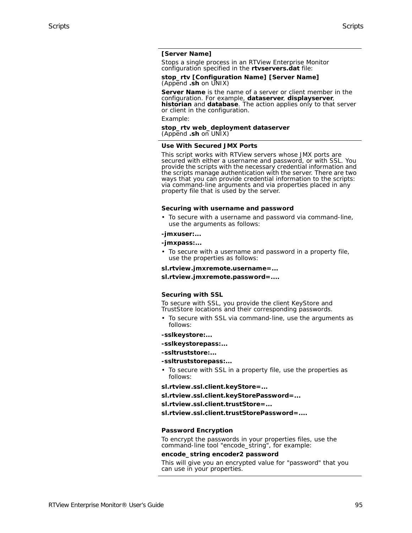#### **[Server Name]**

Stops a single process in an RTView Enterprise Monitor configuration specified in the **rtvservers.dat** file:

#### **stop\_rtv [Configuration Name] [Server Name]**  (Append **.sh** on UNIX)

**Server Name** is the name of a server or client member in the configuration. For example, **dataserver**, **displayserver**, **historian** and **database**. The action applies only to that server or client in the configuration.

Example:

#### **stop\_rtv web\_deployment dataserver**  (Append **.sh** on UNIX)

#### **Use With Secured JMX Ports**

This script works with RTView servers whose JMX ports are secured with either a username and password, or with SSL. You provide the scripts with the necessary credential information and the scripts manage authentication with the server. There are two ways that you can provide credential information to the scripts: via command-line arguments and via properties placed in any property file that is used by the server.

#### **Securing with username and password**

• To secure with a username and password via command-line, use the arguments as follows:

#### **-jmxuser:...**

#### **-jmxpass:...**

- To secure with a username and password in a property file, use the properties as follows:
- **sl.rtview.jmxremote.username=...**
- **sl.rtview.jmxremote.password=....**

#### **Securing with SSL**

To secure with SSL, you provide the client KeyStore and TrustStore locations and their corresponding passwords.

- To secure with SSL via command-line, use the arguments as follows:
- **-sslkeystore:...**
- **-sslkeystorepass:...**
- **-ssltruststore:...**

#### **-ssltruststorepass:...**

• To secure with SSL in a property file, use the properties as follows:

**sl.rtview.ssl.client.keyStore=...**

**sl.rtview.ssl.client.keyStorePassword=...**

**sl.rtview.ssl.client.trustStore=...**

**sl.rtview.ssl.client.trustStorePassword=....**

#### **Password Encryption**

To encrypt the passwords in your properties files, use the command-line tool "encode\_string", for example:

#### **encode\_string encoder2 password**

This will give you an encrypted value for "password" that you can use in your properties.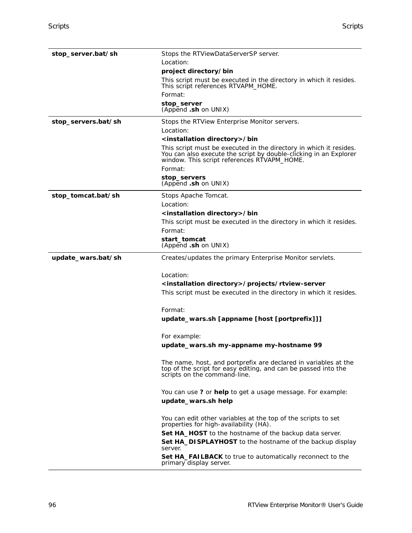| stop_server.bat/sh  | Stops the RTViewDataServerSP server.                                                                                                                                                   |
|---------------------|----------------------------------------------------------------------------------------------------------------------------------------------------------------------------------------|
|                     | Location:                                                                                                                                                                              |
|                     | project directory/bin                                                                                                                                                                  |
|                     | This script must be executed in the directory in which it resides.<br>This script references RTVAPM_HOME.                                                                              |
|                     | Format:                                                                                                                                                                                |
|                     | stop_server<br>(Append .sh on UNIX)                                                                                                                                                    |
| stop_servers.bat/sh | Stops the RTView Enterprise Monitor servers.                                                                                                                                           |
|                     | Location:                                                                                                                                                                              |
|                     | <installation directory="">/bin</installation>                                                                                                                                         |
|                     | This script must be executed in the directory in which it resides.<br>You can also execute the script by double-clicking in an Explorer<br>window. This script references RTVAPM_HOME. |
|                     | Format:                                                                                                                                                                                |
|                     | stop_servers<br>(Append .sh on UNIX)                                                                                                                                                   |
| stop_tomcat.bat/sh  | Stops Apache Tomcat.                                                                                                                                                                   |
|                     | Location:                                                                                                                                                                              |
|                     | <installation directory="">/bin</installation>                                                                                                                                         |
|                     | This script must be executed in the directory in which it resides.                                                                                                                     |
|                     | Format:                                                                                                                                                                                |
|                     | start_tomcat<br>(Append .sh on UNIX)                                                                                                                                                   |
| update_wars.bat/sh  | Creates/updates the primary Enterprise Monitor servlets.                                                                                                                               |
|                     | Location:                                                                                                                                                                              |
|                     | <installation directory="">/projects/rtview-server</installation>                                                                                                                      |
|                     | This script must be executed in the directory in which it resides.                                                                                                                     |
|                     | Format:                                                                                                                                                                                |
|                     | update_wars.sh [appname [host [portprefix]]]                                                                                                                                           |
|                     | For example:                                                                                                                                                                           |
|                     | update_wars.sh my-appname my-hostname 99                                                                                                                                               |
|                     | The name, host, and portprefix are declared in variables at the<br>top of the script for easy editing, and can be passed into the<br>scripts on the command-line.                      |
|                     | You can use ? or help to get a usage message. For example:                                                                                                                             |
|                     | update_wars.sh help                                                                                                                                                                    |
|                     | You can edit other variables at the top of the scripts to set<br>properties for high-availability (HA).                                                                                |
|                     | Set HA_HOST to the hostname of the backup data server.                                                                                                                                 |
|                     | Set HA_DISPLAYHOST to the hostname of the backup display<br>server.                                                                                                                    |
|                     | <b>Set HA_FAILBACK</b> to true to automatically reconnect to the<br>primary display server.                                                                                            |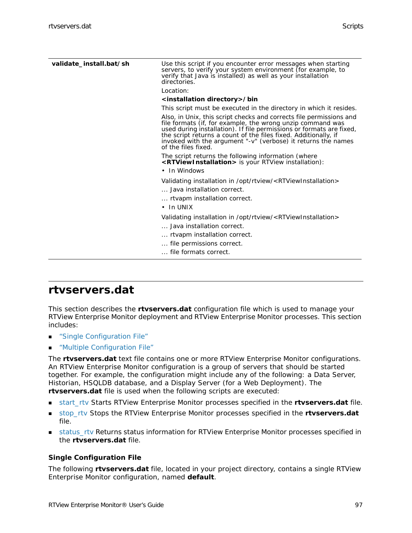| validate_install.bat/sh | Use this script if you encounter error messages when starting<br>servers, to verify your system environment (for example, to<br>verify that Java is installed) as well as your installation<br>directories.                                                                                                                                                          |
|-------------------------|----------------------------------------------------------------------------------------------------------------------------------------------------------------------------------------------------------------------------------------------------------------------------------------------------------------------------------------------------------------------|
|                         | Location:                                                                                                                                                                                                                                                                                                                                                            |
|                         | <installation directory="">/bin</installation>                                                                                                                                                                                                                                                                                                                       |
|                         | This script must be executed in the directory in which it resides.                                                                                                                                                                                                                                                                                                   |
|                         | Also, in Unix, this script checks and corrects file permissions and<br>file formats (if, for example, the wrong unzip command was<br>used during installation). If file permissions or formats are fixed,<br>the script returns a count of the files fixed. Additionally, if<br>invoked with the argument "-v" (verbose) it returns the names<br>of the files fixed. |
|                         | The script returns the following information (where<br><rtviewinstallation> is your RTView installation):<br/>• In Windows</rtviewinstallation>                                                                                                                                                                                                                      |
|                         | Validating installation in /opt/rtview/ <rtviewinstallation><br/> Java installation correct.<br/> rtvapm installation correct.<br/><math>\cdot</math> In UNIX</rtviewinstallation>                                                                                                                                                                                   |
|                         | Validating installation in /opt/rtview/ <rtviewinstallation><br/> Java installation correct.</rtviewinstallation>                                                                                                                                                                                                                                                    |
|                         | rtvapm installation correct.                                                                                                                                                                                                                                                                                                                                         |
|                         | file permissions correct.                                                                                                                                                                                                                                                                                                                                            |
|                         | file formats correct.                                                                                                                                                                                                                                                                                                                                                |
|                         |                                                                                                                                                                                                                                                                                                                                                                      |

### <span id="page-102-0"></span>**rtvservers.dat**

This section describes the **rtvservers.dat** configuration file which is used to manage your RTView Enterprise Monitor deployment and RTView Enterprise Monitor processes. This section includes:

- **E** ["Single Configuration File"](#page-102-1)
- **Nultiple Configuration File"**

The **rtvservers.dat** text file contains one or more RTView Enterprise Monitor configurations. An RTView Enterprise Monitor configuration is a group of servers that should be started together. For example, the configuration might include any of the following: a Data Server, Historian, HSQLDB database, and a Display Server (for a Web Deployment). The **rtvservers.dat** file is used when the following scripts are executed:

- [start\\_rtv](#page-93-0) Starts RTView Enterprise Monitor processes specified in the **rtvservers.dat** file.
- [stop\\_rtv](#page-99-0) Stops the RTView Enterprise Monitor processes specified in the **rtvservers.dat** file.
- [status\\_rtv](#page-96-0) Returns status information for RTView Enterprise Monitor processes specified in the **rtvservers.dat** file.

### <span id="page-102-1"></span>**Single Configuration File**

The following **rtvservers.dat** file, located in your project directory, contains a single RTView Enterprise Monitor configuration, named **default**.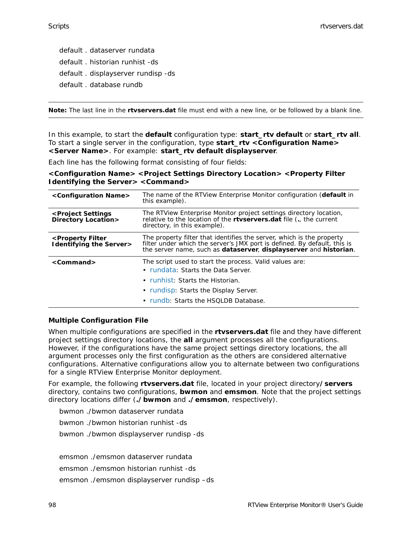default . dataserver rundata default . historian runhist -ds default . displayserver rundisp -ds default . database rundb

**Note:** The last line in the **rtvservers.dat** file must end with a new line, or be followed by a blank line.

In this example, to start the **default** configuration type: **start\_rtv default** or **start\_rtv all**. To start a single server in the configuration, type **start\_rtv <Configuration Name> <Server Name>**. For example: **start\_rtv default displayserver**.

Each line has the following format consisting of four fields:

**<Configuration Name> <Project Settings Directory Location> <Property Filter Identifying the Server> <Command>**

| <configuration name=""></configuration>                             | The name of the RTView Enterprise Monitor configuration (default in<br>this example).                                                                                                                                  |
|---------------------------------------------------------------------|------------------------------------------------------------------------------------------------------------------------------------------------------------------------------------------------------------------------|
| <project settings<br="">Directory Location&gt;</project>            | The RTView Enterprise Monitor project settings directory location,<br>relative to the location of the <b>rtyservers.dat</b> file (., the current<br>directory, in this example).                                       |
| <property filter<br=""><b>Identifying the Server&gt;</b></property> | The property filter that identifies the server, which is the property<br>filter under which the server's JMX port is defined. By default, this is<br>the server name, such as dataserver, displayserver and historian. |
| $<$ Command $>$                                                     | The script used to start the process. Valid values are:<br>• rundata: Starts the Data Server.<br>• runhist: Starts the Historian.<br>• rundisp: Starts the Display Server.<br>• rundb: Starts the HSQLDB Database.     |

#### <span id="page-103-0"></span>**Multiple Configuration File**

When multiple configurations are specified in the **rtvservers.dat** file and they have different project settings directory locations, the **all** argument processes all the configurations. However, if the configurations have the same project settings directory locations, the all argument processes only the first configuration as the others are considered alternative configurations. Alternative configurations allow you to alternate between two configurations for a single RTView Enterprise Monitor deployment.

For example, the following **rtvservers.dat** file, located in your project directory**/servers** directory, contains two configurations, **bwmon** and **emsmon**. Note that the project settings directory locations differ (**./bwmon** and **./emsmon**, respectively).

bwmon ./bwmon dataserver rundata

bwmon ./bwmon historian runhist -ds

bwmon ./bwmon displayserver rundisp -ds

emsmon ./emsmon dataserver rundata

emsmon ./emsmon historian runhist -ds

emsmon ./emsmon displayserver rundisp –ds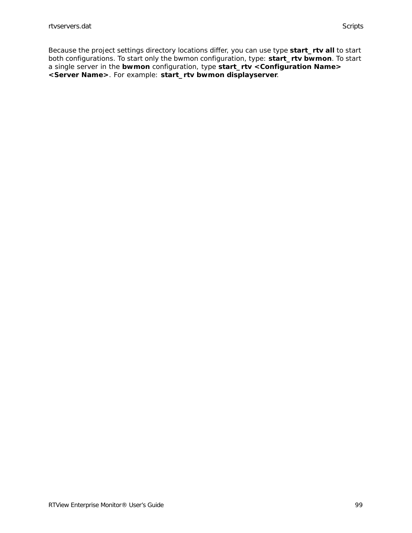Because the project settings directory locations differ, you can use type **start\_rtv all** to start both configurations. To start only the bwmon configuration, type: **start\_rtv bwmon**. To start a single server in the **bwmon** configuration, type **start\_rtv <Configuration Name> <Server Name>**. For example: **start\_rtv bwmon displayserver**.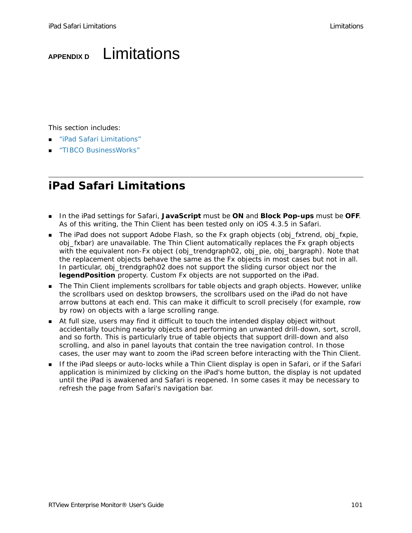# **APPENDIX D** Limitations

This section includes:

- ["iPad Safari Limitations"](#page-106-0)
- ["TIBCO BusinessWorks"](#page-108-0)

# <span id="page-106-0"></span>**iPad Safari Limitations**

- In the iPad settings for Safari, **JavaScript** must be **ON** and **Block Pop-ups** must be **OFF**. As of this writing, the Thin Client has been tested only on iOS 4.3.5 in Safari.
- The iPad does not support Adobe Flash, so the Fx graph objects (obj\_fxtrend, obj\_fxpie, obj\_fxbar) are unavailable. The Thin Client automatically replaces the Fx graph objects with the equivalent non-Fx object (obj\_trendgraph02, obj\_pie, obj\_bargraph). Note that the replacement objects behave the same as the Fx objects in most cases but not in all. In particular, obj\_trendgraph02 does not support the sliding cursor object nor the **legendPosition** property. Custom Fx objects are not supported on the iPad.
- **The Thin Client implements scrollbars for table objects and graph objects. However, unlike** the scrollbars used on desktop browsers, the scrollbars used on the iPad do not have arrow buttons at each end. This can make it difficult to scroll precisely (for example, row by row) on objects with a large scrolling range.
- At full size, users may find it difficult to touch the intended display object without accidentally touching nearby objects and performing an unwanted drill-down, sort, scroll, and so forth. This is particularly true of table objects that support drill-down and also scrolling, and also in panel layouts that contain the tree navigation control. In those cases, the user may want to zoom the iPad screen before interacting with the Thin Client.
- **If the iPad sleeps or auto-locks while a Thin Client display is open in Safari, or if the Safari** application is minimized by clicking on the iPad's home button, the display is not updated until the iPad is awakened and Safari is reopened. In some cases it may be necessary to refresh the page from Safari's navigation bar.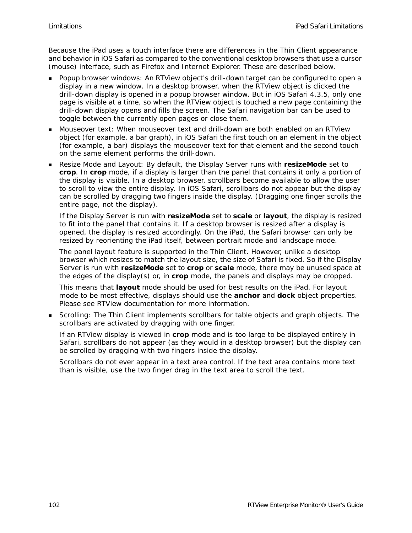Because the iPad uses a touch interface there are differences in the Thin Client appearance and behavior in iOS Safari as compared to the conventional desktop browsers that use a cursor (mouse) interface, such as Firefox and Internet Explorer. These are described below.

- Popup browser windows: An RTView object's drill-down target can be configured to open a display in a new window. In a desktop browser, when the RTView object is clicked the drill-down display is opened in a popup browser window. But in iOS Safari 4.3.5, only one page is visible at a time, so when the RTView object is touched a new page containing the drill-down display opens and fills the screen. The Safari navigation bar can be used to toggle between the currently open pages or close them.
- Mouseover text: When mouseover text and drill-down are both enabled on an RTView object (for example, a bar graph), in iOS Safari the first touch on an element in the object (for example, a bar) displays the mouseover text for that element and the second touch on the same element performs the drill-down.
- Resize Mode and Layout: By default, the Display Server runs with **resizeMode** set to **crop**. In **crop** mode, if a display is larger than the panel that contains it only a portion of the display is visible. In a desktop browser, scrollbars become available to allow the user to scroll to view the entire display. In iOS Safari, scrollbars do not appear but the display can be scrolled by dragging two fingers inside the display. (Dragging one finger scrolls the entire page, not the display).

If the Display Server is run with **resizeMode** set to **scale** or **layout**, the display is resized to fit into the panel that contains it. If a desktop browser is resized after a display is opened, the display is resized accordingly. On the iPad, the Safari browser can only be resized by reorienting the iPad itself, between portrait mode and landscape mode.

The panel layout feature is supported in the Thin Client. However, unlike a desktop browser which resizes to match the layout size, the size of Safari is fixed. So if the Display Server is run with **resizeMode** set to **crop** or **scale** mode, there may be unused space at the edges of the display(s) or, in **crop** mode, the panels and displays may be cropped.

This means that **layout** mode should be used for best results on the iPad. For layout mode to be most effective, displays should use the **anchor** and **dock** object properties. Please see RTView documentation for more information.

 Scrolling: The Thin Client implements scrollbars for table objects and graph objects. The scrollbars are activated by dragging with one finger.

If an RTView display is viewed in **crop** mode and is too large to be displayed entirely in Safari, scrollbars do not appear (as they would in a desktop browser) but the display can be scrolled by dragging with two fingers inside the display.

Scrollbars do not ever appear in a text area control. If the text area contains more text than is visible, use the two finger drag in the text area to scroll the text.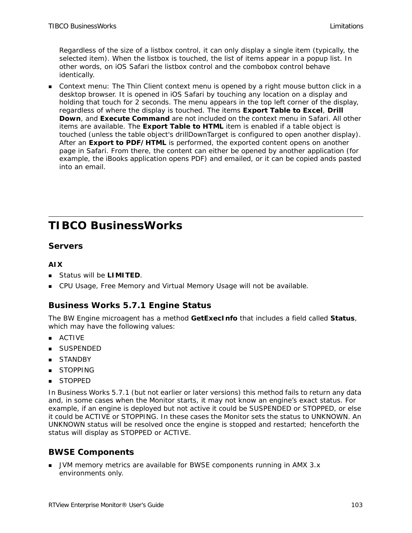Regardless of the size of a listbox control, it can only display a single item (typically, the selected item). When the listbox is touched, the list of items appear in a popup list. In other words, on iOS Safari the listbox control and the combobox control behave identically.

 Context menu: The Thin Client context menu is opened by a right mouse button click in a desktop browser. It is opened in iOS Safari by touching any location on a display and holding that touch for 2 seconds. The menu appears in the top left corner of the display, regardless of where the display is touched. The items **Export Table to Excel**, **Drill Down**, and **Execute Command** are not included on the context menu in Safari. All other items are available. The **Export Table to HTML** item is enabled if a table object is touched (unless the table object's drillDownTarget is configured to open another display). After an **Export to PDF/HTML** is performed, the exported content opens on another page in Safari. From there, the content can either be opened by another application (for example, the iBooks application opens PDF) and emailed, or it can be copied ands pasted into an email.

# **TIBCO BusinessWorks**

# **Servers**

# **AIX**

- Status will be **LIMITED**.
- **CPU Usage, Free Memory and Virtual Memory Usage will not be available.**

# **Business Works 5.7.1 Engine Status**

The BW Engine microagent has a method **GetExecInfo** that includes a field called **Status**, which may have the following values:

- **ACTIVE**
- **SUSPENDED**
- STANDBY
- STOPPING
- **STOPPED**

In Business Works 5.7.1 (but not earlier or later versions) this method fails to return any data and, in some cases when the Monitor starts, it may not know an engine's exact status. For example, if an engine is deployed but not active it could be SUSPENDED or STOPPED, or else it could be ACTIVE or STOPPING. In these cases the Monitor sets the status to UNKNOWN. An UNKNOWN status will be resolved once the engine is stopped and restarted; henceforth the status will display as STOPPED or ACTIVE.

# **BWSE Components**

**JUM memory metrics are available for BWSE components running in AMX 3.x** environments only.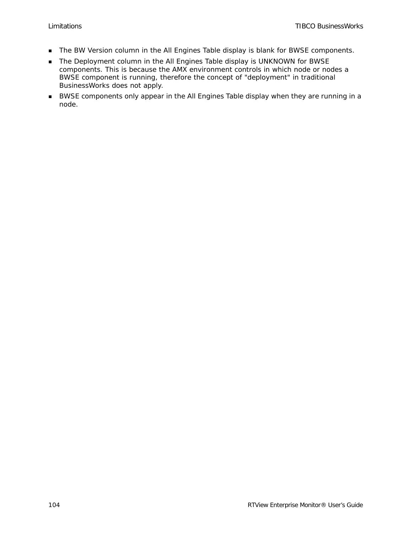- The BW Version column in the All Engines Table display is blank for BWSE components.
- The Deployment column in the All Engines Table display is UNKNOWN for BWSE components. This is because the AMX environment controls in which node or nodes a BWSE component is running, therefore the concept of "deployment" in traditional BusinessWorks does not apply.
- BWSE components only appear in the All Engines Table display when they are running in a node.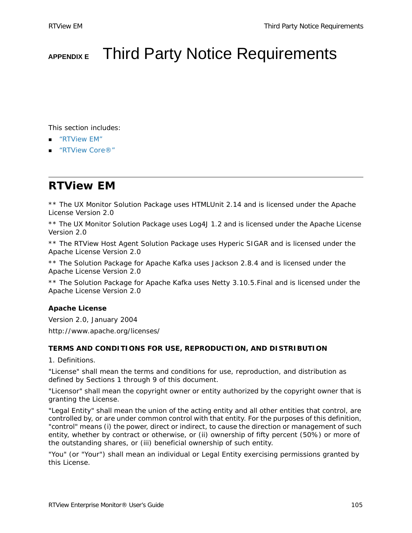# **APPENDIX E** Third Party Notice Requirements

This section includes:

- ["RTView EM"](#page-110-0)
- ["RTView Core®"](#page-116-0)

# <span id="page-110-0"></span>**RTView EM**

\*\* The UX Monitor Solution Package uses HTMLUnit 2.14 and is licensed under the Apache License Version 2.0

\*\* The UX Monitor Solution Package uses Log4J 1.2 and is licensed under the Apache License Version 2.0

\*\* The RTView Host Agent Solution Package uses Hyperic SIGAR and is licensed under the Apache License Version 2.0

\*\* The Solution Package for Apache Kafka uses Jackson 2.8.4 and is licensed under the Apache License Version 2.0

\*\* The Solution Package for Apache Kafka uses Netty 3.10.5.Final and is licensed under the Apache License Version 2.0

# **Apache License**

Version 2.0, January 2004

http://www.apache.org/licenses/

#### **TERMS AND CONDITIONS FOR USE, REPRODUCTION, AND DISTRIBUTION**

1. Definitions.

"License" shall mean the terms and conditions for use, reproduction, and distribution as defined by Sections 1 through 9 of this document.

"Licensor" shall mean the copyright owner or entity authorized by the copyright owner that is granting the License.

"Legal Entity" shall mean the union of the acting entity and all other entities that control, are controlled by, or are under common control with that entity. For the purposes of this definition, "control" means (i) the power, direct or indirect, to cause the direction or management of such entity, whether by contract or otherwise, or (ii) ownership of fifty percent (50%) or more of the outstanding shares, or (iii) beneficial ownership of such entity.

"You" (or "Your") shall mean an individual or Legal Entity exercising permissions granted by this License.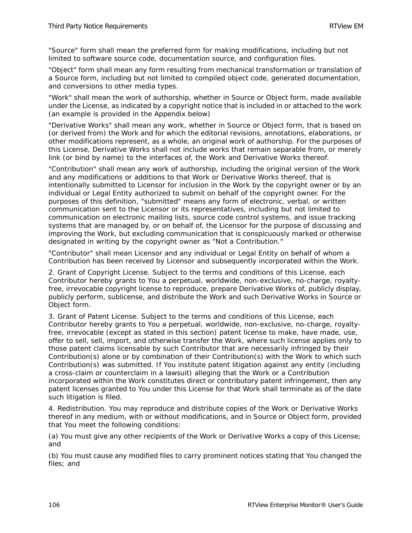"Source" form shall mean the preferred form for making modifications, including but not limited to software source code, documentation source, and configuration files.

"Object" form shall mean any form resulting from mechanical transformation or translation of a Source form, including but not limited to compiled object code, generated documentation, and conversions to other media types.

"Work" shall mean the work of authorship, whether in Source or Object form, made available under the License, as indicated by a copyright notice that is included in or attached to the work (an example is provided in the Appendix below)

"Derivative Works" shall mean any work, whether in Source or Object form, that is based on (or derived from) the Work and for which the editorial revisions, annotations, elaborations, or other modifications represent, as a whole, an original work of authorship. For the purposes of this License, Derivative Works shall not include works that remain separable from, or merely link (or bind by name) to the interfaces of, the Work and Derivative Works thereof.

"Contribution" shall mean any work of authorship, including the original version of the Work and any modifications or additions to that Work or Derivative Works thereof, that is intentionally submitted to Licensor for inclusion in the Work by the copyright owner or by an individual or Legal Entity authorized to submit on behalf of the copyright owner. For the purposes of this definition, "submitted" means any form of electronic, verbal, or written communication sent to the Licensor or its representatives, including but not limited to communication on electronic mailing lists, source code control systems, and issue tracking systems that are managed by, or on behalf of, the Licensor for the purpose of discussing and improving the Work, but excluding communication that is conspicuously marked or otherwise designated in writing by the copyright owner as "Not a Contribution."

"Contributor" shall mean Licensor and any individual or Legal Entity on behalf of whom a Contribution has been received by Licensor and subsequently incorporated within the Work.

2. Grant of Copyright License. Subject to the terms and conditions of this License, each Contributor hereby grants to You a perpetual, worldwide, non-exclusive, no-charge, royaltyfree, irrevocable copyright license to reproduce, prepare Derivative Works of, publicly display, publicly perform, sublicense, and distribute the Work and such Derivative Works in Source or Object form.

3. Grant of Patent License. Subject to the terms and conditions of this License, each Contributor hereby grants to You a perpetual, worldwide, non-exclusive, no-charge, royaltyfree, irrevocable (except as stated in this section) patent license to make, have made, use, offer to sell, sell, import, and otherwise transfer the Work, where such license applies only to those patent claims licensable by such Contributor that are necessarily infringed by their Contribution(s) alone or by combination of their Contribution(s) with the Work to which such Contribution(s) was submitted. If You institute patent litigation against any entity (including a cross-claim or counterclaim in a lawsuit) alleging that the Work or a Contribution incorporated within the Work constitutes direct or contributory patent infringement, then any patent licenses granted to You under this License for that Work shall terminate as of the date such litigation is filed.

4. Redistribution. You may reproduce and distribute copies of the Work or Derivative Works thereof in any medium, with or without modifications, and in Source or Object form, provided that You meet the following conditions:

(a) You must give any other recipients of the Work or Derivative Works a copy of this License; and

(b) You must cause any modified files to carry prominent notices stating that You changed the files; and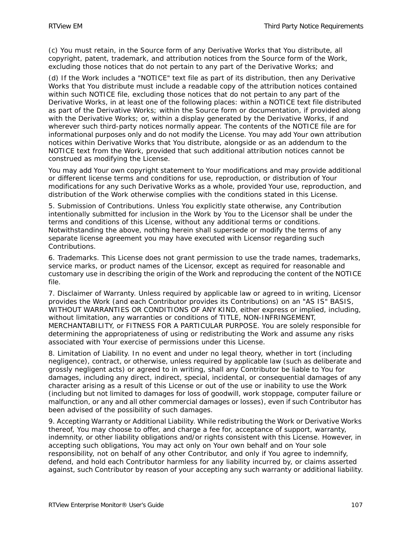(c) You must retain, in the Source form of any Derivative Works that You distribute, all copyright, patent, trademark, and attribution notices from the Source form of the Work, excluding those notices that do not pertain to any part of the Derivative Works; and

(d) If the Work includes a "NOTICE" text file as part of its distribution, then any Derivative Works that You distribute must include a readable copy of the attribution notices contained within such NOTICE file, excluding those notices that do not pertain to any part of the Derivative Works, in at least one of the following places: within a NOTICE text file distributed as part of the Derivative Works; within the Source form or documentation, if provided along with the Derivative Works; or, within a display generated by the Derivative Works, if and wherever such third-party notices normally appear. The contents of the NOTICE file are for informational purposes only and do not modify the License. You may add Your own attribution notices within Derivative Works that You distribute, alongside or as an addendum to the NOTICE text from the Work, provided that such additional attribution notices cannot be construed as modifying the License.

You may add Your own copyright statement to Your modifications and may provide additional or different license terms and conditions for use, reproduction, or distribution of Your modifications for any such Derivative Works as a whole, provided Your use, reproduction, and distribution of the Work otherwise complies with the conditions stated in this License.

5. Submission of Contributions. Unless You explicitly state otherwise, any Contribution intentionally submitted for inclusion in the Work by You to the Licensor shall be under the terms and conditions of this License, without any additional terms or conditions. Notwithstanding the above, nothing herein shall supersede or modify the terms of any separate license agreement you may have executed with Licensor regarding such Contributions.

6. Trademarks. This License does not grant permission to use the trade names, trademarks, service marks, or product names of the Licensor, except as required for reasonable and customary use in describing the origin of the Work and reproducing the content of the NOTICE file.

7. Disclaimer of Warranty. Unless required by applicable law or agreed to in writing, Licensor provides the Work (and each Contributor provides its Contributions) on an "AS IS" BASIS, WITHOUT WARRANTIES OR CONDITIONS OF ANY KIND, either express or implied, including, without limitation, any warranties or conditions of TITLE, NON-INFRINGEMENT, MERCHANTABILITY, or FITNESS FOR A PARTICULAR PURPOSE. You are solely responsible for determining the appropriateness of using or redistributing the Work and assume any risks associated with Your exercise of permissions under this License.

8. Limitation of Liability. In no event and under no legal theory, whether in tort (including negligence), contract, or otherwise, unless required by applicable law (such as deliberate and grossly negligent acts) or agreed to in writing, shall any Contributor be liable to You for damages, including any direct, indirect, special, incidental, or consequential damages of any character arising as a result of this License or out of the use or inability to use the Work (including but not limited to damages for loss of goodwill, work stoppage, computer failure or malfunction, or any and all other commercial damages or losses), even if such Contributor has been advised of the possibility of such damages.

9. Accepting Warranty or Additional Liability. While redistributing the Work or Derivative Works thereof, You may choose to offer, and charge a fee for, acceptance of support, warranty, indemnity, or other liability obligations and/or rights consistent with this License. However, in accepting such obligations, You may act only on Your own behalf and on Your sole responsibility, not on behalf of any other Contributor, and only if You agree to indemnify, defend, and hold each Contributor harmless for any liability incurred by, or claims asserted against, such Contributor by reason of your accepting any such warranty or additional liability.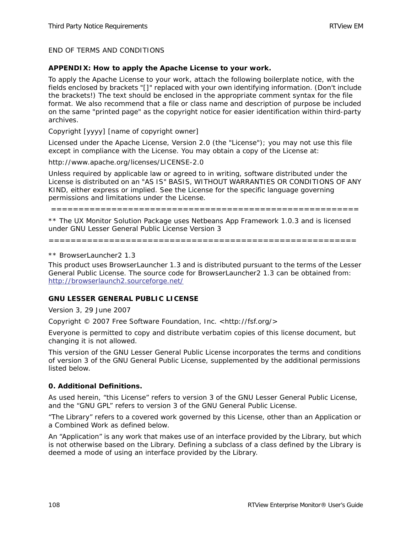END OF TERMS AND CONDITIONS

#### **APPENDIX: How to apply the Apache License to your work.**

To apply the Apache License to your work, attach the following boilerplate notice, with the fields enclosed by brackets "[]" replaced with your own identifying information. (Don't include the brackets!) The text should be enclosed in the appropriate comment syntax for the file format. We also recommend that a file or class name and description of purpose be included on the same "printed page" as the copyright notice for easier identification within third-party archives.

Copyright [yyyy] [name of copyright owner]

Licensed under the Apache License, Version 2.0 (the "License"); you may not use this file except in compliance with the License. You may obtain a copy of the License at:

http://www.apache.org/licenses/LICENSE-2.0

Unless required by applicable law or agreed to in writing, software distributed under the License is distributed on an "AS IS" BASIS, WITHOUT WARRANTIES OR CONDITIONS OF ANY KIND, either express or implied. See the License for the specific language governing permissions and limitations under the License.

========================================================

\*\* The UX Monitor Solution Package uses Netbeans App Framework 1.0.3 and is licensed under GNU Lesser General Public License Version 3

========================================================

\*\* BrowserLauncher2 1.3

This product uses BrowserLauncher 1.3 and is distributed pursuant to the terms of the Lesser General Public License. The source code for BrowserLauncher2 1.3 can be obtained from: <http://browserlaunch2.sourceforge.net/>

#### **GNU LESSER GENERAL PUBLIC LICENSE**

Version 3, 29 June 2007

Copyright © 2007 Free Software Foundation, Inc. <http://fsf.org/>

Everyone is permitted to copy and distribute verbatim copies of this license document, but changing it is not allowed.

This version of the GNU Lesser General Public License incorporates the terms and conditions of version 3 of the GNU General Public License, supplemented by the additional permissions listed below.

#### **0. Additional Definitions.**

As used herein, "this License" refers to version 3 of the GNU Lesser General Public License, and the "GNU GPL" refers to version 3 of the GNU General Public License.

"The Library" refers to a covered work governed by this License, other than an Application or a Combined Work as defined below.

An "Application" is any work that makes use of an interface provided by the Library, but which is not otherwise based on the Library. Defining a subclass of a class defined by the Library is deemed a mode of using an interface provided by the Library.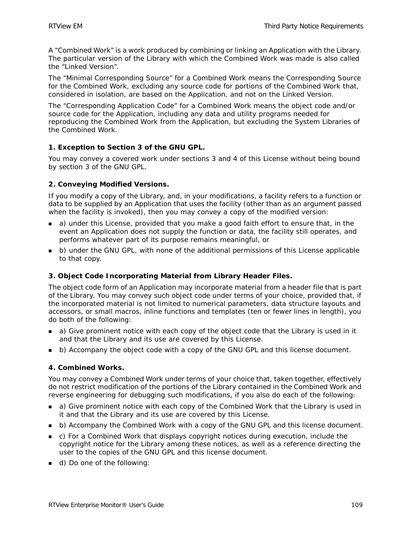A "Combined Work" is a work produced by combining or linking an Application with the Library. The particular version of the Library with which the Combined Work was made is also called the "Linked Version".

The "Minimal Corresponding Source" for a Combined Work means the Corresponding Source for the Combined Work, excluding any source code for portions of the Combined Work that, considered in isolation, are based on the Application, and not on the Linked Version.

The "Corresponding Application Code" for a Combined Work means the object code and/or source code for the Application, including any data and utility programs needed for reproducing the Combined Work from the Application, but excluding the System Libraries of the Combined Work.

# **1. Exception to Section 3 of the GNU GPL.**

You may convey a covered work under sections 3 and 4 of this License without being bound by section 3 of the GNU GPL.

# **2. Conveying Modified Versions.**

If you modify a copy of the Library, and, in your modifications, a facility refers to a function or data to be supplied by an Application that uses the facility (other than as an argument passed when the facility is invoked), then you may convey a copy of the modified version:

- a) under this License, provided that you make a good faith effort to ensure that, in the event an Application does not supply the function or data, the facility still operates, and performs whatever part of its purpose remains meaningful, or
- **b**) under the GNU GPL, with none of the additional permissions of this License applicable to that copy.

# **3. Object Code Incorporating Material from Library Header Files.**

The object code form of an Application may incorporate material from a header file that is part of the Library. You may convey such object code under terms of your choice, provided that, if the incorporated material is not limited to numerical parameters, data structure layouts and accessors, or small macros, inline functions and templates (ten or fewer lines in length), you do both of the following:

- a) Give prominent notice with each copy of the object code that the Library is used in it and that the Library and its use are covered by this License.
- **b**) Accompany the object code with a copy of the GNU GPL and this license document.

# **4. Combined Works.**

You may convey a Combined Work under terms of your choice that, taken together, effectively do not restrict modification of the portions of the Library contained in the Combined Work and reverse engineering for debugging such modifications, if you also do each of the following:

- a) Give prominent notice with each copy of the Combined Work that the Library is used in it and that the Library and its use are covered by this License.
- **b** b) Accompany the Combined Work with a copy of the GNU GPL and this license document.
- c) For a Combined Work that displays copyright notices during execution, include the copyright notice for the Library among these notices, as well as a reference directing the user to the copies of the GNU GPL and this license document.
- d) Do one of the following: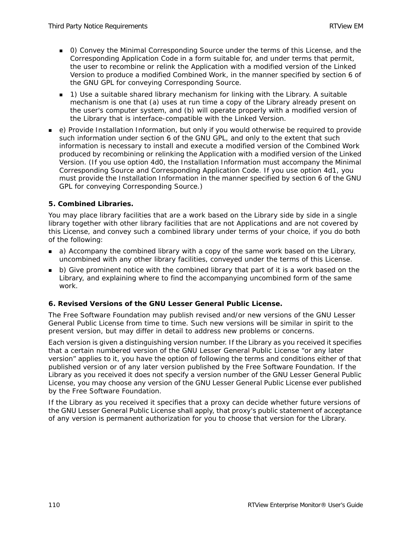- 0) Convey the Minimal Corresponding Source under the terms of this License, and the Corresponding Application Code in a form suitable for, and under terms that permit, the user to recombine or relink the Application with a modified version of the Linked Version to produce a modified Combined Work, in the manner specified by section 6 of the GNU GPL for conveying Corresponding Source.
- 1) Use a suitable shared library mechanism for linking with the Library. A suitable mechanism is one that (a) uses at run time a copy of the Library already present on the user's computer system, and (b) will operate properly with a modified version of the Library that is interface-compatible with the Linked Version.
- e) Provide Installation Information, but only if you would otherwise be required to provide such information under section 6 of the GNU GPL, and only to the extent that such information is necessary to install and execute a modified version of the Combined Work produced by recombining or relinking the Application with a modified version of the Linked Version. (If you use option 4d0, the Installation Information must accompany the Minimal Corresponding Source and Corresponding Application Code. If you use option 4d1, you must provide the Installation Information in the manner specified by section 6 of the GNU GPL for conveying Corresponding Source.)

# **5. Combined Libraries.**

You may place library facilities that are a work based on the Library side by side in a single library together with other library facilities that are not Applications and are not covered by this License, and convey such a combined library under terms of your choice, if you do both of the following:

- **a** a) Accompany the combined library with a copy of the same work based on the Library, uncombined with any other library facilities, conveyed under the terms of this License.
- b) Give prominent notice with the combined library that part of it is a work based on the Library, and explaining where to find the accompanying uncombined form of the same work.

# **6. Revised Versions of the GNU Lesser General Public License.**

The Free Software Foundation may publish revised and/or new versions of the GNU Lesser General Public License from time to time. Such new versions will be similar in spirit to the present version, but may differ in detail to address new problems or concerns.

Each version is given a distinguishing version number. If the Library as you received it specifies that a certain numbered version of the GNU Lesser General Public License "or any later version" applies to it, you have the option of following the terms and conditions either of that published version or of any later version published by the Free Software Foundation. If the Library as you received it does not specify a version number of the GNU Lesser General Public License, you may choose any version of the GNU Lesser General Public License ever published by the Free Software Foundation.

If the Library as you received it specifies that a proxy can decide whether future versions of the GNU Lesser General Public License shall apply, that proxy's public statement of acceptance of any version is permanent authorization for you to choose that version for the Library.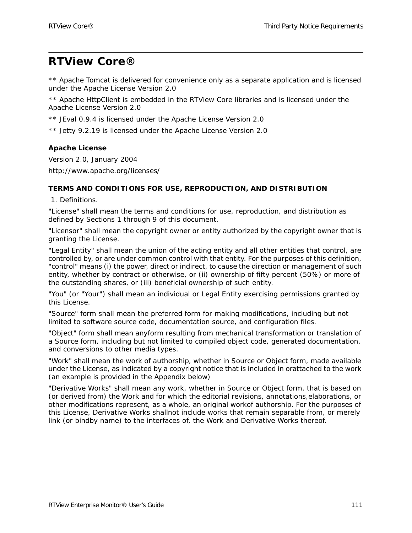# <span id="page-116-0"></span>**RTView Core®**

\*\* Apache Tomcat is delivered for convenience only as a separate application and is licensed under the Apache License Version 2.0

\*\* Apache HttpClient is embedded in the RTView Core libraries and is licensed under the Apache License Version 2.0

- \*\* JEval 0.9.4 is licensed under the Apache License Version 2.0
- \*\* Jetty 9.2.19 is licensed under the Apache License Version 2.0

## **Apache License**

Version 2.0, January 2004 http://www.apache.org/licenses/

#### **TERMS AND CONDITIONS FOR USE, REPRODUCTION, AND DISTRIBUTION**

1. Definitions.

"License" shall mean the terms and conditions for use, reproduction, and distribution as defined by Sections 1 through 9 of this document.

"Licensor" shall mean the copyright owner or entity authorized by the copyright owner that is granting the License.

"Legal Entity" shall mean the union of the acting entity and all other entities that control, are controlled by, or are under common control with that entity. For the purposes of this definition, "control" means (i) the power, direct or indirect, to cause the direction or management of such entity, whether by contract or otherwise, or (ii) ownership of fifty percent (50%) or more of the outstanding shares, or (iii) beneficial ownership of such entity.

"You" (or "Your") shall mean an individual or Legal Entity exercising permissions granted by this License.

"Source" form shall mean the preferred form for making modifications, including but not limited to software source code, documentation source, and configuration files.

"Object" form shall mean anyform resulting from mechanical transformation or translation of a Source form, including but not limited to compiled object code, generated documentation, and conversions to other media types.

"Work" shall mean the work of authorship, whether in Source or Object form, made available under the License, as indicated by a copyright notice that is included in orattached to the work (an example is provided in the Appendix below)

"Derivative Works" shall mean any work, whether in Source or Object form, that is based on (or derived from) the Work and for which the editorial revisions, annotations,elaborations, or other modifications represent, as a whole, an original workof authorship. For the purposes of this License, Derivative Works shallnot include works that remain separable from, or merely link (or bindby name) to the interfaces of, the Work and Derivative Works thereof.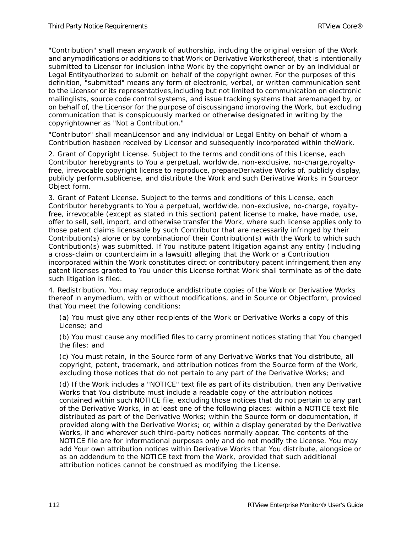"Contribution" shall mean anywork of authorship, including the original version of the Work and anymodifications or additions to that Work or Derivative Worksthereof, that is intentionally submitted to Licensor for inclusion inthe Work by the copyright owner or by an individual or Legal Entityauthorized to submit on behalf of the copyright owner. For the purposes of this definition, "submitted" means any form of electronic, verbal, or written communication sent to the Licensor or its representatives,including but not limited to communication on electronic mailinglists, source code control systems, and issue tracking systems that aremanaged by, or on behalf of, the Licensor for the purpose of discussingand improving the Work, but excluding communication that is conspicuously marked or otherwise designated in writing by the copyrightowner as "Not a Contribution."

"Contributor" shall meanLicensor and any individual or Legal Entity on behalf of whom a Contribution hasbeen received by Licensor and subsequently incorporated within theWork.

2. Grant of Copyright License. Subject to the terms and conditions of this License, each Contributor herebygrants to You a perpetual, worldwide, non-exclusive, no-charge,royaltyfree, irrevocable copyright license to reproduce, prepareDerivative Works of, publicly display, publicly perform,sublicense, and distribute the Work and such Derivative Works in Sourceor Object form.

3. Grant of Patent License. Subject to the terms and conditions of this License, each Contributor herebygrants to You a perpetual, worldwide, non-exclusive, no-charge, royaltyfree, irrevocable (except as stated in this section) patent license to make, have made, use, offer to sell, sell, import, and otherwise transfer the Work, where such license applies only to those patent claims licensable by such Contributor that are necessarily infringed by their Contribution(s) alone or by combinationof their Contribution(s) with the Work to which such Contribution(s) was submitted. If You institute patent litigation against any entity (including a cross-claim or counterclaim in a lawsuit) alleging that the Work or a Contribution incorporated within the Work constitutes direct or contributory patent infringement,then any patent licenses granted to You under this License forthat Work shall terminate as of the date such litigation is filed.

4. Redistribution. You may reproduce anddistribute copies of the Work or Derivative Works thereof in anymedium, with or without modifications, and in Source or Objectform, provided that You meet the following conditions:

(a) You must give any other recipients of the Work or Derivative Works a copy of this License; and

(b) You must cause any modified files to carry prominent notices stating that You changed the files; and

(c) You must retain, in the Source form of any Derivative Works that You distribute, all copyright, patent, trademark, and attribution notices from the Source form of the Work, excluding those notices that do not pertain to any part of the Derivative Works; and

(d) If the Work includes a "NOTICE" text file as part of its distribution, then any Derivative Works that You distribute must include a readable copy of the attribution notices contained within such NOTICE file, excluding those notices that do not pertain to any part of the Derivative Works, in at least one of the following places: within a NOTICE text file distributed as part of the Derivative Works; within the Source form or documentation, if provided along with the Derivative Works; or, within a display generated by the Derivative Works, if and wherever such third-party notices normally appear. The contents of the NOTICE file are for informational purposes only and do not modify the License. You may add Your own attribution notices within Derivative Works that You distribute, alongside or as an addendum to the NOTICE text from the Work, provided that such additional attribution notices cannot be construed as modifying the License.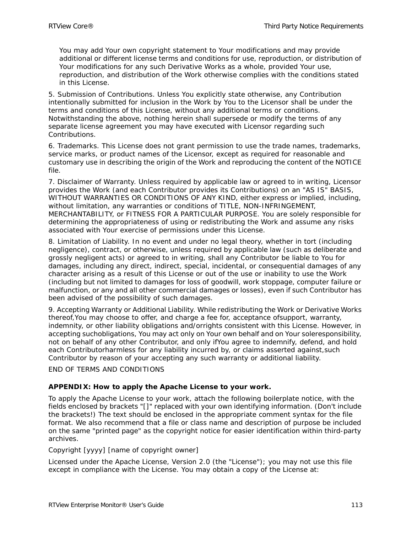You may add Your own copyright statement to Your modifications and may provide additional or different license terms and conditions for use, reproduction, or distribution of Your modifications for any such Derivative Works as a whole, provided Your use, reproduction, and distribution of the Work otherwise complies with the conditions stated in this License.

5. Submission of Contributions. Unless You explicitly state otherwise, any Contribution intentionally submitted for inclusion in the Work by You to the Licensor shall be under the terms and conditions of this License, without any additional terms or conditions. Notwithstanding the above, nothing herein shall supersede or modify the terms of any separate license agreement you may have executed with Licensor regarding such Contributions.

6. Trademarks. This License does not grant permission to use the trade names, trademarks, service marks, or product names of the Licensor, except as required for reasonable and customary use in describing the origin of the Work and reproducing the content of the NOTICE file.

7. Disclaimer of Warranty. Unless required by applicable law or agreed to in writing, Licensor provides the Work (and each Contributor provides its Contributions) on an "AS IS" BASIS, WITHOUT WARRANTIES OR CONDITIONS OF ANY KIND, either express or implied, including, without limitation, any warranties or conditions of TITLE, NON-INFRINGEMENT, MERCHANTABILITY, or FITNESS FOR A PARTICULAR PURPOSE. You are solely responsible for determining the appropriateness of using or redistributing the Work and assume any risks associated with Your exercise of permissions under this License.

8. Limitation of Liability. In no event and under no legal theory, whether in tort (including negligence), contract, or otherwise, unless required by applicable law (such as deliberate and grossly negligent acts) or agreed to in writing, shall any Contributor be liable to You for damages, including any direct, indirect, special, incidental, or consequential damages of any character arising as a result of this License or out of the use or inability to use the Work (including but not limited to damages for loss of goodwill, work stoppage, computer failure or malfunction, or any and all other commercial damages or losses), even if such Contributor has been advised of the possibility of such damages.

9. Accepting Warranty or Additional Liability. While redistributing the Work or Derivative Works thereof,You may choose to offer, and charge a fee for, acceptance ofsupport, warranty, indemnity, or other liability obligations and/orrights consistent with this License. However, in accepting suchobligations, You may act only on Your own behalf and on Your soleresponsibility, not on behalf of any other Contributor, and only ifYou agree to indemnify, defend, and hold each Contributorharmless for any liability incurred by, or claims asserted against,such Contributor by reason of your accepting any such warranty or additional liability.

END OF TERMS AND CONDITIONS

#### **APPENDIX: How to apply the Apache License to your work.**

To apply the Apache License to your work, attach the following boilerplate notice, with the fields enclosed by brackets "[]" replaced with your own identifying information. (Don't include the brackets!) The text should be enclosed in the appropriate comment syntax for the file format. We also recommend that a file or class name and description of purpose be included on the same "printed page" as the copyright notice for easier identification within third-party archives.

#### Copyright [yyyy] [name of copyright owner]

Licensed under the Apache License, Version 2.0 (the "License"); you may not use this file except in compliance with the License. You may obtain a copy of the License at: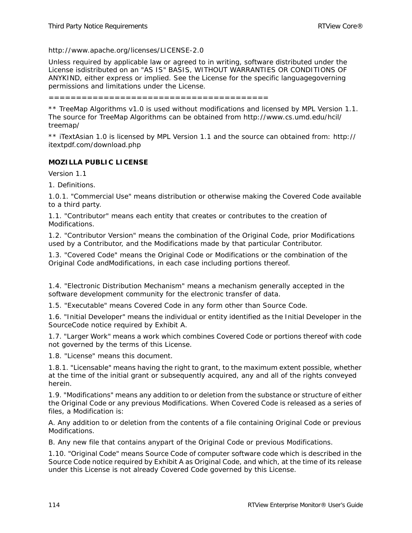http://www.apache.org/licenses/LICENSE-2.0

Unless required by applicable law or agreed to in writing, software distributed under the License isdistributed on an "AS IS" BASIS, WITHOUT WARRANTIES OR CONDITIONS OF ANYKIND, either express or implied. See the License for the specific languagegoverning permissions and limitations under the License.

========================================

\*\* TreeMap Algorithms v1.0 is used without modifications and licensed by MPL Version 1.1. The source for TreeMap Algorithms can be obtained from http://www.cs.umd.edu/hcil/ treemap/

\*\* iTextAsian 1.0 is licensed by MPL Version 1.1 and the source can obtained from: http:// itextpdf.com/download.php

#### **MOZILLA PUBLIC LICENSE**

Version 1.1

1. Definitions.

1.0.1. "Commercial Use" means distribution or otherwise making the Covered Code available to a third party.

1.1. "Contributor" means each entity that creates or contributes to the creation of Modifications.

1.2. "Contributor Version" means the combination of the Original Code, prior Modifications used by a Contributor, and the Modifications made by that particular Contributor.

1.3. "Covered Code" means the Original Code or Modifications or the combination of the Original Code andModifications, in each case including portions thereof.

1.4. "Electronic Distribution Mechanism" means a mechanism generally accepted in the software development community for the electronic transfer of data.

1.5. "Executable" means Covered Code in any form other than Source Code.

1.6. "Initial Developer" means the individual or entity identified as the Initial Developer in the SourceCode notice required by Exhibit A.

1.7. "Larger Work" means a work which combines Covered Code or portions thereof with code not governed by the terms of this License.

1.8. "License" means this document.

1.8.1. "Licensable" means having the right to grant, to the maximum extent possible, whether at the time of the initial grant or subsequently acquired, any and all of the rights conveyed herein.

1.9. "Modifications" means any addition to or deletion from the substance or structure of either the Original Code or any previous Modifications. When Covered Code is released as a series of files, a Modification is:

A. Any addition to or deletion from the contents of a file containing Original Code or previous Modifications.

B. Any new file that contains anypart of the Original Code or previous Modifications.

1.10. "Original Code" means Source Code of computer software code which is described in the Source Code notice required by Exhibit A as Original Code, and which, at the time of its release under this License is not already Covered Code governed by this License.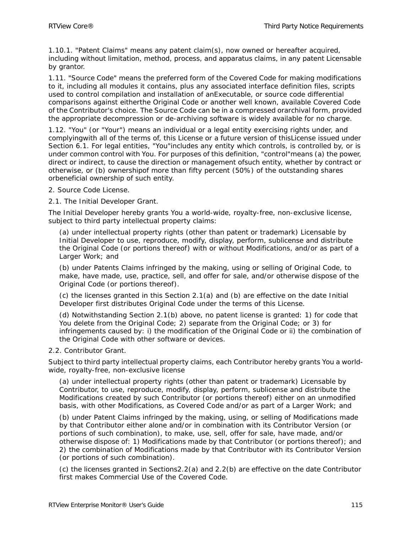1.10.1. "Patent Claims" means any patent claim(s), now owned or hereafter acquired, including without limitation, method, process, and apparatus claims, in any patent Licensable by grantor.

1.11. "Source Code" means the preferred form of the Covered Code for making modifications to it, including all modules it contains, plus any associated interface definition files, scripts used to control compilation and installation of anExecutable, or source code differential comparisons against eitherthe Original Code or another well known, available Covered Code of the Contributor's choice. The Source Code can be in a compressed orarchival form, provided the appropriate decompression or de-archiving software is widely available for no charge.

1.12. "You" (or "Your") means an individual or a legal entity exercising rights under, and complyingwith all of the terms of, this License or a future version of thisLicense issued under Section 6.1. For legal entities, "You"includes any entity which controls, is controlled by, or is under common control with You. For purposes of this definition, "control"means (a) the power, direct or indirect, to cause the direction or management ofsuch entity, whether by contract or otherwise, or (b) ownershipof more than fifty percent (50%) of the outstanding shares orbeneficial ownership of such entity.

- 2. Source Code License.
- 2.1. The Initial Developer Grant.

The Initial Developer hereby grants You a world-wide, royalty-free, non-exclusive license, subject to third party intellectual property claims:

(a) under intellectual property rights (other than patent or trademark) Licensable by Initial Developer to use, reproduce, modify, display, perform, sublicense and distribute the Original Code (or portions thereof) with or without Modifications, and/or as part of a Larger Work; and

(b) under Patents Claims infringed by the making, using or selling of Original Code, to make, have made, use, practice, sell, and offer for sale, and/or otherwise dispose of the Original Code (or portions thereof).

(c) the licenses granted in this Section 2.1(a) and (b) are effective on the date Initial Developer first distributes Original Code under the terms of this License.

(d) Notwithstanding Section 2.1(b) above, no patent license is granted: 1) for code that You delete from the Original Code: 2) separate from the Original Code: or 3) for infringements caused by: i) the modification of the Original Code or ii) the combination of the Original Code with other software or devices.

2.2. Contributor Grant.

Subject to third party intellectual property claims, each Contributor hereby grants You a worldwide, royalty-free, non-exclusive license

(a) under intellectual property rights (other than patent or trademark) Licensable by Contributor, to use, reproduce, modify, display, perform, sublicense and distribute the Modifications created by such Contributor (or portions thereof) either on an unmodified basis, with other Modifications, as Covered Code and/or as part of a Larger Work; and

(b) under Patent Claims infringed by the making, using, or selling of Modifications made by that Contributor either alone and/or in combination with its Contributor Version (or portions of such combination), to make, use, sell, offer for sale, have made, and/or otherwise dispose of: 1) Modifications made by that Contributor (or portions thereof); and 2) the combination of Modifications made by that Contributor with its Contributor Version (or portions of such combination).

(c) the licenses granted in Sections2.2(a) and 2.2(b) are effective on the date Contributor first makes Commercial Use of the Covered Code.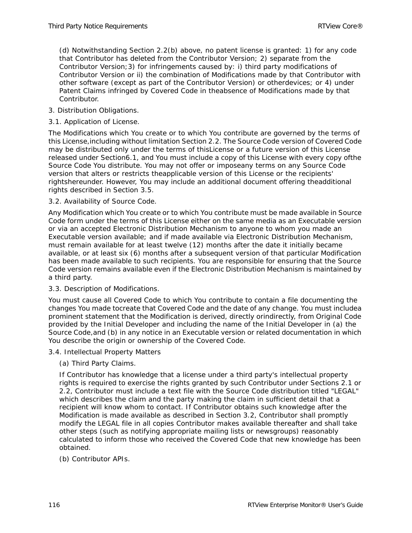(d) Notwithstanding Section 2.2(b) above, no patent license is granted: 1) for any code that Contributor has deleted from the Contributor Version; 2) separate from the Contributor Version;3) for infringements caused by: i) third party modifications of Contributor Version or ii) the combination of Modifications made by that Contributor with other software (except as part of the Contributor Version) or otherdevices; or 4) under Patent Claims infringed by Covered Code in theabsence of Modifications made by that Contributor.

# 3. Distribution Obligations.

## 3.1. Application of License.

The Modifications which You create or to which You contribute are governed by the terms of this License,including without limitation Section 2.2. The Source Code version of Covered Code may be distributed only under the terms of thisLicense or a future version of this License released under Section6.1, and You must include a copy of this License with every copy ofthe Source Code You distribute. You may not offer or imposeany terms on any Source Code version that alters or restricts theapplicable version of this License or the recipients' rightshereunder. However, You may include an additional document offering theadditional rights described in Section 3.5.

#### 3.2. Availability of Source Code.

Any Modification which You create or to which You contribute must be made available in Source Code form under the terms of this License either on the same media as an Executable version or via an accepted Electronic Distribution Mechanism to anyone to whom you made an Executable version available; and if made available via Electronic Distribution Mechanism, must remain available for at least twelve (12) months after the date it initially became available, or at least six (6) months after a subsequent version of that particular Modification has been made available to such recipients. You are responsible for ensuring that the Source Code version remains available even if the Electronic Distribution Mechanism is maintained by a third party.

#### 3.3. Description of Modifications.

You must cause all Covered Code to which You contribute to contain a file documenting the changes You made tocreate that Covered Code and the date of any change. You must includea prominent statement that the Modification is derived, directly orindirectly, from Original Code provided by the Initial Developer and including the name of the Initial Developer in (a) the Source Code,and (b) in any notice in an Executable version or related documentation in which You describe the origin or ownership of the Covered Code.

- 3.4. Intellectual Property Matters
	- (a) Third Party Claims.

If Contributor has knowledge that a license under a third party's intellectual property rights is required to exercise the rights granted by such Contributor under Sections 2.1 or 2.2, Contributor must include a text file with the Source Code distribution titled "LEGAL" which describes the claim and the party making the claim in sufficient detail that a recipient will know whom to contact. If Contributor obtains such knowledge after the Modification is made available as described in Section 3.2, Contributor shall promptly modify the LEGAL file in all copies Contributor makes available thereafter and shall take other steps (such as notifying appropriate mailing lists or newsgroups) reasonably calculated to inform those who received the Covered Code that new knowledge has been obtained.

#### (b) Contributor APIs.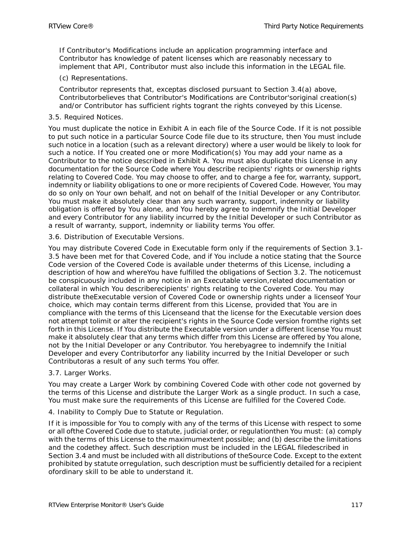If Contributor's Modifications include an application programming interface and Contributor has knowledge of patent licenses which are reasonably necessary to implement that API, Contributor must also include this information in the LEGAL file.

#### (c) Representations.

Contributor represents that, exceptas disclosed pursuant to Section 3.4(a) above, Contributorbelieves that Contributor's Modifications are Contributor'soriginal creation(s) and/or Contributor has sufficient rights togrant the rights conveyed by this License.

#### 3.5. Required Notices.

You must duplicate the notice in Exhibit A in each file of the Source Code. If it is not possible to put such notice in a particular Source Code file due to its structure, then You must include such notice in a location (such as a relevant directory) where a user would be likely to look for such a notice. If You created one or more Modification(s) You may add your name as a Contributor to the notice described in Exhibit A. You must also duplicate this License in any documentation for the Source Code where You describe recipients' rights or ownership rights relating to Covered Code. You may choose to offer, and to charge a fee for, warranty, support, indemnity or liability obligations to one or more recipients of Covered Code. However, You may do so only on Your own behalf, and not on behalf of the Initial Developer or any Contributor. You must make it absolutely clear than any such warranty, support, indemnity or liability obligation is offered by You alone, and You hereby agree to indemnify the Initial Developer and every Contributor for any liability incurred by the Initial Developer or such Contributor as a result of warranty, support, indemnity or liability terms You offer.

#### 3.6. Distribution of Executable Versions.

You may distribute Covered Code in Executable form only if the requirements of Section 3.1- 3.5 have been met for that Covered Code, and if You include a notice stating that the Source Code version of the Covered Code is available under theterms of this License, including a description of how and whereYou have fulfilled the obligations of Section 3.2. The noticemust be conspicuously included in any notice in an Executable version,related documentation or collateral in which You describerecipients' rights relating to the Covered Code. You may distribute theExecutable version of Covered Code or ownership rights under a licenseof Your choice, which may contain terms different from this License, provided that You are in compliance with the terms of this Licenseand that the license for the Executable version does not attempt tolimit or alter the recipient's rights in the Source Code version fromthe rights set forth in this License. If You distribute the Executable version under a different license You must make it absolutely clear that any terms which differ from this License are offered by You alone, not by the Initial Developer or any Contributor. You herebyagree to indemnify the Initial Developer and every Contributorfor any liability incurred by the Initial Developer or such Contributoras a result of any such terms You offer.

#### 3.7. Larger Works.

You may create a Larger Work by combining Covered Code with other code not governed by the terms of this License and distribute the Larger Work as a single product. In such a case, You must make sure the requirements of this License are fulfilled for the Covered Code.

#### 4. Inability to Comply Due to Statute or Regulation.

If it is impossible for You to comply with any of the terms of this License with respect to some or all ofthe Covered Code due to statute, judicial order, or regulationthen You must: (a) comply with the terms of this License to the maximumextent possible; and (b) describe the limitations and the codethey affect. Such description must be included in the LEGAL filedescribed in Section 3.4 and must be included with all distributions of theSource Code. Except to the extent prohibited by statute orregulation, such description must be sufficiently detailed for a recipient ofordinary skill to be able to understand it.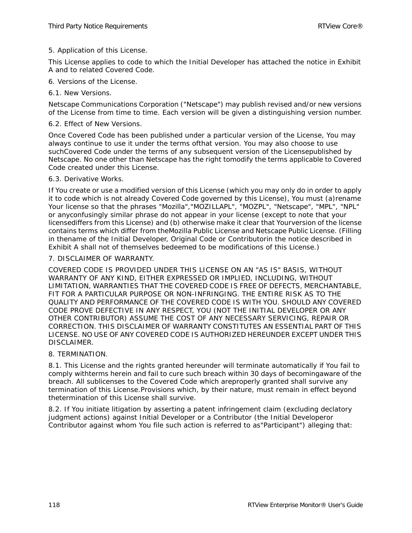#### 5. Application of this License.

This License applies to code to which the Initial Developer has attached the notice in Exhibit A and to related Covered Code.

- 6. Versions of the License.
- 6.1. New Versions.

Netscape Communications Corporation ("Netscape") may publish revised and/or new versions of the License from time to time. Each version will be given a distinguishing version number.

#### 6.2. Effect of New Versions.

Once Covered Code has been published under a particular version of the License, You may always continue to use it under the terms ofthat version. You may also choose to use suchCovered Code under the terms of any subsequent version of the Licensepublished by Netscape. No one other than Netscape has the right tomodify the terms applicable to Covered Code created under this License.

#### 6.3. Derivative Works.

If You create or use a modified version of this License (which you may only do in order to apply it to code which is not already Covered Code governed by this License), You must (a)rename Your license so that the phrases "Mozilla","MOZILLAPL", "MOZPL", "Netscape", "MPL", "NPL" or anyconfusingly similar phrase do not appear in your license (except to note that your licensediffers from this License) and (b) otherwise make it clear that Yourversion of the license contains terms which differ from theMozilla Public License and Netscape Public License. (Filling in thename of the Initial Developer, Original Code or Contributorin the notice described in Exhibit A shall not of themselves bedeemed to be modifications of this License.)

#### 7. DISCLAIMER OF WARRANTY.

COVERED CODE IS PROVIDED UNDER THIS LICENSE ON AN "AS IS" BASIS, WITHOUT WARRANTY OF ANY KIND, EITHER EXPRESSED OR IMPLIED, INCLUDING, WITHOUT LIMITATION, WARRANTIES THAT THE COVERED CODE IS FREE OF DEFECTS, MERCHANTABLE, FIT FOR A PARTICULAR PURPOSE OR NON-INFRINGING. THE ENTIRE RISK AS TO THE QUALITY AND PERFORMANCE OF THE COVERED CODE IS WITH YOU. SHOULD ANY COVERED CODE PROVE DEFECTIVE IN ANY RESPECT, YOU (NOT THE INITIAL DEVELOPER OR ANY OTHER CONTRIBUTOR) ASSUME THE COST OF ANY NECESSARY SERVICING, REPAIR OR CORRECTION. THIS DISCLAIMER OF WARRANTY CONSTITUTES AN ESSENTIAL PART OF THIS LICENSE. NO USE OF ANY COVERED CODE IS AUTHORIZED HEREUNDER EXCEPT UNDER THIS DISCLAIMER.

#### 8. TERMINATION.

8.1. This License and the rights granted hereunder will terminate automatically if You fail to comply withterms herein and fail to cure such breach within 30 days of becomingaware of the breach. All sublicenses to the Covered Code which areproperly granted shall survive any termination of this License.Provisions which, by their nature, must remain in effect beyond thetermination of this License shall survive.

8.2. If You initiate litigation by asserting a patent infringement claim (excluding declatory judgment actions) against Initial Developer or a Contributor (the Initial Developeror Contributor against whom You file such action is referred to as"Participant") alleging that: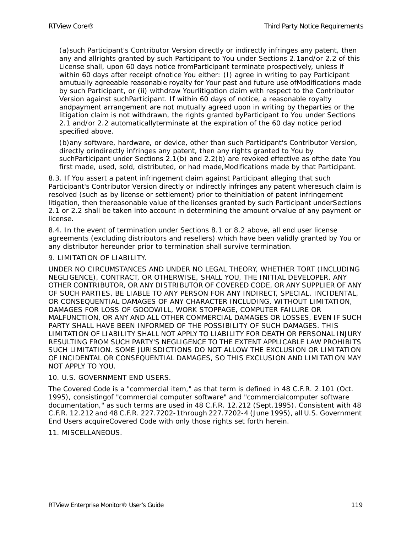(a)such Participant's Contributor Version directly or indirectly infringes any patent, then any and allrights granted by such Participant to You under Sections 2.1and/or 2.2 of this License shall, upon 60 days notice fromParticipant terminate prospectively, unless if within 60 days after receipt ofnotice You either: (I) agree in writing to pay Participant amutually agreeable reasonable royalty for Your past and future use ofModifications made by such Participant, or (ii) withdraw Yourlitigation claim with respect to the Contributor Version against suchParticipant. If within 60 days of notice, a reasonable royalty andpayment arrangement are not mutually agreed upon in writing by theparties or the litigation claim is not withdrawn, the rights granted byParticipant to You under Sections 2.1 and/or 2.2 automaticallyterminate at the expiration of the 60 day notice period specified above.

(b)any software, hardware, or device, other than such Participant's Contributor Version, directly orindirectly infringes any patent, then any rights granted to You by suchParticipant under Sections 2.1(b) and 2.2(b) are revoked effective as ofthe date You first made, used, sold, distributed, or had made,Modifications made by that Participant.

8.3. If You assert a patent infringement claim against Participant alleging that such Participant's Contributor Version directly or indirectly infringes any patent wheresuch claim is resolved (such as by license or settlement) prior to theinitiation of patent infringement litigation, then thereasonable value of the licenses granted by such Participant underSections 2.1 or 2.2 shall be taken into account in determining the amount orvalue of any payment or license.

8.4. In the event of termination under Sections 8.1 or 8.2 above, all end user license agreements (excluding distributors and resellers) which have been validly granted by You or any distributor hereunder prior to termination shall survive termination.

#### 9. LIMITATION OF LIABILITY.

UNDER NO CIRCUMSTANCES AND UNDER NO LEGAL THEORY, WHETHER TORT (INCLUDING NEGLIGENCE), CONTRACT, OR OTHERWISE, SHALL YOU, THE INITIAL DEVELOPER, ANY OTHER CONTRIBUTOR, OR ANY DISTRIBUTOR OF COVERED CODE, OR ANY SUPPLIER OF ANY OF SUCH PARTIES, BE LIABLE TO ANY PERSON FOR ANY INDIRECT, SPECIAL, INCIDENTAL, OR CONSEQUENTIAL DAMAGES OF ANY CHARACTER INCLUDING, WITHOUT LIMITATION, DAMAGES FOR LOSS OF GOODWILL, WORK STOPPAGE, COMPUTER FAILURE OR MALFUNCTION, OR ANY AND ALL OTHER COMMERCIAL DAMAGES OR LOSSES, EVEN IF SUCH PARTY SHALL HAVE BEEN INFORMED OF THE POSSIBILITY OF SUCH DAMAGES. THIS LIMITATION OF LIABILITY SHALL NOT APPLY TO LIABILITY FOR DEATH OR PERSONAL INJURY RESULTING FROM SUCH PARTY'S NEGLIGENCE TO THE EXTENT APPLICABLE LAW PROHIBITS SUCH LIMITATION. SOME JURISDICTIONS DO NOT ALLOW THE EXCLUSION OR LIMITATION OF INCIDENTAL OR CONSEQUENTIAL DAMAGES, SO THIS EXCLUSION AND LIMITATION MAY NOT APPLY TO YOU.

#### 10. U.S. GOVERNMENT END USERS.

The Covered Code is a "commercial item," as that term is defined in 48 C.F.R. 2.101 (Oct. 1995), consistingof "commercial computer software" and "commercialcomputer software documentation," as such terms are used in 48 C.F.R. 12.212 (Sept.1995). Consistent with 48 C.F.R. 12.212 and 48 C.F.R. 227.7202-1through 227.7202-4 (June 1995), all U.S. Government End Users acquireCovered Code with only those rights set forth herein.

#### 11. MISCELLANEOUS.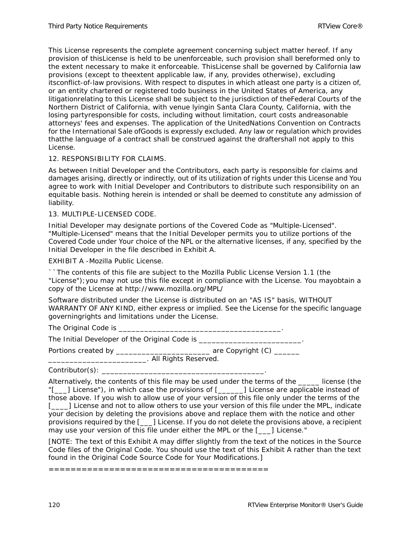This License represents the complete agreement concerning subject matter hereof. If any provision of thisLicense is held to be unenforceable, such provision shall bereformed only to the extent necessary to make it enforceable. ThisLicense shall be governed by California law provisions (except to theextent applicable law, if any, provides otherwise), excluding itsconflict-of-law provisions. With respect to disputes in which atleast one party is a citizen of, or an entity chartered or registered todo business in the United States of America, any litigationrelating to this License shall be subject to the jurisdiction of theFederal Courts of the Northern District of California, with venue lyingin Santa Clara County, California, with the losing partyresponsible for costs, including without limitation, court costs andreasonable attorneys' fees and expenses. The application of the UnitedNations Convention on Contracts for the International Sale ofGoods is expressly excluded. Any law or regulation which provides thatthe language of a contract shall be construed against the draftershall not apply to this License.

#### 12. RESPONSIBILITY FOR CLAIMS.

As between Initial Developer and the Contributors, each party is responsible for claims and damages arising, directly or indirectly, out of its utilization of rights under this License and You agree to work with Initial Developer and Contributors to distribute such responsibility on an equitable basis. Nothing herein is intended or shall be deemed to constitute any admission of liability.

13. MULTIPLE-LICENSED CODE.

Initial Developer may designate portions of the Covered Code as "Multiple-Licensed". "Multiple-Licensed" means that the Initial Developer permits you to utilize portions of the Covered Code under Your choice of the NPL or the alternative licenses, if any, specified by the Initial Developer in the file described in Exhibit A.

EXHIBIT A -Mozilla Public License.

``The contents of this file are subject to the Mozilla Public License Version 1.1 (the "License");you may not use this file except in compliance with the License. You mayobtain a copy of the License at http://www.mozilla.org/MPL/

Software distributed under the License is distributed on an "AS IS" basis, WITHOUT WARRANTY OF ANY KIND, either express or implied. See the License for the specific language governingrights and limitations under the License.

The Original Code is \_\_\_\_\_\_\_\_\_\_\_\_\_\_\_\_\_\_\_\_\_\_\_\_\_\_\_\_\_\_\_\_\_\_\_\_\_\_.

The Initial Developer of the Original Code is \_\_\_\_\_\_\_\_\_\_\_\_\_\_\_\_\_\_\_\_\_\_\_\_\_\_\_\_\_\_\_\_\_\_

Portions created by \_\_\_\_\_\_\_\_\_\_\_\_\_\_\_\_\_\_\_\_\_\_\_\_\_\_\_\_\_\_\_ are Copyright (C) \_\_\_\_\_\_\_\_

\_\_\_\_\_\_\_\_\_\_\_\_\_\_\_\_\_\_\_\_\_\_\_. All Rights Reserved.

 $Controller(s):$ 

Alternatively, the contents of this file may be used under the terms of the same license (the "[\_\_\_] License"), in which case the provisions of [\_\_\_\_\_\_\_\_] License are applicable instead of those above. If you wish to allow use of your version of this file only under the terms of the [\_\_\_\_] License and not to allow others to use your version of this file under the MPL, indicate your decision by deleting the provisions above and replace them with the notice and other provisions required by the [\_\_\_] License. If you do not delete the provisions above, a recipient may use your version of this file under either the MPL or the [\_\_\_] License."

[NOTE: The text of this Exhibit A may differ slightly from the text of the notices in the Source Code files of the Original Code. You should use the text of this Exhibit A rather than the text found in the Original Code Source Code for Your Modifications.]

========================================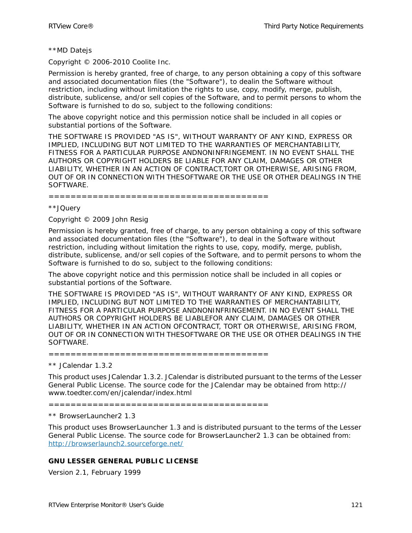#### \*\*MD Datejs

Copyright © 2006-2010 Coolite Inc.

Permission is hereby granted, free of charge, to any person obtaining a copy of this software and associated documentation files (the "Software"), to dealin the Software without restriction, including without limitation the rights to use, copy, modify, merge, publish, distribute, sublicense, and/or sell copies of the Software, and to permit persons to whom the Software is furnished to do so, subject to the following conditions:

The above copyright notice and this permission notice shall be included in all copies or substantial portions of the Software.

THE SOFTWARE IS PROVIDED "AS IS", WITHOUT WARRANTY OF ANY KIND, EXPRESS OR IMPLIED, INCLUDING BUT NOT LIMITED TO THE WARRANTIES OF MERCHANTABILITY, FITNESS FOR A PARTICULAR PURPOSE ANDNONINFRINGEMENT. IN NO EVENT SHALL THE AUTHORS OR COPYRIGHT HOLDERS BE LIABLE FOR ANY CLAIM, DAMAGES OR OTHER LIABILITY, WHETHER IN AN ACTION OF CONTRACT,TORT OR OTHERWISE, ARISING FROM, OUT OF OR IN CONNECTION WITH THESOFTWARE OR THE USE OR OTHER DEALINGS IN THE SOFTWARE.

#### ========================================

#### \*\*JQuery

Copyright © 2009 John Resig

Permission is hereby granted, free of charge, to any person obtaining a copy of this software and associated documentation files (the "Software"), to deal in the Software without restriction, including without limitation the rights to use, copy, modify, merge, publish, distribute, sublicense, and/or sell copies of the Software, and to permit persons to whom the Software is furnished to do so, subject to the following conditions:

The above copyright notice and this permission notice shall be included in all copies or substantial portions of the Software.

THE SOFTWARE IS PROVIDED "AS IS", WITHOUT WARRANTY OF ANY KIND, EXPRESS OR IMPLIED, INCLUDING BUT NOT LIMITED TO THE WARRANTIES OF MERCHANTABILITY, FITNESS FOR A PARTICULAR PURPOSE ANDNONINFRINGEMENT. IN NO EVENT SHALL THE AUTHORS OR COPYRIGHT HOLDERS BE LIABLEFOR ANY CLAIM, DAMAGES OR OTHER LIABILITY, WHETHER IN AN ACTION OFCONTRACT, TORT OR OTHERWISE, ARISING FROM, OUT OF OR IN CONNECTION WITH THESOFTWARE OR THE USE OR OTHER DEALINGS IN THE SOFTWARE.

========================================

\*\* JCalendar 1.3.2

This product uses JCalendar 1.3.2. JCalendar is distributed pursuant to the terms of the Lesser General Public License. The source code for the JCalendar may be obtained from http:// www.toedter.com/en/jcalendar/index.html

========================================

\*\* BrowserLauncher2 1.3

This product uses BrowserLauncher 1.3 and is distributed pursuant to the terms of the Lesser General Public License. The source code for BrowserLauncher2 1.3 can be obtained from: <http://browserlaunch2.sourceforge.net/>

#### **GNU LESSER GENERAL PUBLIC LICENSE**

Version 2.1, February 1999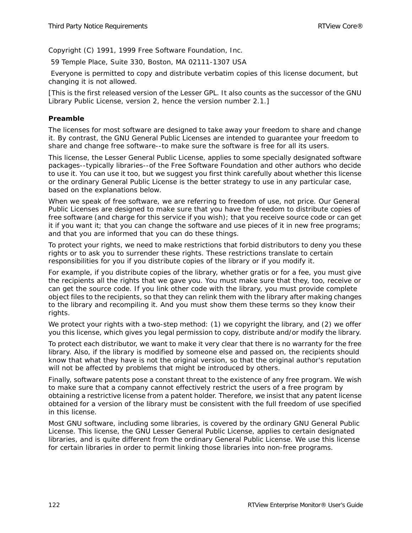Copyright (C) 1991, 1999 Free Software Foundation, Inc.

59 Temple Place, Suite 330, Boston, MA 02111-1307 USA

 Everyone is permitted to copy and distribute verbatim copies of this license document, but changing it is not allowed.

[This is the first released version of the Lesser GPL. It also counts as the successor of the GNU Library Public License, version 2, hence the version number 2.1.]

## **Preamble**

The licenses for most software are designed to take away your freedom to share and change it. By contrast, the GNU General Public Licenses are intended to guarantee your freedom to share and change free software--to make sure the software is free for all its users.

This license, the Lesser General Public License, applies to some specially designated software packages--typically libraries--of the Free Software Foundation and other authors who decide to use it. You can use it too, but we suggest you first think carefully about whether this license or the ordinary General Public License is the better strategy to use in any particular case, based on the explanations below.

When we speak of free software, we are referring to freedom of use, not price. Our General Public Licenses are designed to make sure that you have the freedom to distribute copies of free software (and charge for this service if you wish); that you receive source code or can get it if you want it; that you can change the software and use pieces of it in new free programs; and that you are informed that you can do these things.

To protect your rights, we need to make restrictions that forbid distributors to deny you these rights or to ask you to surrender these rights. These restrictions translate to certain responsibilities for you if you distribute copies of the library or if you modify it.

For example, if you distribute copies of the library, whether gratis or for a fee, you must give the recipients all the rights that we gave you. You must make sure that they, too, receive or can get the source code. If you link other code with the library, you must provide complete object files to the recipients, so that they can relink them with the library after making changes to the library and recompiling it. And you must show them these terms so they know their rights.

We protect your rights with a two-step method: (1) we copyright the library, and (2) we offer you this license, which gives you legal permission to copy, distribute and/or modify the library.

To protect each distributor, we want to make it very clear that there is no warranty for the free library. Also, if the library is modified by someone else and passed on, the recipients should know that what they have is not the original version, so that the original author's reputation will not be affected by problems that might be introduced by others.

Finally, software patents pose a constant threat to the existence of any free program. We wish to make sure that a company cannot effectively restrict the users of a free program by obtaining a restrictive license from a patent holder. Therefore, we insist that any patent license obtained for a version of the library must be consistent with the full freedom of use specified in this license.

Most GNU software, including some libraries, is covered by the ordinary GNU General Public License. This license, the GNU Lesser General Public License, applies to certain designated libraries, and is quite different from the ordinary General Public License. We use this license for certain libraries in order to permit linking those libraries into non-free programs.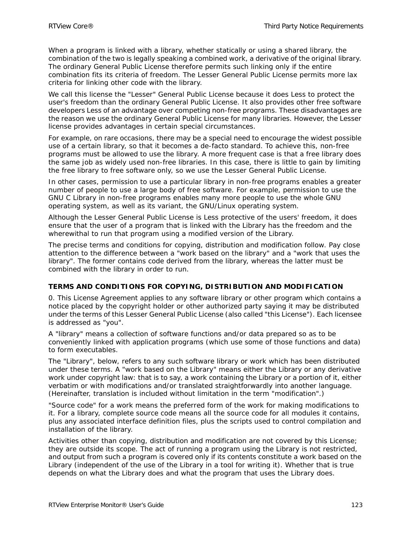When a program is linked with a library, whether statically or using a shared library, the combination of the two is legally speaking a combined work, a derivative of the original library. The ordinary General Public License therefore permits such linking only if the entire combination fits its criteria of freedom. The Lesser General Public License permits more lax criteria for linking other code with the library.

We call this license the "Lesser" General Public License because it does Less to protect the user's freedom than the ordinary General Public License. It also provides other free software developers Less of an advantage over competing non-free programs. These disadvantages are the reason we use the ordinary General Public License for many libraries. However, the Lesser license provides advantages in certain special circumstances.

For example, on rare occasions, there may be a special need to encourage the widest possible use of a certain library, so that it becomes a de-facto standard. To achieve this, non-free programs must be allowed to use the library. A more frequent case is that a free library does the same job as widely used non-free libraries. In this case, there is little to gain by limiting the free library to free software only, so we use the Lesser General Public License.

In other cases, permission to use a particular library in non-free programs enables a greater number of people to use a large body of free software. For example, permission to use the GNU C Library in non-free programs enables many more people to use the whole GNU operating system, as well as its variant, the GNU/Linux operating system.

Although the Lesser General Public License is Less protective of the users' freedom, it does ensure that the user of a program that is linked with the Library has the freedom and the wherewithal to run that program using a modified version of the Library.

The precise terms and conditions for copying, distribution and modification follow. Pay close attention to the difference between a "work based on the library" and a "work that uses the library". The former contains code derived from the library, whereas the latter must be combined with the library in order to run.

# **TERMS AND CONDITIONS FOR COPYING, DISTRIBUTION AND MODIFICATION**

0. This License Agreement applies to any software library or other program which contains a notice placed by the copyright holder or other authorized party saying it may be distributed under the terms of this Lesser General Public License (also called "this License"). Each licensee is addressed as "you".

A "library" means a collection of software functions and/or data prepared so as to be conveniently linked with application programs (which use some of those functions and data) to form executables.

The "Library", below, refers to any such software library or work which has been distributed under these terms. A "work based on the Library" means either the Library or any derivative work under copyright law: that is to say, a work containing the Library or a portion of it, either verbatim or with modifications and/or translated straightforwardly into another language. (Hereinafter, translation is included without limitation in the term "modification".)

"Source code" for a work means the preferred form of the work for making modifications to it. For a library, complete source code means all the source code for all modules it contains, plus any associated interface definition files, plus the scripts used to control compilation and installation of the library.

Activities other than copying, distribution and modification are not covered by this License; they are outside its scope. The act of running a program using the Library is not restricted, and output from such a program is covered only if its contents constitute a work based on the Library (independent of the use of the Library in a tool for writing it). Whether that is true depends on what the Library does and what the program that uses the Library does.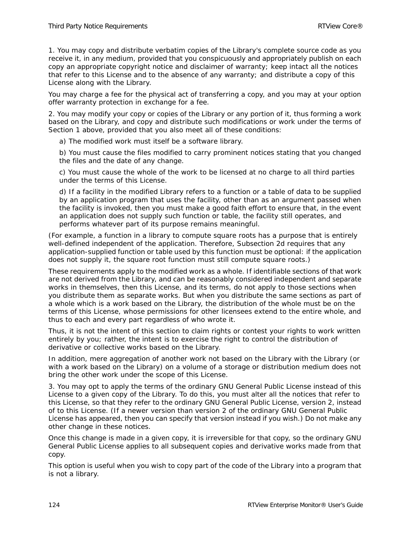1. You may copy and distribute verbatim copies of the Library's complete source code as you receive it, in any medium, provided that you conspicuously and appropriately publish on each copy an appropriate copyright notice and disclaimer of warranty; keep intact all the notices that refer to this License and to the absence of any warranty; and distribute a copy of this License along with the Library.

You may charge a fee for the physical act of transferring a copy, and you may at your option offer warranty protection in exchange for a fee.

2. You may modify your copy or copies of the Library or any portion of it, thus forming a work based on the Library, and copy and distribute such modifications or work under the terms of Section 1 above, provided that you also meet all of these conditions:

a) The modified work must itself be a software library.

b) You must cause the files modified to carry prominent notices stating that you changed the files and the date of any change.

c) You must cause the whole of the work to be licensed at no charge to all third parties under the terms of this License.

d) If a facility in the modified Library refers to a function or a table of data to be supplied by an application program that uses the facility, other than as an argument passed when the facility is invoked, then you must make a good faith effort to ensure that, in the event an application does not supply such function or table, the facility still operates, and performs whatever part of its purpose remains meaningful.

(For example, a function in a library to compute square roots has a purpose that is entirely well-defined independent of the application. Therefore, Subsection 2d requires that any application-supplied function or table used by this function must be optional: if the application does not supply it, the square root function must still compute square roots.)

These requirements apply to the modified work as a whole. If identifiable sections of that work are not derived from the Library, and can be reasonably considered independent and separate works in themselves, then this License, and its terms, do not apply to those sections when you distribute them as separate works. But when you distribute the same sections as part of a whole which is a work based on the Library, the distribution of the whole must be on the terms of this License, whose permissions for other licensees extend to the entire whole, and thus to each and every part regardless of who wrote it.

Thus, it is not the intent of this section to claim rights or contest your rights to work written entirely by you; rather, the intent is to exercise the right to control the distribution of derivative or collective works based on the Library.

In addition, mere aggregation of another work not based on the Library with the Library (or with a work based on the Library) on a volume of a storage or distribution medium does not bring the other work under the scope of this License.

3. You may opt to apply the terms of the ordinary GNU General Public License instead of this License to a given copy of the Library. To do this, you must alter all the notices that refer to this License, so that they refer to the ordinary GNU General Public License, version 2, instead of to this License. (If a newer version than version 2 of the ordinary GNU General Public License has appeared, then you can specify that version instead if you wish.) Do not make any other change in these notices.

Once this change is made in a given copy, it is irreversible for that copy, so the ordinary GNU General Public License applies to all subsequent copies and derivative works made from that copy.

This option is useful when you wish to copy part of the code of the Library into a program that is not a library.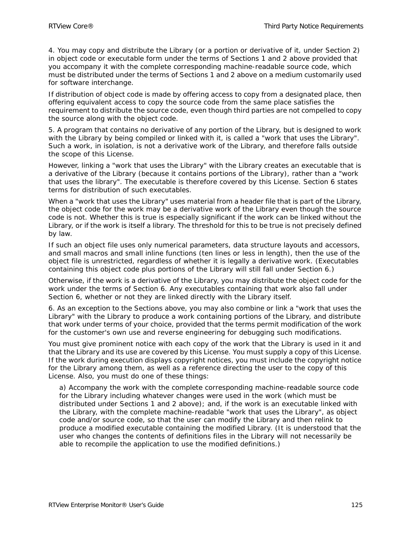4. You may copy and distribute the Library (or a portion or derivative of it, under Section 2) in object code or executable form under the terms of Sections 1 and 2 above provided that you accompany it with the complete corresponding machine-readable source code, which must be distributed under the terms of Sections 1 and 2 above on a medium customarily used for software interchange.

If distribution of object code is made by offering access to copy from a designated place, then offering equivalent access to copy the source code from the same place satisfies the requirement to distribute the source code, even though third parties are not compelled to copy the source along with the object code.

5. A program that contains no derivative of any portion of the Library, but is designed to work with the Library by being compiled or linked with it, is called a "work that uses the Library". Such a work, in isolation, is not a derivative work of the Library, and therefore falls outside the scope of this License.

However, linking a "work that uses the Library" with the Library creates an executable that is a derivative of the Library (because it contains portions of the Library), rather than a "work that uses the library". The executable is therefore covered by this License. Section 6 states terms for distribution of such executables.

When a "work that uses the Library" uses material from a header file that is part of the Library, the object code for the work may be a derivative work of the Library even though the source code is not. Whether this is true is especially significant if the work can be linked without the Library, or if the work is itself a library. The threshold for this to be true is not precisely defined by law.

If such an object file uses only numerical parameters, data structure layouts and accessors, and small macros and small inline functions (ten lines or less in length), then the use of the object file is unrestricted, regardless of whether it is legally a derivative work. (Executables containing this object code plus portions of the Library will still fall under Section 6.)

Otherwise, if the work is a derivative of the Library, you may distribute the object code for the work under the terms of Section 6. Any executables containing that work also fall under Section 6, whether or not they are linked directly with the Library itself.

6. As an exception to the Sections above, you may also combine or link a "work that uses the Library" with the Library to produce a work containing portions of the Library, and distribute that work under terms of your choice, provided that the terms permit modification of the work for the customer's own use and reverse engineering for debugging such modifications.

You must give prominent notice with each copy of the work that the Library is used in it and that the Library and its use are covered by this License. You must supply a copy of this License. If the work during execution displays copyright notices, you must include the copyright notice for the Library among them, as well as a reference directing the user to the copy of this License. Also, you must do one of these things:

a) Accompany the work with the complete corresponding machine-readable source code for the Library including whatever changes were used in the work (which must be distributed under Sections 1 and 2 above); and, if the work is an executable linked with the Library, with the complete machine-readable "work that uses the Library", as object code and/or source code, so that the user can modify the Library and then relink to produce a modified executable containing the modified Library. (It is understood that the user who changes the contents of definitions files in the Library will not necessarily be able to recompile the application to use the modified definitions.)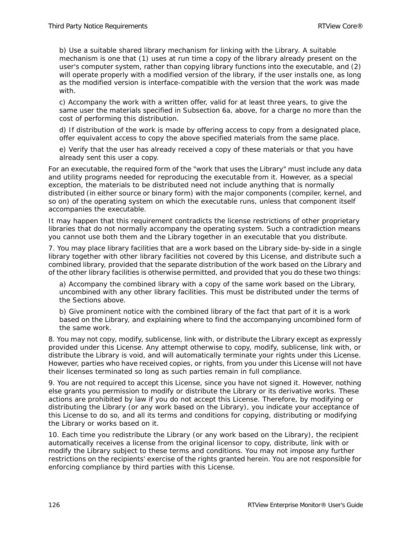b) Use a suitable shared library mechanism for linking with the Library. A suitable mechanism is one that (1) uses at run time a copy of the library already present on the user's computer system, rather than copying library functions into the executable, and (2) will operate properly with a modified version of the library, if the user installs one, as long as the modified version is interface-compatible with the version that the work was made with.

c) Accompany the work with a written offer, valid for at least three years, to give the same user the materials specified in Subsection 6a, above, for a charge no more than the cost of performing this distribution.

d) If distribution of the work is made by offering access to copy from a designated place, offer equivalent access to copy the above specified materials from the same place.

e) Verify that the user has already received a copy of these materials or that you have already sent this user a copy.

For an executable, the required form of the "work that uses the Library" must include any data and utility programs needed for reproducing the executable from it. However, as a special exception, the materials to be distributed need not include anything that is normally distributed (in either source or binary form) with the major components (compiler, kernel, and so on) of the operating system on which the executable runs, unless that component itself accompanies the executable.

It may happen that this requirement contradicts the license restrictions of other proprietary libraries that do not normally accompany the operating system. Such a contradiction means you cannot use both them and the Library together in an executable that you distribute.

7. You may place library facilities that are a work based on the Library side-by-side in a single library together with other library facilities not covered by this License, and distribute such a combined library, provided that the separate distribution of the work based on the Library and of the other library facilities is otherwise permitted, and provided that you do these two things:

a) Accompany the combined library with a copy of the same work based on the Library, uncombined with any other library facilities. This must be distributed under the terms of the Sections above.

b) Give prominent notice with the combined library of the fact that part of it is a work based on the Library, and explaining where to find the accompanying uncombined form of the same work.

8. You may not copy, modify, sublicense, link with, or distribute the Library except as expressly provided under this License. Any attempt otherwise to copy, modify, sublicense, link with, or distribute the Library is void, and will automatically terminate your rights under this License. However, parties who have received copies, or rights, from you under this License will not have their licenses terminated so long as such parties remain in full compliance.

9. You are not required to accept this License, since you have not signed it. However, nothing else grants you permission to modify or distribute the Library or its derivative works. These actions are prohibited by law if you do not accept this License. Therefore, by modifying or distributing the Library (or any work based on the Library), you indicate your acceptance of this License to do so, and all its terms and conditions for copying, distributing or modifying the Library or works based on it.

10. Each time you redistribute the Library (or any work based on the Library), the recipient automatically receives a license from the original licensor to copy, distribute, link with or modify the Library subject to these terms and conditions. You may not impose any further restrictions on the recipients' exercise of the rights granted herein. You are not responsible for enforcing compliance by third parties with this License.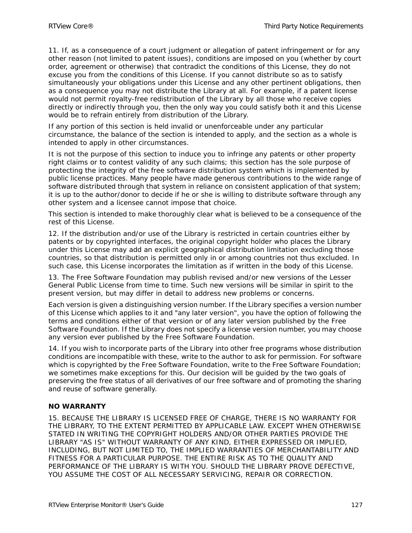11. If, as a consequence of a court judgment or allegation of patent infringement or for any other reason (not limited to patent issues), conditions are imposed on you (whether by court order, agreement or otherwise) that contradict the conditions of this License, they do not excuse you from the conditions of this License. If you cannot distribute so as to satisfy simultaneously your obligations under this License and any other pertinent obligations, then as a consequence you may not distribute the Library at all. For example, if a patent license would not permit royalty-free redistribution of the Library by all those who receive copies directly or indirectly through you, then the only way you could satisfy both it and this License would be to refrain entirely from distribution of the Library.

If any portion of this section is held invalid or unenforceable under any particular circumstance, the balance of the section is intended to apply, and the section as a whole is intended to apply in other circumstances.

It is not the purpose of this section to induce you to infringe any patents or other property right claims or to contest validity of any such claims; this section has the sole purpose of protecting the integrity of the free software distribution system which is implemented by public license practices. Many people have made generous contributions to the wide range of software distributed through that system in reliance on consistent application of that system; it is up to the author/donor to decide if he or she is willing to distribute software through any other system and a licensee cannot impose that choice.

This section is intended to make thoroughly clear what is believed to be a consequence of the rest of this License.

12. If the distribution and/or use of the Library is restricted in certain countries either by patents or by copyrighted interfaces, the original copyright holder who places the Library under this License may add an explicit geographical distribution limitation excluding those countries, so that distribution is permitted only in or among countries not thus excluded. In such case, this License incorporates the limitation as if written in the body of this License.

13. The Free Software Foundation may publish revised and/or new versions of the Lesser General Public License from time to time. Such new versions will be similar in spirit to the present version, but may differ in detail to address new problems or concerns.

Each version is given a distinguishing version number. If the Library specifies a version number of this License which applies to it and "any later version", you have the option of following the terms and conditions either of that version or of any later version published by the Free Software Foundation. If the Library does not specify a license version number, you may choose any version ever published by the Free Software Foundation.

14. If you wish to incorporate parts of the Library into other free programs whose distribution conditions are incompatible with these, write to the author to ask for permission. For software which is copyrighted by the Free Software Foundation, write to the Free Software Foundation; we sometimes make exceptions for this. Our decision will be guided by the two goals of preserving the free status of all derivatives of our free software and of promoting the sharing and reuse of software generally.

#### **NO WARRANTY**

15. BECAUSE THE LIBRARY IS LICENSED FREE OF CHARGE, THERE IS NO WARRANTY FOR THE LIBRARY, TO THE EXTENT PERMITTED BY APPLICABLE LAW. EXCEPT WHEN OTHERWISE STATED IN WRITING THE COPYRIGHT HOLDERS AND/OR OTHER PARTIES PROVIDE THE LIBRARY "AS IS" WITHOUT WARRANTY OF ANY KIND, EITHER EXPRESSED OR IMPLIED, INCLUDING, BUT NOT LIMITED TO, THE IMPLIED WARRANTIES OF MERCHANTABILITY AND FITNESS FOR A PARTICULAR PURPOSE. THE ENTIRE RISK AS TO THE QUALITY AND PERFORMANCE OF THE LIBRARY IS WITH YOU. SHOULD THE LIBRARY PROVE DEFECTIVE, YOU ASSUME THE COST OF ALL NECESSARY SERVICING, REPAIR OR CORRECTION.